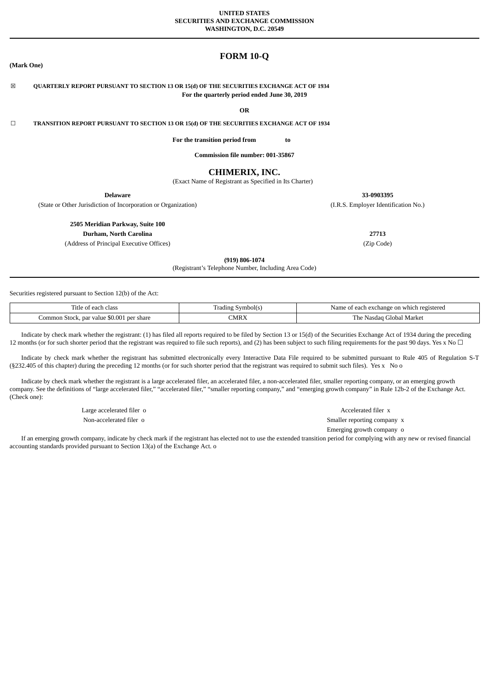#### **UNITED STATES SECURITIES AND EXCHANGE COMMISSION WASHINGTON, D.C. 20549**

# **FORM 10-Q**

# ☒ **QUARTERLY REPORT PURSUANT TO SECTION 13 OR 15(d) OF THE SECURITIES EXCHANGE ACT OF 1934 For the quarterly period ended June 30, 2019**

**OR**

☐ **TRANSITION REPORT PURSUANT TO SECTION 13 OR 15(d) OF THE SECURITIES EXCHANGE ACT OF 1934**

**For the transition period from to**

**Commission file number: 001-35867**

# **CHIMERIX, INC.**

(Exact Name of Registrant as Specified in Its Charter)

(State or Other Jurisdiction of Incorporation or Organization) (I.R.S. Employer Identification No.)

**2505 Meridian Parkway, Suite 100**

**Durham, North Carolina 27713**

(Address of Principal Executive Offices) (Zip Code)

**(919) 806-1074**

(Registrant's Telephone Number, Including Area Code)

Securities registered pursuant to Section 12(b) of the Act:

**(Mark One)**

| rïtle<br>` class<br>each<br>ΩŤ                              | s Symbol(s<br>Tradıng | n exchange on which registered.<br>Name of<br>each |
|-------------------------------------------------------------|-----------------------|----------------------------------------------------|
| $\cdot$ \$0.001<br>Common Stock.<br>per share<br>-par value | CMRX                  | Marke<br>$-$<br>-Nasdag Global<br>r he i           |

Indicate by check mark whether the registrant: (1) has filed all reports required to be filed by Section 13 or 15(d) of the Securities Exchange Act of 1934 during the preceding 12 months (or for such shorter period that the registrant was required to file such reports), and (2) has been subject to such filing requirements for the past 90 days. Yes x No □

Indicate by check mark whether the registrant has submitted electronically every Interactive Data File required to be submitted pursuant to Rule 405 of Regulation S-T (§232.405 of this chapter) during the preceding 12 months (or for such shorter period that the registrant was required to submit such files). Yes x No o

Indicate by check mark whether the registrant is a large accelerated filer, an accelerated filer, a non-accelerated filer, smaller reporting company, or an emerging growth company. See the definitions of "large accelerated filer," "accelerated filer," "smaller reporting company," and "emerging growth company" in Rule 12b-2 of the Exchange Act. (Check one):

Large accelerated filer o  $\overline{a}$  accelerated filer x Non-accelerated filer o Smaller reporting company x Emerging growth company o

If an emerging growth company, indicate by check mark if the registrant has elected not to use the extended transition period for complying with any new or revised financial accounting standards provided pursuant to Section 13(a) of the Exchange Act. o

**Delaware 33-0903395**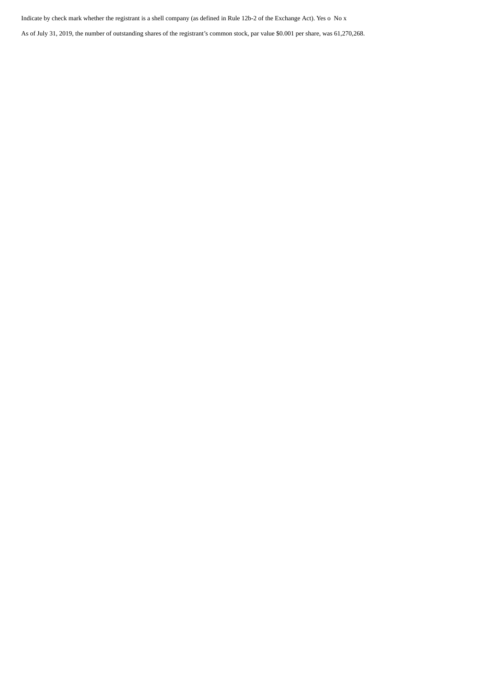Indicate by check mark whether the registrant is a shell company (as defined in Rule 12b-2 of the Exchange Act). Yes o No x

As of July 31, 2019, the number of outstanding shares of the registrant's common stock, par value \$0.001 per share, was 61,270,268.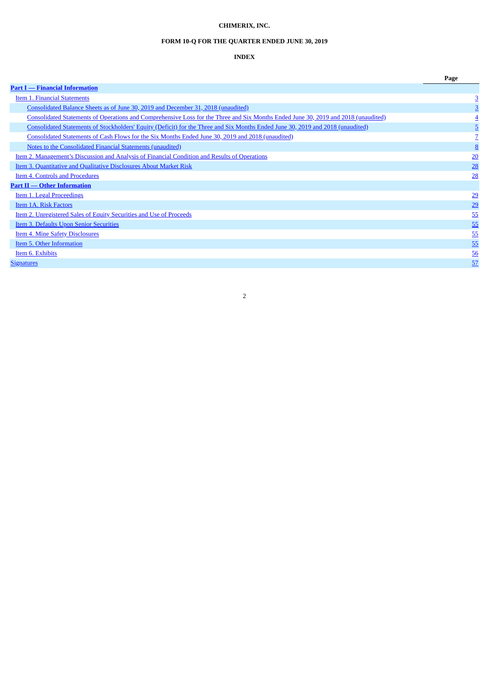# **CHIMERIX, INC.**

# **FORM 10-Q FOR THE QUARTER ENDED JUNE 30, 2019**

# **INDEX**

|                                                                                                                                    | Page            |
|------------------------------------------------------------------------------------------------------------------------------------|-----------------|
| <b>Part I</b> — Financial Information                                                                                              |                 |
| <b>Item 1. Financial Statements</b>                                                                                                | 3               |
| Consolidated Balance Sheets as of June 30, 2019 and December 31, 2018 (unaudited)                                                  | 3               |
| Consolidated Statements of Operations and Comprehensive Loss for the Three and Six Months Ended June 30, 2019 and 2018 (unaudited) |                 |
| Consolidated Statements of Stockholders' Equity (Deficit) for the Three and Six Months Ended June 30, 2019 and 2018 (unaudited)    | $\overline{5}$  |
| Consolidated Statements of Cash Flows for the Six Months Ended June 30, 2019 and 2018 (unaudited)                                  |                 |
| Notes to the Consolidated Financial Statements (unaudited)                                                                         | <u>8</u>        |
| Item 2. Management's Discussion and Analysis of Financial Condition and Results of Operations                                      | $\overline{20}$ |
| Item 3. Quantitative and Qualitative Disclosures About Market Risk                                                                 | 28              |
| Item 4. Controls and Procedures                                                                                                    | 28              |
| <b>Part II - Other Information</b>                                                                                                 |                 |
| Item 1. Legal Proceedings                                                                                                          | $\overline{29}$ |
| Item 1A. Risk Factors                                                                                                              | 29              |
| Item 2. Unregistered Sales of Equity Securities and Use of Proceeds                                                                | 55              |
| <b>Item 3. Defaults Upon Senior Securities</b>                                                                                     | 55              |
| Item 4. Mine Safety Disclosures                                                                                                    | 55              |
| Item 5. Other Information                                                                                                          | 55              |
| Item 6. Exhibits                                                                                                                   | 56              |
| <b>Signatures</b>                                                                                                                  | 57              |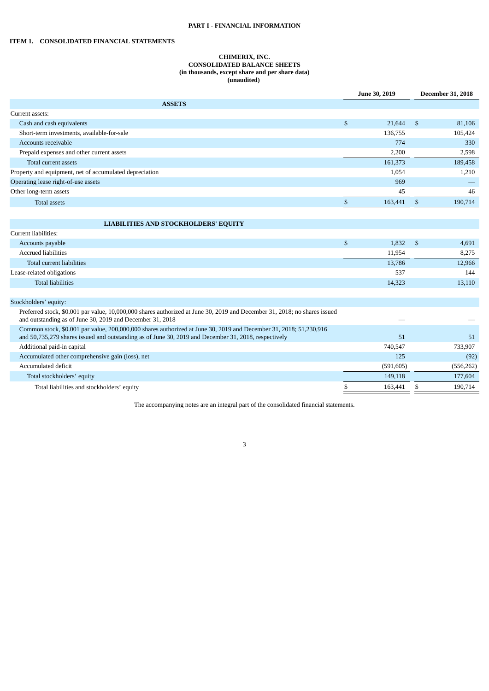# **PART I - FINANCIAL INFORMATION**

# <span id="page-3-1"></span><span id="page-3-0"></span>**ITEM 1. CONSOLIDATED FINANCIAL STATEMENTS**

# **CHIMERIX, INC. CONSOLIDATED BALANCE SHEETS (in thousands, except share and per share data) (unaudited)**

|                                                                                                                                                                                                                           | June 30, 2019 | <b>December 31, 2018</b> |            |  |
|---------------------------------------------------------------------------------------------------------------------------------------------------------------------------------------------------------------------------|---------------|--------------------------|------------|--|
| <b>ASSETS</b>                                                                                                                                                                                                             |               |                          |            |  |
| Current assets:                                                                                                                                                                                                           |               |                          |            |  |
| Cash and cash equivalents                                                                                                                                                                                                 | \$<br>21,644  | \$                       | 81,106     |  |
| Short-term investments, available-for-sale                                                                                                                                                                                | 136,755       |                          | 105,424    |  |
| Accounts receivable                                                                                                                                                                                                       | 774           |                          | 330        |  |
| Prepaid expenses and other current assets                                                                                                                                                                                 | 2,200         |                          | 2,598      |  |
| Total current assets                                                                                                                                                                                                      | 161,373       |                          | 189,458    |  |
| Property and equipment, net of accumulated depreciation                                                                                                                                                                   | 1,054         |                          | 1,210      |  |
| Operating lease right-of-use assets                                                                                                                                                                                       | 969           |                          |            |  |
| Other long-term assets                                                                                                                                                                                                    | 45            |                          | 46         |  |
| <b>Total assets</b>                                                                                                                                                                                                       | \$<br>163,441 | $\mathbb{S}$             | 190,714    |  |
|                                                                                                                                                                                                                           |               |                          |            |  |
| <b>LIABILITIES AND STOCKHOLDERS' EQUITY</b>                                                                                                                                                                               |               |                          |            |  |
| Current liabilities:                                                                                                                                                                                                      |               |                          |            |  |
| Accounts payable                                                                                                                                                                                                          | \$<br>1,832   | $\mathfrak{S}$           | 4,691      |  |
| <b>Accrued liabilities</b>                                                                                                                                                                                                | 11,954        |                          | 8,275      |  |
| Total current liabilities                                                                                                                                                                                                 | 13,786        |                          | 12,966     |  |
| Lease-related obligations                                                                                                                                                                                                 | 537           |                          | 144        |  |
| <b>Total liabilities</b>                                                                                                                                                                                                  | 14,323        |                          | 13,110     |  |
|                                                                                                                                                                                                                           |               |                          |            |  |
| Stockholders' equity:                                                                                                                                                                                                     |               |                          |            |  |
| Preferred stock, \$0.001 par value, 10,000,000 shares authorized at June 30, 2019 and December 31, 2018; no shares issued<br>and outstanding as of June 30, 2019 and December 31, 2018                                    |               |                          |            |  |
| Common stock, \$0.001 par value, 200,000,000 shares authorized at June 30, 2019 and December 31, 2018; 51,230,916<br>and 50,735,279 shares issued and outstanding as of June 30, 2019 and December 31, 2018, respectively | 51            |                          | 51         |  |
| Additional paid-in capital                                                                                                                                                                                                | 740,547       |                          | 733,907    |  |
| Accumulated other comprehensive gain (loss), net                                                                                                                                                                          | 125           |                          | (92)       |  |
| Accumulated deficit                                                                                                                                                                                                       | (591, 605)    |                          | (556, 262) |  |
| Total stockholders' equity                                                                                                                                                                                                | 149,118       |                          | 177,604    |  |
| Total liabilities and stockholders' equity                                                                                                                                                                                | \$<br>163,441 | \$                       | 190,714    |  |

The accompanying notes are an integral part of the consolidated financial statements.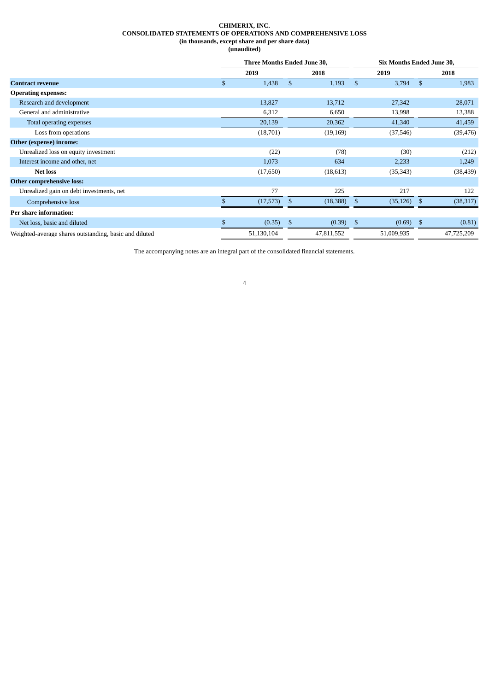# **CHIMERIX, INC. CONSOLIDATED STATEMENTS OF OPERATIONS AND COMPREHENSIVE LOSS (in thousands, except share and per share data) (unaudited)**

<span id="page-4-0"></span>

|                                                        |              | Three Months Ended June 30, |      | Six Months Ended June 30, |     |            |     |            |
|--------------------------------------------------------|--------------|-----------------------------|------|---------------------------|-----|------------|-----|------------|
|                                                        |              | 2019                        | 2018 |                           |     | 2019       |     | 2018       |
| <b>Contract revenue</b>                                | S            | 1,438                       | \$   | 1,193                     | \$. | 3,794      | \$  | 1,983      |
| <b>Operating expenses:</b>                             |              |                             |      |                           |     |            |     |            |
| Research and development                               |              | 13,827                      |      | 13,712                    |     | 27,342     |     | 28,071     |
| General and administrative                             |              | 6,312                       |      | 6,650                     |     | 13,998     |     | 13,388     |
| Total operating expenses                               |              | 20,139                      |      | 20,362                    |     | 41,340     |     | 41,459     |
| Loss from operations                                   |              | (18,701)                    |      | (19, 169)                 |     | (37, 546)  |     | (39, 476)  |
| Other (expense) income:                                |              |                             |      |                           |     |            |     |            |
| Unrealized loss on equity investment                   |              | (22)                        |      | (78)                      |     | (30)       |     | (212)      |
| Interest income and other, net                         |              | 1,073                       |      | 634                       |     | 2,233      |     | 1,249      |
| <b>Net loss</b>                                        |              | (17,650)                    |      | (18,613)                  |     | (35, 343)  |     | (38, 439)  |
| <b>Other comprehensive loss:</b>                       |              |                             |      |                           |     |            |     |            |
| Unrealized gain on debt investments, net               |              | 77                          |      | 225                       |     | 217        |     | 122        |
| Comprehensive loss                                     | \$.          | (17, 573)                   | -\$  | (18, 388)                 | \$  | (35, 126)  | -\$ | (38, 317)  |
| Per share information:                                 |              |                             |      |                           |     |            |     |            |
| Net loss, basic and diluted                            | $\mathbb{S}$ | (0.35)                      | \$   | (0.39)                    | \$  | (0.69)     | -\$ | (0.81)     |
| Weighted-average shares outstanding, basic and diluted |              | 51,130,104                  |      | 47,811,552                |     | 51,009,935 |     | 47,725,209 |

The accompanying notes are an integral part of the consolidated financial statements.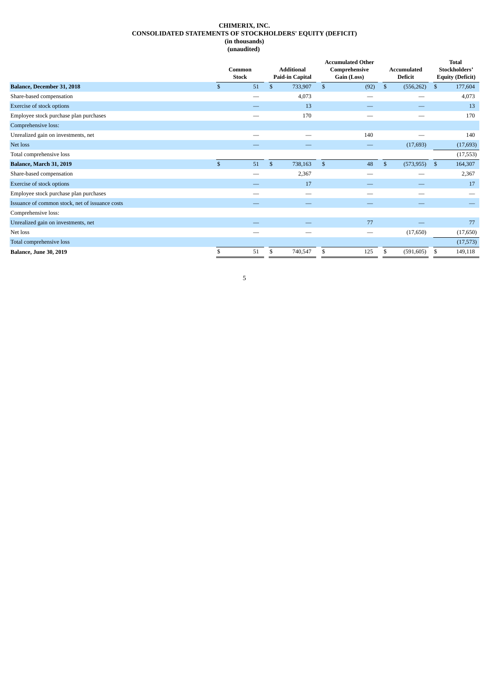# **CHIMERIX, INC. CONSOLIDATED STATEMENTS OF STOCKHOLDERS' EQUITY (DEFICIT) (in thousands) (unaudited)**

<span id="page-5-0"></span>

|                                                 |              | Common<br><b>Stock</b>   |              |         | <b>Accumulated Other</b><br>Comprehensive<br>Gain (Loss) |      |              | Accumulated<br><b>Deficit</b> | <b>Total</b><br>Stockholders'<br><b>Equity (Deficit)</b> |           |
|-------------------------------------------------|--------------|--------------------------|--------------|---------|----------------------------------------------------------|------|--------------|-------------------------------|----------------------------------------------------------|-----------|
| Balance, December 31, 2018                      | \$           | 51                       | $\mathbf{s}$ | 733,907 | \$                                                       | (92) | $\mathbb{S}$ | (556, 262)                    | \$                                                       | 177,604   |
| Share-based compensation                        |              |                          |              | 4,073   |                                                          | --   |              |                               |                                                          | 4,073     |
| Exercise of stock options                       |              |                          |              | 13      |                                                          |      |              |                               |                                                          | 13        |
| Employee stock purchase plan purchases          |              | $\overline{\phantom{0}}$ |              | 170     |                                                          | --   |              |                               |                                                          | 170       |
| Comprehensive loss:                             |              |                          |              |         |                                                          |      |              |                               |                                                          |           |
| Unrealized gain on investments, net             |              |                          |              |         |                                                          | 140  |              |                               |                                                          | 140       |
| Net loss                                        |              |                          |              |         |                                                          |      |              | (17, 693)                     |                                                          | (17, 693) |
| Total comprehensive loss                        |              |                          |              |         |                                                          |      |              |                               |                                                          | (17, 553) |
| Balance, March 31, 2019                         | $\mathbb{S}$ | 51                       | $\mathbf{s}$ | 738,163 | $\mathbb{S}$                                             | 48   | $\mathbb{S}$ | $(573, 955)$ \$               |                                                          | 164,307   |
| Share-based compensation                        |              | –                        |              | 2,367   |                                                          | –    |              |                               |                                                          | 2,367     |
| Exercise of stock options                       |              |                          |              | 17      |                                                          |      |              |                               |                                                          | 17        |
| Employee stock purchase plan purchases          |              |                          |              | --      |                                                          |      |              |                               |                                                          |           |
| Issuance of common stock, net of issuance costs |              |                          |              |         |                                                          |      |              |                               |                                                          |           |
| Comprehensive loss:                             |              |                          |              |         |                                                          |      |              |                               |                                                          |           |
| Unrealized gain on investments, net             |              |                          |              |         |                                                          | 77   |              |                               |                                                          | 77        |
| Net loss                                        |              |                          |              | --      |                                                          | --   |              | (17,650)                      |                                                          | (17, 650) |
| Total comprehensive loss                        |              |                          |              |         |                                                          |      |              |                               |                                                          | (17, 573) |
| <b>Balance, June 30, 2019</b>                   | \$           | 51                       | \$           | 740,547 | \$                                                       | 125  | \$           | (591, 605)                    | \$                                                       | 149,118   |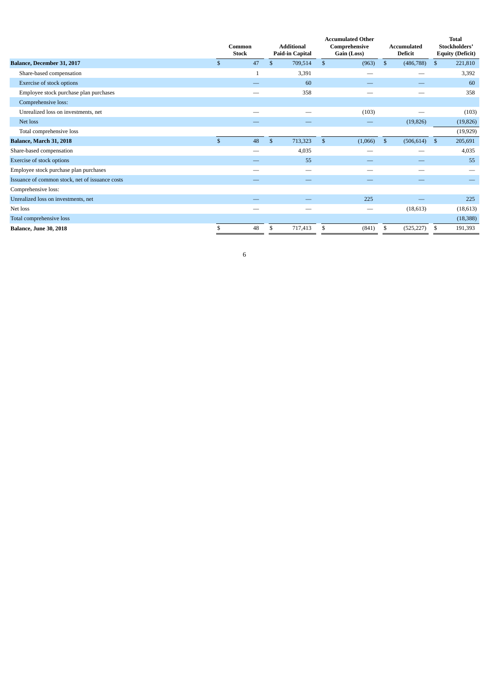|                                                 | Common<br><b>Stock</b> |              |               | <b>Additional</b><br><b>Paid-in Capital</b> |              | <b>Accumulated Other</b><br>Comprehensive<br>Gain (Loss) |              | <b>Accumulated</b><br><b>Deficit</b> | <b>Total</b><br>Stockholders'<br><b>Equity (Deficit)</b> |           |  |
|-------------------------------------------------|------------------------|--------------|---------------|---------------------------------------------|--------------|----------------------------------------------------------|--------------|--------------------------------------|----------------------------------------------------------|-----------|--|
| Balance, December 31, 2017                      | \$                     | 47           | $\mathbf{\$}$ | 709,514                                     | $\mathbb{S}$ | (963)                                                    | \$           | (486, 788)                           | \$                                                       | 221,810   |  |
| Share-based compensation                        |                        | $\mathbf{1}$ |               | 3,391                                       |              | $\overline{\phantom{0}}$                                 |              |                                      |                                                          | 3,392     |  |
| <b>Exercise of stock options</b>                |                        |              |               | 60                                          |              |                                                          |              |                                      |                                                          | 60        |  |
| Employee stock purchase plan purchases          |                        |              |               | 358                                         |              |                                                          |              |                                      |                                                          | 358       |  |
| Comprehensive loss:                             |                        |              |               |                                             |              |                                                          |              |                                      |                                                          |           |  |
| Unrealized loss on investments, net             |                        |              |               |                                             |              | (103)                                                    |              |                                      |                                                          | (103)     |  |
| Net loss                                        |                        |              |               |                                             |              | $\overline{\phantom{0}}$                                 |              | (19, 826)                            |                                                          | (19, 826) |  |
| Total comprehensive loss                        |                        |              |               |                                             |              |                                                          |              |                                      |                                                          | (19, 929) |  |
| <b>Balance, March 31, 2018</b>                  | $\mathcal{S}$          | 48           | $\mathbf{s}$  | 713,323                                     | $\mathbb{S}$ | (1,066)                                                  | $\mathbb{S}$ | (506, 614)                           | $\mathbb{S}$                                             | 205,691   |  |
| Share-based compensation                        |                        |              |               | 4,035                                       |              |                                                          |              |                                      |                                                          | 4,035     |  |
| Exercise of stock options                       |                        | __           |               | 55                                          |              | _                                                        |              | _                                    |                                                          | 55        |  |
| Employee stock purchase plan purchases          |                        | --           |               |                                             |              |                                                          |              |                                      |                                                          |           |  |
| Issuance of common stock, net of issuance costs |                        |              |               |                                             |              |                                                          |              |                                      |                                                          |           |  |
| Comprehensive loss:                             |                        |              |               |                                             |              |                                                          |              |                                      |                                                          |           |  |
| Unrealized loss on investments, net             |                        |              |               |                                             |              | 225                                                      |              |                                      |                                                          | 225       |  |
| Net loss                                        |                        |              |               |                                             |              |                                                          |              | (18,613)                             |                                                          | (18, 613) |  |
| Total comprehensive loss                        |                        |              |               |                                             |              |                                                          |              |                                      |                                                          | (18, 388) |  |
| <b>Balance, June 30, 2018</b>                   |                        | 48           | \$            | 717,413                                     | \$           | (841)                                                    |              | (525, 227)                           | -S                                                       | 191,393   |  |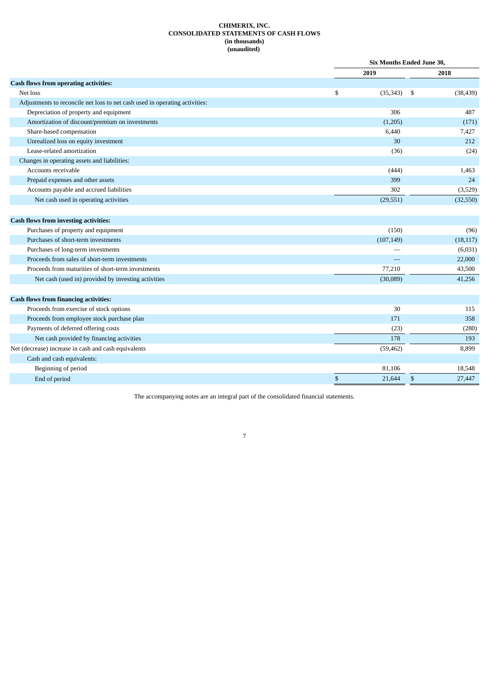# **CHIMERIX, INC. CONSOLIDATED STATEMENTS OF CASH FLOWS (in thousands) (unaudited)**

<span id="page-7-0"></span>

|                                                                             | <b>Six Months Ended June 30,</b> |      |                               |  |  |
|-----------------------------------------------------------------------------|----------------------------------|------|-------------------------------|--|--|
|                                                                             | 2019                             |      | 2018                          |  |  |
| <b>Cash flows from operating activities:</b>                                |                                  |      |                               |  |  |
| Net loss                                                                    | \$<br>(35, 343)                  | - \$ | (38, 439)                     |  |  |
| Adjustments to reconcile net loss to net cash used in operating activities: |                                  |      |                               |  |  |
| Depreciation of property and equipment                                      | 306                              |      | 487                           |  |  |
| Amortization of discount/premium on investments                             | (1,205)                          |      | (171)                         |  |  |
| Share-based compensation                                                    | 6,440                            |      | 7,427                         |  |  |
| Unrealized loss on equity investment                                        | 30                               |      | 212                           |  |  |
| Lease-related amortization                                                  | (36)                             |      | (24)                          |  |  |
| Changes in operating assets and liabilities:                                |                                  |      |                               |  |  |
| Accounts receivable                                                         | (444)                            |      | 1,463                         |  |  |
| Prepaid expenses and other assets                                           | 399                              |      | 24                            |  |  |
| Accounts payable and accrued liabilities                                    | 302                              |      | (3,529)                       |  |  |
| Net cash used in operating activities                                       | (29, 551)                        |      | (32,550)                      |  |  |
| <b>Cash flows from investing activities:</b>                                |                                  |      |                               |  |  |
| Purchases of property and equipment                                         | (150)                            |      | (96)                          |  |  |
| Purchases of short-term investments                                         | (107, 149)                       |      | (18, 117)                     |  |  |
| Purchases of long-term investments                                          |                                  |      | (6,031)                       |  |  |
| Proceeds from sales of short-term investments                               |                                  |      | 22,000                        |  |  |
| Proceeds from maturities of short-term investments                          | 77,210                           |      | 43,500                        |  |  |
| Net cash (used in) provided by investing activities                         | (30,089)                         |      | 41,256                        |  |  |
|                                                                             |                                  |      |                               |  |  |
| <b>Cash flows from financing activities:</b>                                |                                  |      |                               |  |  |
| Proceeds from exercise of stock options                                     | 30                               |      | 115                           |  |  |
| $\sim$ $\sim$ $\sim$ $\sim$ $\sim$ $\sim$ $\sim$ $\sim$                     |                                  |      | $\overline{a} = \overline{a}$ |  |  |

| Proceeds from employee stock purchase plan           | 171       | 358    |
|------------------------------------------------------|-----------|--------|
| Payments of deferred offering costs                  | (23)      | (280)  |
| Net cash provided by financing activities            | 178       | 193    |
| Net (decrease) increase in cash and cash equivalents | (59, 462) | 8,899  |
| Cash and cash equivalents:                           |           |        |
| Beginning of period                                  | 81,106    | 18,548 |
| End of period                                        | 21,644    | 27,447 |

The accompanying notes are an integral part of the consolidated financial statements.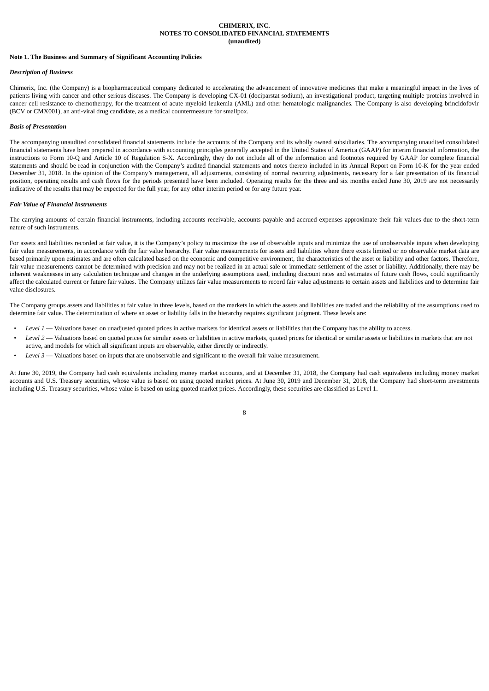### **CHIMERIX, INC. NOTES TO CONSOLIDATED FINANCIAL STATEMENTS (unaudited)**

# <span id="page-8-0"></span>**Note 1. The Business and Summary of Significant Accounting Policies**

#### *Description of Business*

Chimerix, Inc. (the Company) is a biopharmaceutical company dedicated to accelerating the advancement of innovative medicines that make a meaningful impact in the lives of patients living with cancer and other serious diseases. The Company is developing CX-01 (dociparstat sodium), an investigational product, targeting multiple proteins involved in cancer cell resistance to chemotherapy, for the treatment of acute myeloid leukemia (AML) and other hematologic malignancies. The Company is also developing brincidofovir (BCV or CMX001), an anti-viral drug candidate, as a medical countermeasure for smallpox.

#### *Basis of Presentation*

The accompanying unaudited consolidated financial statements include the accounts of the Company and its wholly owned subsidiaries. The accompanying unaudited consolidated financial statements have been prepared in accordance with accounting principles generally accepted in the United States of America (GAAP) for interim financial information, the instructions to Form 10-Q and Article 10 of Regulation S-X. Accordingly, they do not include all of the information and footnotes required by GAAP for complete financial statements and should be read in conjunction with the Company's audited financial statements and notes thereto included in its Annual Report on Form 10-K for the year ended December 31, 2018. In the opinion of the Company's management, all adjustments, consisting of normal recurring adjustments, necessary for a fair presentation of its financial position, operating results and cash flows for the periods presented have been included. Operating results for the three and six months ended June 30, 2019 are not necessarily indicative of the results that may be expected for the full year, for any other interim period or for any future year.

# *Fair Value of Financial Instruments*

The carrying amounts of certain financial instruments, including accounts receivable, accounts payable and accrued expenses approximate their fair values due to the short-term nature of such instruments.

For assets and liabilities recorded at fair value, it is the Company's policy to maximize the use of observable inputs and minimize the use of unobservable inputs when developing fair value measurements, in accordance with the fair value hierarchy. Fair value measurements for assets and liabilities where there exists limited or no observable market data are based primarily upon estimates and are often calculated based on the economic and competitive environment, the characteristics of the asset or liability and other factors. Therefore, fair value measurements cannot be determined with precision and may not be realized in an actual sale or immediate settlement of the asset or liability. Additionally, there may be inherent weaknesses in any calculation technique and changes in the underlying assumptions used, including discount rates and estimates of future cash flows, could significantly affect the calculated current or future fair values. The Company utilizes fair value measurements to record fair value adjustments to certain assets and liabilities and to determine fair value disclosures.

The Company groups assets and liabilities at fair value in three levels, based on the markets in which the assets and liabilities are traded and the reliability of the assumptions used to determine fair value. The determination of where an asset or liability falls in the hierarchy requires significant judgment. These levels are:

- Level 1 Valuations based on unadjusted quoted prices in active markets for identical assets or liabilities that the Company has the ability to access.
- Level 2 Valuations based on quoted prices for similar assets or liabilities in active markets, quoted prices for identical or similar assets or liabilities in markets that are not active, and models for which all significant inputs are observable, either directly or indirectly.
- *Level 3* Valuations based on inputs that are unobservable and significant to the overall fair value measurement.

At June 30, 2019, the Company had cash equivalents including money market accounts, and at December 31, 2018, the Company had cash equivalents including money market accounts and U.S. Treasury securities, whose value is based on using quoted market prices. At June 30, 2019 and December 31, 2018, the Company had short-term investments including U.S. Treasury securities, whose value is based on using quoted market prices. Accordingly, these securities are classified as Level 1.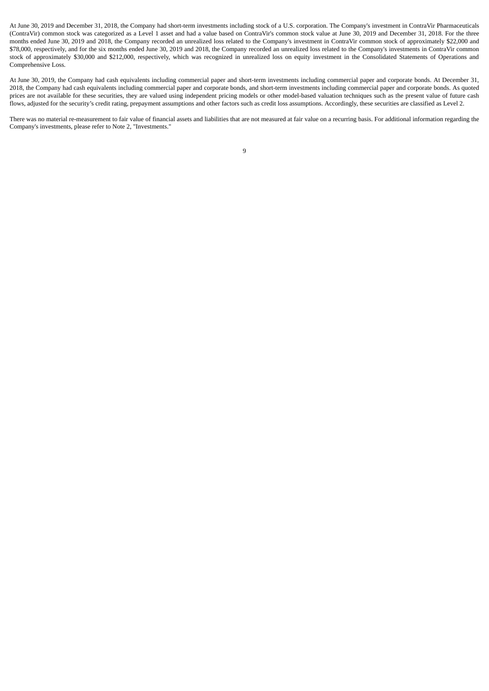At June 30, 2019 and December 31, 2018, the Company had short-term investments including stock of a U.S. corporation. The Company's investment in ContraVir Pharmaceuticals (ContraVir) common stock was categorized as a Level 1 asset and had a value based on ContraVir's common stock value at June 30, 2019 and December 31, 2018. For the three months ended June 30, 2019 and 2018, the Company recorded an unrealized loss related to the Company's investment in ContraVir common stock of approximately \$22,000 and \$78,000, respectively, and for the six months ended June 30, 2019 and 2018, the Company recorded an unrealized loss related to the Company's investments in ContraVir common stock of approximately \$30,000 and \$212,000, respectively, which was recognized in unrealized loss on equity investment in the Consolidated Statements of Operations and Comprehensive Loss.

At June 30, 2019, the Company had cash equivalents including commercial paper and short-term investments including commercial paper and corporate bonds. At December 31, 2018, the Company had cash equivalents including commercial paper and corporate bonds, and short-term investments including commercial paper and corporate bonds. As quoted prices are not available for these securities, they are valued using independent pricing models or other model-based valuation techniques such as the present value of future cash flows, adjusted for the security's credit rating, prepayment assumptions and other factors such as credit loss assumptions. Accordingly, these securities are classified as Level 2.

There was no material re-measurement to fair value of financial assets and liabilities that are not measured at fair value on a recurring basis. For additional information regarding the Company's investments, please refer to Note 2, "Investments."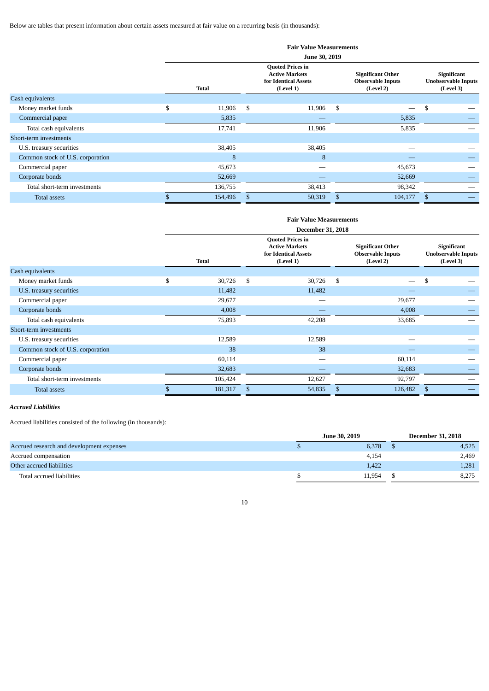Below are tables that present information about certain assets measured at fair value on a recurring basis (in thousands):

|                                  |                                                                                                       | <b>Fair Value Measurements</b><br>June 30, 2019 |    |                                                                   |    |         |                                                        |  |  |  |  |  |
|----------------------------------|-------------------------------------------------------------------------------------------------------|-------------------------------------------------|----|-------------------------------------------------------------------|----|---------|--------------------------------------------------------|--|--|--|--|--|
|                                  | <b>Quoted Prices in</b><br><b>Active Markets</b><br>for Identical Assets<br><b>Total</b><br>(Level 1) |                                                 |    | <b>Significant Other</b><br><b>Observable Inputs</b><br>(Level 2) |    |         | Significant<br><b>Unobservable Inputs</b><br>(Level 3) |  |  |  |  |  |
| Cash equivalents                 |                                                                                                       |                                                 |    |                                                                   |    |         |                                                        |  |  |  |  |  |
| Money market funds               | \$                                                                                                    | 11,906                                          | \$ | 11,906                                                            | \$ |         | \$                                                     |  |  |  |  |  |
| Commercial paper                 |                                                                                                       | 5,835                                           |    |                                                                   |    | 5,835   |                                                        |  |  |  |  |  |
| Total cash equivalents           |                                                                                                       | 17,741                                          |    | 11,906                                                            |    | 5,835   |                                                        |  |  |  |  |  |
| Short-term investments           |                                                                                                       |                                                 |    |                                                                   |    |         |                                                        |  |  |  |  |  |
| U.S. treasury securities         |                                                                                                       | 38,405                                          |    | 38,405                                                            |    |         |                                                        |  |  |  |  |  |
| Common stock of U.S. corporation |                                                                                                       | 8                                               |    | 8                                                                 |    |         |                                                        |  |  |  |  |  |
| Commercial paper                 |                                                                                                       | 45,673                                          |    |                                                                   |    | 45,673  |                                                        |  |  |  |  |  |
| Corporate bonds                  |                                                                                                       | 52,669                                          |    |                                                                   |    | 52,669  |                                                        |  |  |  |  |  |
| Total short-term investments     |                                                                                                       | 136,755                                         |    | 38,413                                                            |    | 98,342  |                                                        |  |  |  |  |  |
| <b>Total assets</b>              |                                                                                                       | 154,496                                         | \$ | 50,319                                                            | S  | 104,177 | \$                                                     |  |  |  |  |  |

|                                  |    |                          |    | <b>Fair Value Measurements</b>                                                        |                                                                   |                          |    |                                                        |  |  |  |  |
|----------------------------------|----|--------------------------|----|---------------------------------------------------------------------------------------|-------------------------------------------------------------------|--------------------------|----|--------------------------------------------------------|--|--|--|--|
|                                  |    | <b>December 31, 2018</b> |    |                                                                                       |                                                                   |                          |    |                                                        |  |  |  |  |
|                                  |    | <b>Total</b>             |    | <b>Quoted Prices in</b><br><b>Active Markets</b><br>for Identical Assets<br>(Level 1) | <b>Significant Other</b><br><b>Observable Inputs</b><br>(Level 2) |                          |    | Significant<br><b>Unobservable Inputs</b><br>(Level 3) |  |  |  |  |
| Cash equivalents                 |    |                          |    |                                                                                       |                                                                   |                          |    |                                                        |  |  |  |  |
| Money market funds               | \$ | 30,726                   | \$ | 30,726                                                                                | \$                                                                | $\overline{\phantom{0}}$ | \$ |                                                        |  |  |  |  |
| U.S. treasury securities         |    | 11,482                   |    | 11,482                                                                                |                                                                   |                          |    |                                                        |  |  |  |  |
| Commercial paper                 |    | 29,677                   |    |                                                                                       |                                                                   | 29,677                   |    |                                                        |  |  |  |  |
| Corporate bonds                  |    | 4,008                    |    |                                                                                       |                                                                   | 4,008                    |    |                                                        |  |  |  |  |
| Total cash equivalents           |    | 75,893                   |    | 42,208                                                                                |                                                                   | 33,685                   |    |                                                        |  |  |  |  |
| Short-term investments           |    |                          |    |                                                                                       |                                                                   |                          |    |                                                        |  |  |  |  |
| U.S. treasury securities         |    | 12,589                   |    | 12,589                                                                                |                                                                   |                          |    |                                                        |  |  |  |  |
| Common stock of U.S. corporation |    | 38                       |    | 38                                                                                    |                                                                   |                          |    |                                                        |  |  |  |  |
| Commercial paper                 |    | 60,114                   |    | _                                                                                     |                                                                   | 60,114                   |    |                                                        |  |  |  |  |
| Corporate bonds                  |    | 32,683                   |    |                                                                                       |                                                                   | 32,683                   |    |                                                        |  |  |  |  |
| Total short-term investments     |    | 105,424                  |    | 12,627                                                                                |                                                                   | 92,797                   |    |                                                        |  |  |  |  |
| Total assets                     |    | 181,317                  | S  | 54,835                                                                                | S                                                                 | 126,482                  | \$ |                                                        |  |  |  |  |

# *Accrued Liabilities*

Accrued liabilities consisted of the following (in thousands):

|                                           |  | <b>December 31, 2018</b> |       |
|-------------------------------------------|--|--------------------------|-------|
| Accrued research and development expenses |  | 6,378                    | 4,525 |
| Accrued compensation                      |  | 4,154                    | 2,469 |
| Other accrued liabilities                 |  | 1.422                    | 1,281 |
| Total accrued liabilities                 |  | 11.954                   | 8,275 |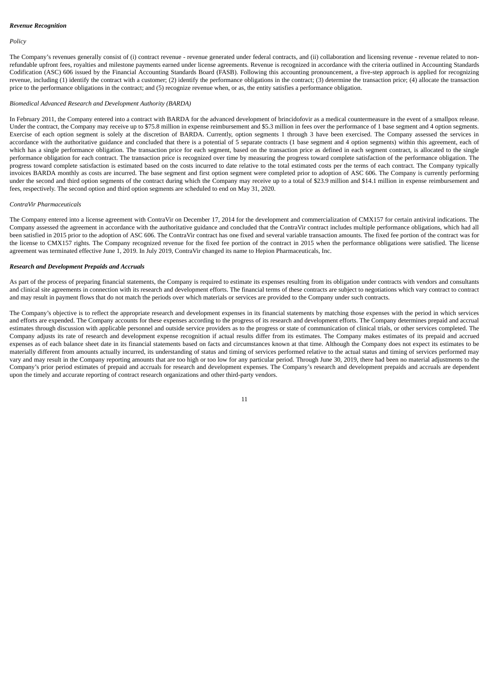#### *Revenue Recognition*

#### *Policy*

The Company's revenues generally consist of (i) contract revenue - revenue generated under federal contracts, and (ii) collaboration and licensing revenue - revenue related to nonrefundable upfront fees, royalties and milestone payments earned under license agreements. Revenue is recognized in accordance with the criteria outlined in Accounting Standards Codification (ASC) 606 issued by the Financial Accounting Standards Board (FASB). Following this accounting pronouncement, a five-step approach is applied for recognizing revenue, including (1) identify the contract with a customer; (2) identify the performance obligations in the contract; (3) determine the transaction price; (4) allocate the transaction price to the performance obligations in the contract; and (5) recognize revenue when, or as, the entity satisfies a performance obligation.

# *Biomedical Advanced Research and Development Authority (BARDA)*

In February 2011, the Company entered into a contract with BARDA for the advanced development of brincidofovir as a medical countermeasure in the event of a smallpox release. Under the contract, the Company may receive up to \$75.8 million in expense reimbursement and \$5.3 million in fees over the performance of 1 base segment and 4 option segments. Exercise of each option segment is solely at the discretion of BARDA. Currently, option segments 1 through 3 have been exercised. The Company assessed the services in accordance with the authoritative guidance and concluded that there is a potential of 5 separate contracts (1 base segment and 4 option segments) within this agreement, each of which has a single performance obligation. The transaction price for each segment, based on the transaction price as defined in each segment contract, is allocated to the single performance obligation for each contract. The transaction price is recognized over time by measuring the progress toward complete satisfaction of the performance obligation. The progress toward complete satisfaction is estimated based on the costs incurred to date relative to the total estimated costs per the terms of each contract. The Company typically invoices BARDA monthly as costs are incurred. The base segment and first option segment were completed prior to adoption of ASC 606. The Company is currently performing under the second and third option segments of the contract during which the Company may receive up to a total of \$23.9 million and \$14.1 million in expense reimbursement and fees, respectively. The second option and third option segments are scheduled to end on May 31, 2020.

# *ContraVir Pharmaceuticals*

The Company entered into a license agreement with ContraVir on December 17, 2014 for the development and commercialization of CMX157 for certain antiviral indications. The Company assessed the agreement in accordance with the authoritative guidance and concluded that the ContraVir contract includes multiple performance obligations, which had all been satisfied in 2015 prior to the adoption of ASC 606. The ContraVir contract has one fixed and several variable transaction amounts. The fixed fee portion of the contract was for the license to CMX157 rights. The Company recognized revenue for the fixed fee portion of the contract in 2015 when the performance obligations were satisfied. The license agreement was terminated effective June 1, 2019. In July 2019, ContraVir changed its name to Hepion Pharmaceuticals, Inc.

#### *Research and Development Prepaids and Accruals*

As part of the process of preparing financial statements, the Company is required to estimate its expenses resulting from its obligation under contracts with vendors and consultants and clinical site agreements in connection with its research and development efforts. The financial terms of these contracts are subject to negotiations which vary contract to contract and may result in payment flows that do not match the periods over which materials or services are provided to the Company under such contracts.

The Company's objective is to reflect the appropriate research and development expenses in its financial statements by matching those expenses with the period in which services and efforts are expended. The Company accounts for these expenses according to the progress of its research and development efforts. The Company determines prepaid and accrual estimates through discussion with applicable personnel and outside service providers as to the progress or state of communication of clinical trials, or other services completed. The Company adjusts its rate of research and development expense recognition if actual results differ from its estimates. The Company makes estimates of its prepaid and accrued expenses as of each balance sheet date in its financial statements based on facts and circumstances known at that time. Although the Company does not expect its estimates to be materially different from amounts actually incurred, its understanding of status and timing of services performed relative to the actual status and timing of services performed may vary and may result in the Company reporting amounts that are too high or too low for any particular period. Through June 30, 2019, there had been no material adjustments to the Company's prior period estimates of prepaid and accruals for research and development expenses. The Company's research and development prepaids and accruals are dependent upon the timely and accurate reporting of contract research organizations and other third-party vendors.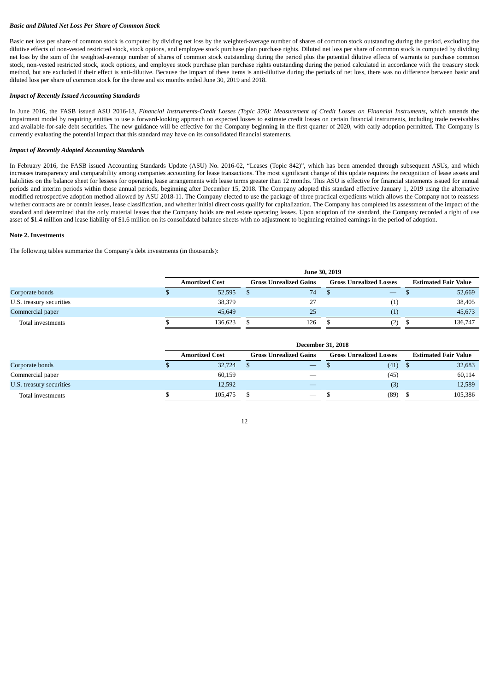# *Basic and Diluted Net Loss Per Share of Common Stock*

Basic net loss per share of common stock is computed by dividing net loss by the weighted-average number of shares of common stock outstanding during the period, excluding the dilutive effects of non-vested restricted stock, stock options, and employee stock purchase plan purchase rights. Diluted net loss per share of common stock is computed by dividing net loss by the sum of the weighted-average number of shares of common stock outstanding during the period plus the potential dilutive effects of warrants to purchase common stock, non-vested restricted stock, stock options, and employee stock purchase plan purchase rights outstanding during the period calculated in accordance with the treasury stock method, but are excluded if their effect is anti-dilutive. Because the impact of these items is anti-dilutive during the periods of net loss, there was no difference between basic and diluted loss per share of common stock for the three and six months ended June 30, 2019 and 2018.

#### *Impact of Recently Issued Accounting Standards*

In June 2016, the FASB issued ASU 2016-13, Financial Instruments-Credit Losses (Topic 326): Measurement of Credit Losses on Financial Instruments, which amends the impairment model by requiring entities to use a forward-looking approach on expected losses to estimate credit losses on certain financial instruments, including trade receivables and available-for-sale debt securities. The new guidance will be effective for the Company beginning in the first quarter of 2020, with early adoption permitted. The Company is currently evaluating the potential impact that this standard may have on its consolidated financial statements.

# *Impact of Recently Adopted Accounting Standards*

In February 2016, the FASB issued Accounting Standards Update (ASU) No. 2016-02, "Leases (Topic 842)", which has been amended through subsequent ASUs, and which increases transparency and comparability among companies accounting for lease transactions. The most significant change of this update requires the recognition of lease assets and liabilities on the balance sheet for lessees for operating lease arrangements with lease terms greater than 12 months. This ASU is effective for financial statements issued for annual periods and interim periods within those annual periods, beginning after December 15, 2018. The Company adopted this standard effective January 1, 2019 using the alternative modified retrospective adoption method allowed by ASU 2018-11. The Company elected to use the package of three practical expedients which allows the Company not to reassess whether contracts are or contain leases, lease classification, and whether initial direct costs qualify for capitalization. The Company has completed its assessment of the impact of the standard and determined that the only material leases that the Company holds are real estate operating leases. Upon adoption of the standard, the Company recorded a right of use asset of \$1.4 million and lease liability of \$1.6 million on its consolidated balance sheets with no adjustment to beginning retained earnings in the period of adoption.

#### **Note 2. Investments**

The following tables summarize the Company's debt investments (in thousands):

|                          |  | <b>June 30, 2019</b>  |  |                               |  |                                |                             |         |  |  |  |  |
|--------------------------|--|-----------------------|--|-------------------------------|--|--------------------------------|-----------------------------|---------|--|--|--|--|
|                          |  | <b>Amortized Cost</b> |  | <b>Gross Unrealized Gains</b> |  | <b>Gross Unrealized Losses</b> | <b>Estimated Fair Value</b> |         |  |  |  |  |
| Corporate bonds          |  | 52,595                |  | 74                            |  |                                |                             | 52,669  |  |  |  |  |
| U.S. treasury securities |  | 38,379                |  | 27                            |  | (1)                            |                             | 38,405  |  |  |  |  |
| Commercial paper         |  | 45.649                |  | 25                            |  | (1)                            |                             | 45,673  |  |  |  |  |
| Total investments        |  | 136,623               |  | 126                           |  | (2)                            |                             | 136,747 |  |  |  |  |

|                          |  | <b>December 31, 2018</b> |                               |                                 |                                |      |                             |         |  |  |  |
|--------------------------|--|--------------------------|-------------------------------|---------------------------------|--------------------------------|------|-----------------------------|---------|--|--|--|
|                          |  | <b>Amortized Cost</b>    | <b>Gross Unrealized Gains</b> |                                 | <b>Gross Unrealized Losses</b> |      | <b>Estimated Fair Value</b> |         |  |  |  |
| Corporate bonds          |  | 32,724                   |                               | $\hspace{0.05cm}$               |                                | (41) | - 5                         | 32,683  |  |  |  |
| Commercial paper         |  | 60,159                   |                               |                                 |                                | (45) |                             | 60,114  |  |  |  |
| U.S. treasury securities |  | 12.592                   |                               |                                 |                                | (3)  |                             | 12,589  |  |  |  |
| Total investments        |  | 105.475                  |                               | $\hspace{0.1mm}-\hspace{0.1mm}$ |                                | (89) |                             | 105,386 |  |  |  |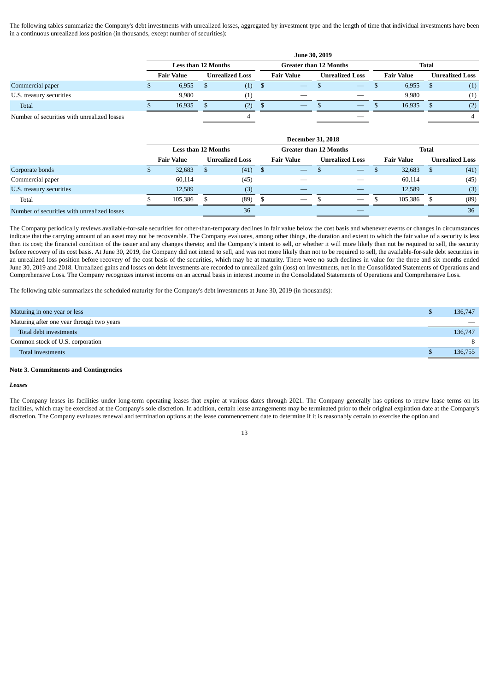The following tables summarize the Company's debt investments with unrealized losses, aggregated by investment type and the length of time that individual investments have been in a continuous unrealized loss position (in thousands, except number of securities):

|                                             |                            |  |                        |   |                                 | <b>June 30, 2019</b> |                                 |                   |     |                        |
|---------------------------------------------|----------------------------|--|------------------------|---|---------------------------------|----------------------|---------------------------------|-------------------|-----|------------------------|
|                                             | <b>Less than 12 Months</b> |  |                        |   | <b>Greater than 12 Months</b>   |                      |                                 | Total             |     |                        |
|                                             | <b>Fair Value</b>          |  | <b>Unrealized Loss</b> |   | <b>Fair Value</b>               |                      | <b>Unrealized Loss</b>          | <b>Fair Value</b> |     | <b>Unrealized Loss</b> |
| Commercial paper                            | 6,955                      |  | (1)                    | D | $\hspace{0.1mm}-\hspace{0.1mm}$ |                      | $\hspace{0.1mm}-\hspace{0.1mm}$ | 6,955             | S   | (1)                    |
| U.S. treasury securities                    | 9.980                      |  | $\left(1\right)$       |   | $\overline{\phantom{a}}$        |                      | $\overline{\phantom{a}}$        | 9.980             |     | (1)                    |
| Total                                       | 16.935                     |  | (2)                    |   | $\hspace{0.1mm}-\hspace{0.1mm}$ |                      | $\hspace{0.1mm}-\hspace{0.1mm}$ | 16.935            | \$. | (2)                    |
| Number of securities with unrealized losses |                            |  |                        |   |                                 |                      |                                 |                   |     |                        |

|                                             |                            |              |                        |   | <b>December 31, 2018</b>      |                          |              |                   |  |                 |
|---------------------------------------------|----------------------------|--------------|------------------------|---|-------------------------------|--------------------------|--------------|-------------------|--|-----------------|
|                                             | <b>Less than 12 Months</b> |              |                        |   | <b>Greater than 12 Months</b> |                          | <b>Total</b> |                   |  |                 |
|                                             | <b>Fair Value</b>          |              | <b>Unrealized Loss</b> |   | <b>Fair Value</b>             | <b>Unrealized Loss</b>   |              | <b>Fair Value</b> |  | Unrealized Loss |
| Corporate bonds                             | 32,683                     | <sup>8</sup> | (41)                   | Ъ | $\overline{\phantom{m}}$      | $\overline{\phantom{m}}$ |              | 32,683            |  | (41)            |
| Commercial paper                            | 60,114                     |              | (45)                   |   |                               |                          |              | 60.114            |  | (45)            |
| U.S. treasury securities                    | 12.589                     |              | (3)                    |   |                               |                          |              | 12.589            |  | (3)             |
| Total                                       | 105,386                    |              | (89)                   |   | $\overline{\phantom{m}}$      | $\overline{\phantom{m}}$ |              | 105.386           |  | (89)            |
| Number of securities with unrealized losses |                            |              | 36                     |   |                               |                          |              |                   |  | 36              |

The Company periodically reviews available-for-sale securities for other-than-temporary declines in fair value below the cost basis and whenever events or changes in circumstances indicate that the carrying amount of an asset may not be recoverable. The Company evaluates, among other things, the duration and extent to which the fair value of a security is less than its cost; the financial condition of the issuer and any changes thereto; and the Company's intent to sell, or whether it will more likely than not be required to sell, the security before recovery of its cost basis. At June 30, 2019, the Company did not intend to sell, and was not more likely than not to be required to sell, the available-for-sale debt securities in an unrealized loss position before recovery of the cost basis of the securities, which may be at maturity. There were no such declines in value for the three and six months ended June 30, 2019 and 2018. Unrealized gains and losses on debt investments are recorded to unrealized gain (loss) on investments, net in the Consolidated Statements of Operations and Comprehensive Loss. The Company recognizes interest income on an accrual basis in interest income in the Consolidated Statements of Operations and Comprehensive Loss.

The following table summarizes the scheduled maturity for the Company's debt investments at June 30, 2019 (in thousands):

| Maturing in one year or less              | 136,747                  |
|-------------------------------------------|--------------------------|
| Maturing after one year through two years | $\overline{\phantom{a}}$ |
| Total debt investments                    | 136,747                  |
| Common stock of U.S. corporation          | 8                        |
| Total investments                         | 136,755                  |

#### **Note 3. Commitments and Contingencies**

#### *Leases*

The Company leases its facilities under long-term operating leases that expire at various dates through 2021. The Company generally has options to renew lease terms on its facilities, which may be exercised at the Company's sole discretion. In addition, certain lease arrangements may be terminated prior to their original expiration date at the Company's discretion. The Company evaluates renewal and termination options at the lease commencement date to determine if it is reasonably certain to exercise the option and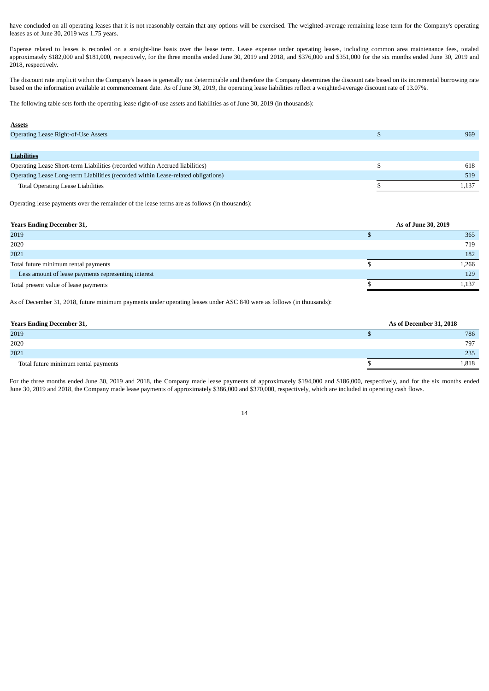have concluded on all operating leases that it is not reasonably certain that any options will be exercised. The weighted-average remaining lease term for the Company's operating leases as of June 30, 2019 was 1.75 years.

Expense related to leases is recorded on a straight-line basis over the lease term. Lease expense under operating leases, including common area maintenance fees, totaled approximately \$182,000 and \$181,000, respectively, for the three months ended June 30, 2019 and 2018, and \$376,000 and \$351,000 for the six months ended June 30, 2019 and 2018, respectively.

The discount rate implicit within the Company's leases is generally not determinable and therefore the Company determines the discount rate based on its incremental borrowing rate based on the information available at commencement date. As of June 30, 2019, the operating lease liabilities reflect a weighted-average discount rate of 13.07%.

The following table sets forth the operating lease right-of-use assets and liabilities as of June 30, 2019 (in thousands):

# **Assets**

| <b>Operating Lease Right-of-Use Assets</b>                                        | 969   |
|-----------------------------------------------------------------------------------|-------|
|                                                                                   |       |
| <b>Liabilities</b>                                                                |       |
| Operating Lease Short-term Liabilities (recorded within Accrued liabilities)      | 618   |
| Operating Lease Long-term Liabilities (recorded within Lease-related obligations) | 519   |
| <b>Total Operating Lease Liabilities</b>                                          | 1.137 |

Operating lease payments over the remainder of the lease terms are as follows (in thousands):

| <b>Years Ending December 31,</b>                    |  | As of June 30, 2019 |
|-----------------------------------------------------|--|---------------------|
| 2019                                                |  | 365                 |
| 2020                                                |  | 719                 |
| 2021                                                |  | 182                 |
| Total future minimum rental payments                |  | 1,266               |
| Less amount of lease payments representing interest |  | 129                 |
| Total present value of lease payments               |  | 1,137               |

As of December 31, 2018, future minimum payments under operating leases under ASC 840 were as follows (in thousands):

| <b>Years Ending December 31,</b>     | As of December 31, 2018 |  |  |
|--------------------------------------|-------------------------|--|--|
| 2019                                 | 786                     |  |  |
| 2020                                 | 797                     |  |  |
| 2021                                 | 235                     |  |  |
| Total future minimum rental payments | 1,818                   |  |  |

For the three months ended June 30, 2019 and 2018, the Company made lease payments of approximately \$194,000 and \$186,000, respectively, and for the six months ended June 30, 2019 and 2018, the Company made lease payments of approximately \$386,000 and \$370,000, respectively, which are included in operating cash flows.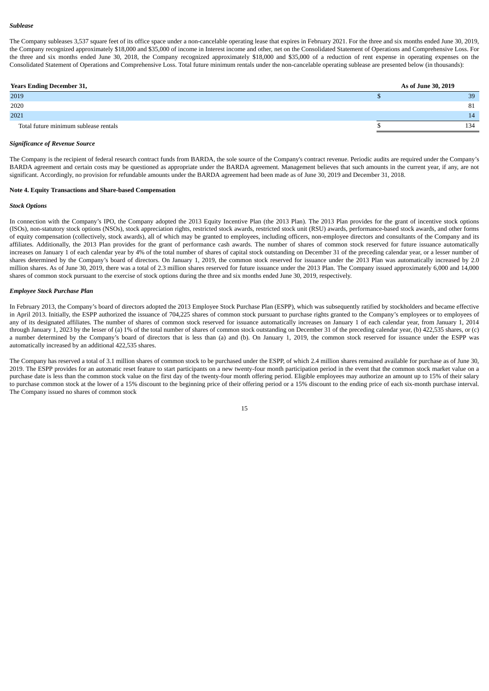#### *Sublease*

The Company subleases 3,537 square feet of its office space under a non-cancelable operating lease that expires in February 2021. For the three and six months ended June 30, 2019, the Company recognized approximately \$18,000 and \$35,000 of income in Interest income and other, net on the Consolidated Statement of Operations and Comprehensive Loss. For the three and six months ended June 30, 2018, the Company recognized approximately \$18,000 and \$35,000 of a reduction of rent expense in operating expenses on the Consolidated Statement of Operations and Comprehensive Loss. Total future minimum rentals under the non-cancelable operating sublease are presented below (in thousands):

| <b>Years Ending December 31,</b>      |  | As of June 30, 2019 |
|---------------------------------------|--|---------------------|
| 2019                                  |  | 39                  |
| 2020                                  |  | 81                  |
| 2021                                  |  | 14                  |
| Total future minimum sublease rentals |  | 134                 |

# *Significance of Revenue Source*

The Company is the recipient of federal research contract funds from BARDA, the sole source of the Company's contract revenue. Periodic audits are required under the Company's BARDA agreement and certain costs may be questioned as appropriate under the BARDA agreement. Management believes that such amounts in the current year, if any, are not significant. Accordingly, no provision for refundable amounts under the BARDA agreement had been made as of June 30, 2019 and December 31, 2018.

#### **Note 4. Equity Transactions and Share-based Compensation**

#### *Stock Options*

In connection with the Company's IPO, the Company adopted the 2013 Equity Incentive Plan (the 2013 Plan). The 2013 Plan provides for the grant of incentive stock options (ISOs), non-statutory stock options (NSOs), stock appreciation rights, restricted stock awards, restricted stock unit (RSU) awards, performance-based stock awards, and other forms of equity compensation (collectively, stock awards), all of which may be granted to employees, including officers, non-employee directors and consultants of the Company and its affiliates. Additionally, the 2013 Plan provides for the grant of performance cash awards. The number of shares of common stock reserved for future issuance automatically increases on January 1 of each calendar year by 4% of the total number of shares of capital stock outstanding on December 31 of the preceding calendar year, or a lesser number of shares determined by the Company's board of directors. On January 1, 2019, the common stock reserved for issuance under the 2013 Plan was automatically increased by 2.0 million shares. As of June 30, 2019, there was a total of 2.3 million shares reserved for future issuance under the 2013 Plan. The Company issued approximately 6,000 and 14,000 shares of common stock pursuant to the exercise of stock options during the three and six months ended June 30, 2019, respectively.

#### *Employee Stock Purchase Plan*

In February 2013, the Company's board of directors adopted the 2013 Employee Stock Purchase Plan (ESPP), which was subsequently ratified by stockholders and became effective in April 2013. Initially, the ESPP authorized the issuance of 704,225 shares of common stock pursuant to purchase rights granted to the Company's employees or to employees of any of its designated affiliates. The number of shares of common stock reserved for issuance automatically increases on January 1 of each calendar year, from January 1, 2014 through January 1, 2023 by the lesser of (a) 1% of the total number of shares of common stock outstanding on December 31 of the preceding calendar year, (b) 422,535 shares, or (c) a number determined by the Company's board of directors that is less than (a) and (b). On January 1, 2019, the common stock reserved for issuance under the ESPP was automatically increased by an additional 422,535 shares.

The Company has reserved a total of 3.1 million shares of common stock to be purchased under the ESPP, of which 2.4 million shares remained available for purchase as of June 30, 2019. The ESPP provides for an automatic reset feature to start participants on a new twenty-four month participation period in the event that the common stock market value on a purchase date is less than the common stock value on the first day of the twenty-four month offering period. Eligible employees may authorize an amount up to 15% of their salary to purchase common stock at the lower of a 15% discount to the beginning price of their offering period or a 15% discount to the ending price of each six-month purchase interval. The Company issued no shares of common stock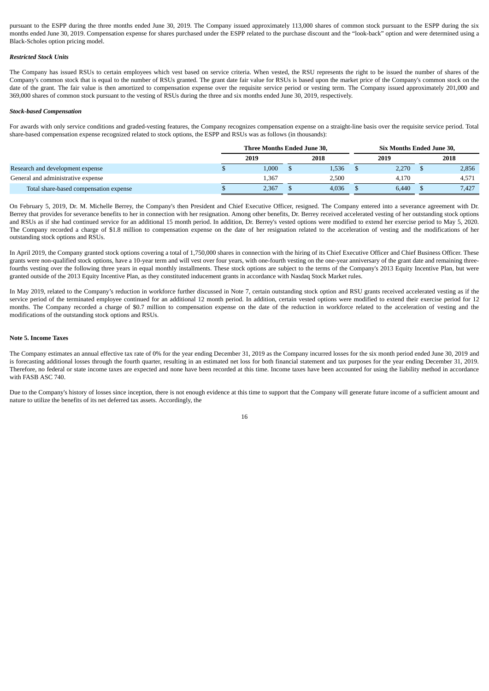pursuant to the ESPP during the three months ended June 30, 2019. The Company issued approximately 113,000 shares of common stock pursuant to the ESPP during the six months ended June 30, 2019. Compensation expense for shares purchased under the ESPP related to the purchase discount and the "look-back" option and were determined using a Black-Scholes option pricing model.

# *Restricted Stock Units*

The Company has issued RSUs to certain employees which vest based on service criteria. When vested, the RSU represents the right to be issued the number of shares of the Company's common stock that is equal to the number of RSUs granted. The grant date fair value for RSUs is based upon the market price of the Company's common stock on the date of the grant. The fair value is then amortized to compensation expense over the requisite service period or vesting term. The Company issued approximately 201,000 and 369,000 shares of common stock pursuant to the vesting of RSUs during the three and six months ended June 30, 2019, respectively.

#### *Stock-based Compensation*

For awards with only service conditions and graded-vesting features, the Company recognizes compensation expense on a straight-line basis over the requisite service period. Total share-based compensation expense recognized related to stock options, the ESPP and RSUs was as follows (in thousands):

|                                        | Three Months Ended June 30. |        |  |       |  | Six Months Ended June 30. |  |       |  |  |
|----------------------------------------|-----------------------------|--------|--|-------|--|---------------------------|--|-------|--|--|
|                                        |                             | 2019   |  | 2018  |  | 2019                      |  | 2018  |  |  |
| Research and development expense       |                             | 1.000. |  | 1.536 |  | 2,270                     |  | 2,856 |  |  |
| General and administrative expense     |                             | 1,367  |  | 2.500 |  | 4.170                     |  | 4,571 |  |  |
| Total share-based compensation expense |                             | 2,367  |  | 4,036 |  | 6,440                     |  | 7.427 |  |  |

On February 5, 2019, Dr. M. Michelle Berrey, the Company's then President and Chief Executive Officer, resigned. The Company entered into a severance agreement with Dr. Berrey that provides for severance benefits to her in connection with her resignation. Among other benefits, Dr. Berrey received accelerated vesting of her outstanding stock options and RSUs as if she had continued service for an additional 15 month period. In addition, Dr. Berrey's vested options were modified to extend her exercise period to May 5, 2020. The Company recorded a charge of \$1.8 million to compensation expense on the date of her resignation related to the acceleration of vesting and the modifications of her outstanding stock options and RSUs.

In April 2019, the Company granted stock options covering a total of 1,750,000 shares in connection with the hiring of its Chief Executive Officer and Chief Business Officer. These grants were non-qualified stock options, have a 10-year term and will vest over four years, with one-fourth vesting on the one-year anniversary of the grant date and remaining threefourths vesting over the following three years in equal monthly installments. These stock options are subject to the terms of the Company's 2013 Equity Incentive Plan, but were granted outside of the 2013 Equity Incentive Plan, as they constituted inducement grants in accordance with Nasdaq Stock Market rules.

In May 2019, related to the Company's reduction in workforce further discussed in Note 7, certain outstanding stock option and RSU grants received accelerated vesting as if the service period of the terminated employee continued for an additional 12 month period. In addition, certain vested options were modified to extend their exercise period for 12 months. The Company recorded a charge of \$0.7 million to compensation expense on the date of the reduction in workforce related to the acceleration of vesting and the modifications of the outstanding stock options and RSUs.

## **Note 5. Income Taxes**

The Company estimates an annual effective tax rate of 0% for the year ending December 31, 2019 as the Company incurred losses for the six month period ended June 30, 2019 and is forecasting additional losses through the fourth quarter, resulting in an estimated net loss for both financial statement and tax purposes for the year ending December 31, 2019. Therefore, no federal or state income taxes are expected and none have been recorded at this time. Income taxes have been accounted for using the liability method in accordance with FASB ASC 740.

Due to the Company's history of losses since inception, there is not enough evidence at this time to support that the Company will generate future income of a sufficient amount and nature to utilize the benefits of its net deferred tax assets. Accordingly, the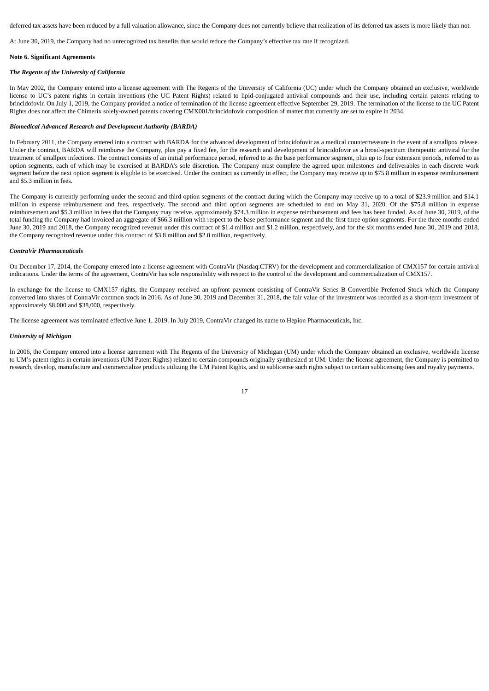deferred tax assets have been reduced by a full valuation allowance, since the Company does not currently believe that realization of its deferred tax assets is more likely than not.

At June 30, 2019, the Company had no unrecognized tax benefits that would reduce the Company's effective tax rate if recognized.

# **Note 6. Significant Agreements**

### *The Regents of the University of California*

In May 2002, the Company entered into a license agreement with The Regents of the University of California (UC) under which the Company obtained an exclusive, worldwide license to UC's patent rights in certain inventions (the UC Patent Rights) related to lipid-conjugated antiviral compounds and their use, including certain patents relating to brincidofovir. On July 1, 2019, the Company provided a notice of termination of the license agreement effective September 29, 2019. The termination of the license to the UC Patent Rights does not affect the Chimerix solely-owned patents covering CMX001/brincidofovir composition of matter that currently are set to expire in 2034.

#### *Biomedical Advanced Research and Development Authority (BARDA)*

In February 2011, the Company entered into a contract with BARDA for the advanced development of brincidofovir as a medical countermeasure in the event of a smallpox release. Under the contract, BARDA will reimburse the Company, plus pay a fixed fee, for the research and development of brincidofovir as a broad-spectrum therapeutic antiviral for the treatment of smallpox infections. The contract consists of an initial performance period, referred to as the base performance segment, plus up to four extension periods, referred to as option segments, each of which may be exercised at BARDA's sole discretion. The Company must complete the agreed upon milestones and deliverables in each discrete work segment before the next option segment is eligible to be exercised. Under the contract as currently in effect, the Company may receive up to \$75.8 million in expense reimbursement and \$5.3 million in fees.

The Company is currently performing under the second and third option segments of the contract during which the Company may receive up to a total of \$23.9 million and \$14.1 million in expense reimbursement and fees, respectively. The second and third option segments are scheduled to end on May 31, 2020. Of the \$75.8 million in expense reimbursement and \$5.3 million in fees that the Company may receive, approximately \$74.3 million in expense reimbursement and fees has been funded. As of June 30, 2019, of the total funding the Company had invoiced an aggregate of \$66.3 million with respect to the base performance segment and the first three option segments. For the three months ended June 30, 2019 and 2018, the Company recognized revenue under this contract of \$1.4 million and \$1.2 million, respectively, and for the six months ended June 30, 2019 and 2018, the Company recognized revenue under this contract of \$3.8 million and \$2.0 million, respectively.

#### *ContraVir Pharmaceuticals*

On December 17, 2014, the Company entered into a license agreement with ContraVir (Nasdaq:CTRV) for the development and commercialization of CMX157 for certain antiviral indications. Under the terms of the agreement, ContraVir has sole responsibility with respect to the control of the development and commercialization of CMX157.

In exchange for the license to CMX157 rights, the Company received an upfront payment consisting of ContraVir Series B Convertible Preferred Stock which the Company converted into shares of ContraVir common stock in 2016. As of June 30, 2019 and December 31, 2018, the fair value of the investment was recorded as a short-term investment of approximately \$8,000 and \$38,000, respectively.

The license agreement was terminated effective June 1, 2019. In July 2019, ContraVir changed its name to Hepion Pharmaceuticals, Inc.

### *University of Michigan*

In 2006, the Company entered into a license agreement with The Regents of the University of Michigan (UM) under which the Company obtained an exclusive, worldwide license to UM's patent rights in certain inventions (UM Patent Rights) related to certain compounds originally synthesized at UM. Under the license agreement, the Company is permitted to research, develop, manufacture and commercialize products utilizing the UM Patent Rights, and to sublicense such rights subject to certain sublicensing fees and royalty payments.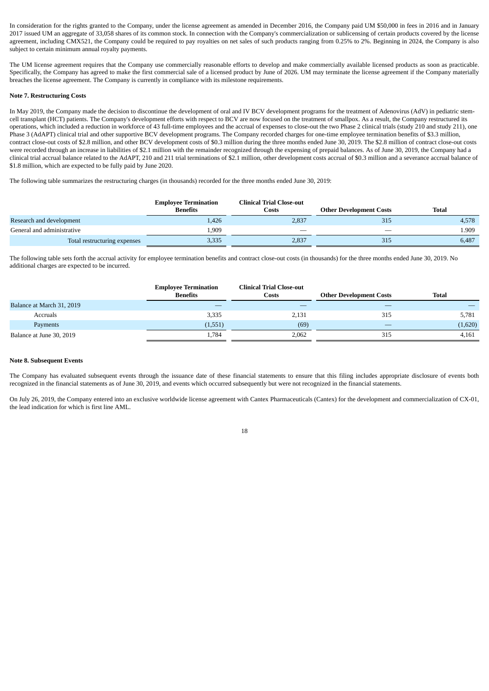In consideration for the rights granted to the Company, under the license agreement as amended in December 2016, the Company paid UM \$50,000 in fees in 2016 and in January 2017 issued UM an aggregate of 33,058 shares of its common stock. In connection with the Company's commercialization or sublicensing of certain products covered by the license agreement, including CMX521, the Company could be required to pay royalties on net sales of such products ranging from 0.25% to 2%. Beginning in 2024, the Company is also subject to certain minimum annual royalty payments.

The UM license agreement requires that the Company use commercially reasonable efforts to develop and make commercially available licensed products as soon as practicable. Specifically, the Company has agreed to make the first commercial sale of a licensed product by June of 2026. UM may terminate the license agreement if the Company materially breaches the license agreement. The Company is currently in compliance with its milestone requirements.

## **Note 7. Restructuring Costs**

In May 2019, the Company made the decision to discontinue the development of oral and IV BCV development programs for the treatment of Adenovirus (AdV) in pediatric stemcell transplant (HCT) patients. The Company's development efforts with respect to BCV are now focused on the treatment of smallpox. As a result, the Company restructured its operations, which included a reduction in workforce of 43 full-time employees and the accrual of expenses to close-out the two Phase 2 clinical trials (study 210 and study 211), one Phase 3 (AdAPT) clinical trial and other supportive BCV development programs. The Company recorded charges for one-time employee termination benefits of \$3.3 million, contract close-out costs of \$2.8 million, and other BCV development costs of \$0.3 million during the three months ended June 30, 2019. The \$2.8 million of contract close-out costs were recorded through an increase in liabilities of \$2.1 million with the remainder recognized through the expensing of prepaid balances. As of June 30, 2019, the Company had a clinical trial accrual balance related to the AdAPT, 210 and 211 trial terminations of \$2.1 million, other development costs accrual of \$0.3 million and a severance accrual balance of \$1.8 million, which are expected to be fully paid by June 2020.

The following table summarizes the restructuring charges (in thousands) recorded for the three months ended June 30, 2019:

|                              | <b>Employee Termination</b><br><b>Benefits</b> | <b>Clinical Trial Close-out</b><br>Costs | <b>Other Development Costs</b> | Total |
|------------------------------|------------------------------------------------|------------------------------------------|--------------------------------|-------|
| Research and development     | 1,426                                          | 2,837                                    | 315                            | 4,578 |
| General and administrative   | 1,909                                          | __                                       | _                              | 1.909 |
| Total restructuring expenses | 3,335                                          | 2,837                                    | 315                            | 6,487 |

The following table sets forth the accrual activity for employee termination benefits and contract close-out costs (in thousands) for the three months ended June 30, 2019. No additional charges are expected to be incurred.

|                           | <b>Employee Termination</b><br><b>Benefits</b> | <b>Clinical Trial Close-out</b><br>Costs | <b>Other Development Costs</b> | <b>Total</b> |
|---------------------------|------------------------------------------------|------------------------------------------|--------------------------------|--------------|
| Balance at March 31, 2019 |                                                |                                          |                                |              |
| Accruals                  | 3,335                                          | 2,131                                    | 315                            | 5,781        |
| Payments                  | (1, 551)                                       | (69)                                     |                                | (1,620)      |
| Balance at June 30, 2019  | 1,784                                          | 2,062                                    | 315                            | 4,161        |

# **Note 8. Subsequent Events**

The Company has evaluated subsequent events through the issuance date of these financial statements to ensure that this filing includes appropriate disclosure of events both recognized in the financial statements as of June 30, 2019, and events which occurred subsequently but were not recognized in the financial statements.

On July 26, 2019, the Company entered into an exclusive worldwide license agreement with Cantex Pharmaceuticals (Cantex) for the development and commercialization of CX-01, the lead indication for which is first line AML.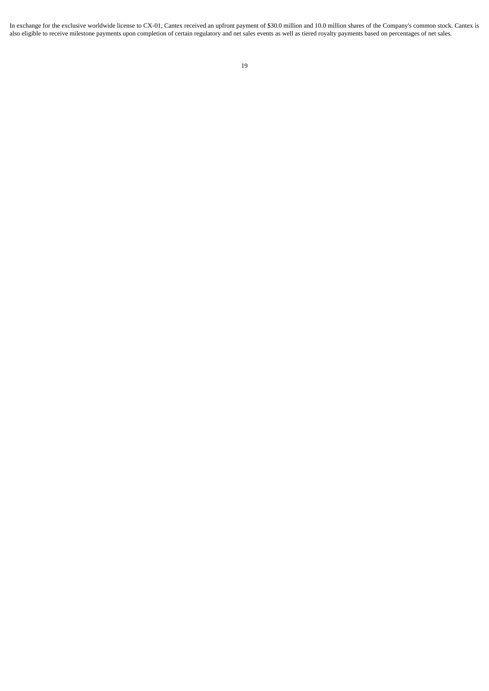In exchange for the exclusive worldwide license to CX-01, Cantex received an upfront payment of \$30.0 million and 10.0 million shares of the Company's common stock. Cantex is also eligible to receive milestone payments upon completion of certain regulatory and net sales events as well as tiered royalty payments based on percentages of net sales.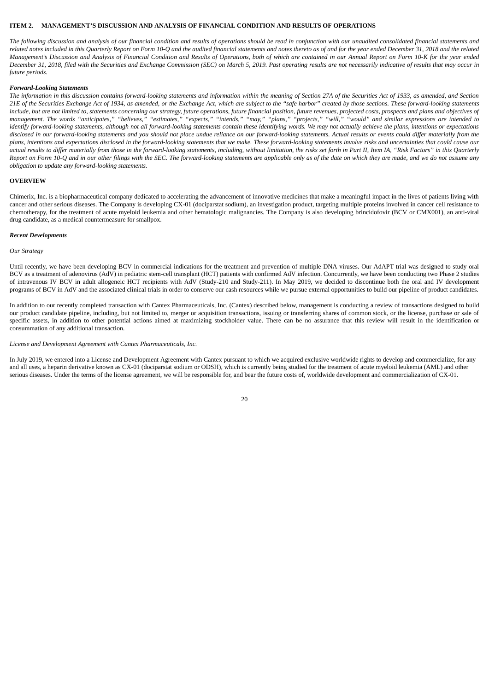# <span id="page-20-0"></span>**ITEM 2. MANAGEMENT'S DISCUSSION AND ANALYSIS OF FINANCIAL CONDITION AND RESULTS OF OPERATIONS**

The following discussion and analysis of our financial condition and results of operations should be read in conjunction with our unaudited consolidated financial statements and related notes included in this Quarterly Report on Form 10-Q and the audited financial statements and notes thereto as of and for the year ended December 31, 2018 and the related Management's Discussion and Analysis of Financial Condition and Results of Operations, both of which are contained in our Annual Report on Form 10-K for the year ended December 31, 2018, filed with the Securities and Exchange Commission (SEC) on March 5, 2019. Past operating results are not necessarily indicative of results that may occur in *future periods.*

## *Forward-Looking Statements*

The information in this discussion contains forward-looking statements and information within the meaning of Section 27A of the Securities Act of 1933, as amended, and Section 21E of the Securities Exchange Act of 1934, as amended, or the Exchange Act, which are subject to the "safe harbor" created by those sections. These forward-looking statements include, but are not limited to, statements concerning our strategy, future operations, future financial position, future revenues, projected costs, prospects and plans and objectives of management. The words "anticipates," "believes," "estimates," "expects," "intends," "may," "plans," "projects," "will," "would" and similar expressions are intended to identify forward-looking statements, although not all forward-looking statements contain these identifying words. We may not actually achieve the plans, intentions or expectations disclosed in our forward-looking statements and you should not place undue reliance on our forward-looking statements. Actual results or events could differ materially from the plans, intentions and expectations disclosed in the forward-looking statements that we make. These forward-looking statements involve risks and uncertainties that could cause our actual results to differ materially from those in the forward-looking statements, including, without limitation, the risks set forth in Part II, Item IA, "Risk Factors" in this Quarterly Report on Form 10-Q and in our other filings with the SEC. The forward-looking statements are applicable only as of the date on which they are made, and we do not assume any *obligation to update any forward-looking statements.*

#### **OVERVIEW**

Chimerix, Inc. is a biopharmaceutical company dedicated to accelerating the advancement of innovative medicines that make a meaningful impact in the lives of patients living with cancer and other serious diseases. The Company is developing CX-01 (dociparstat sodium), an investigation product, targeting multiple proteins involved in cancer cell resistance to chemotherapy, for the treatment of acute myeloid leukemia and other hematologic malignancies. The Company is also developing brincidofovir (BCV or CMX001), an anti-viral drug candidate, as a medical countermeasure for smallpox.

#### *Recent Developments*

#### *Our Strategy*

Until recently, we have been developing BCV in commercial indications for the treatment and prevention of multiple DNA viruses. Our AdAPT trial was designed to study oral BCV as a treatment of adenovirus (AdV) in pediatric stem-cell transplant (HCT) patients with confirmed AdV infection. Concurrently, we have been conducting two Phase 2 studies of intravenous IV BCV in adult allogeneic HCT recipients with AdV (Study-210 and Study-211). In May 2019, we decided to discontinue both the oral and IV development programs of BCV in AdV and the associated clinical trials in order to conserve our cash resources while we pursue external opportunities to build our pipeline of product candidates.

In addition to our recently completed transaction with Cantex Pharmaceuticals, Inc. (Cantex) described below, management is conducting a review of transactions designed to build our product candidate pipeline, including, but not limited to, merger or acquisition transactions, issuing or transferring shares of common stock, or the license, purchase or sale of specific assets, in addition to other potential actions aimed at maximizing stockholder value. There can be no assurance that this review will result in the identification or consummation of any additional transaction.

# *License and Development Agreement with Cantex Pharmaceuticals, Inc.*

In July 2019, we entered into a License and Development Agreement with Cantex pursuant to which we acquired exclusive worldwide rights to develop and commercialize, for any and all uses, a heparin derivative known as CX-01 (dociparstat sodium or ODSH), which is currently being studied for the treatment of acute myeloid leukemia (AML) and other serious diseases. Under the terms of the license agreement, we will be responsible for, and bear the future costs of, worldwide development and commercialization of CX-01.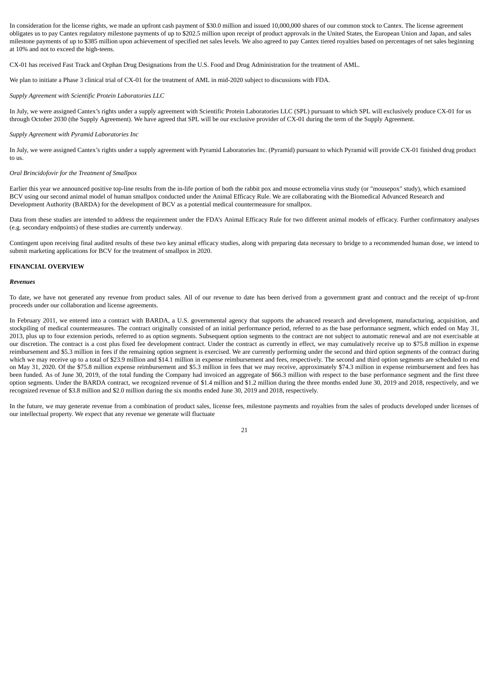In consideration for the license rights, we made an upfront cash payment of \$30.0 million and issued 10,000,000 shares of our common stock to Cantex. The license agreement obligates us to pay Cantex regulatory milestone payments of up to \$202.5 million upon receipt of product approvals in the United States, the European Union and Japan, and sales milestone payments of up to \$385 million upon achievement of specified net sales levels. We also agreed to pay Cantex tiered royalties based on percentages of net sales beginning at 10% and not to exceed the high-teens.

CX-01 has received Fast Track and Orphan Drug Designations from the U.S. Food and Drug Administration for the treatment of AML.

We plan to initiate a Phase 3 clinical trial of CX-01 for the treatment of AML in mid-2020 subject to discussions with FDA.

*Supply Agreement with Scientific Protein Laboratories LLC*

In July, we were assigned Cantex's rights under a supply agreement with Scientific Protein Laboratories LLC (SPL) pursuant to which SPL will exclusively produce CX-01 for us through October 2030 (the Supply Agreement). We have agreed that SPL will be our exclusive provider of CX-01 during the term of the Supply Agreement.

# *Supply Agreement with Pyramid Laboratories Inc*

In July, we were assigned Cantex's rights under a supply agreement with Pyramid Laboratories Inc. (Pyramid) pursuant to which Pyramid will provide CX-01 finished drug product to us.

# *Oral Brincidofovir for the Treatment of Smallpox*

Earlier this year we announced positive top-line results from the in-life portion of both the rabbit pox and mouse ectromelia virus study (or "mousepox" study), which examined BCV using our second animal model of human smallpox conducted under the Animal Efficacy Rule. We are collaborating with the Biomedical Advanced Research and Development Authority (BARDA) for the development of BCV as a potential medical countermeasure for smallpox.

Data from these studies are intended to address the requirement under the FDA's Animal Efficacy Rule for two different animal models of efficacy. Further confirmatory analyses (e.g. secondary endpoints) of these studies are currently underway.

Contingent upon receiving final audited results of these two key animal efficacy studies, along with preparing data necessary to bridge to a recommended human dose, we intend to submit marketing applications for BCV for the treatment of smallpox in 2020.

#### **FINANCIAL OVERVIEW**

## *Revenues*

To date, we have not generated any revenue from product sales. All of our revenue to date has been derived from a government grant and contract and the receipt of up-front proceeds under our collaboration and license agreements.

In February 2011, we entered into a contract with BARDA, a U.S. governmental agency that supports the advanced research and development, manufacturing, acquisition, and stockpiling of medical countermeasures. The contract originally consisted of an initial performance period, referred to as the base performance segment, which ended on May 31, 2013, plus up to four extension periods, referred to as option segments. Subsequent option segments to the contract are not subject to automatic renewal and are not exercisable at our discretion. The contract is a cost plus fixed fee development contract. Under the contract as currently in effect, we may cumulatively receive up to \$75.8 million in expense reimbursement and \$5.3 million in fees if the remaining option segment is exercised. We are currently performing under the second and third option segments of the contract during which we may receive up to a total of \$23.9 million and \$14.1 million in expense reimbursement and fees, respectively. The second and third option segments are scheduled to end on May 31, 2020. Of the \$75.8 million expense reimbursement and \$5.3 million in fees that we may receive, approximately \$74.3 million in expense reimbursement and fees has been funded. As of June 30, 2019, of the total funding the Company had invoiced an aggregate of \$66.3 million with respect to the base performance segment and the first three option segments. Under the BARDA contract, we recognized revenue of \$1.4 million and \$1.2 million during the three months ended June 30, 2019 and 2018, respectively, and we recognized revenue of \$3.8 million and \$2.0 million during the six months ended June 30, 2019 and 2018, respectively.

In the future, we may generate revenue from a combination of product sales, license fees, milestone payments and royalties from the sales of products developed under licenses of our intellectual property. We expect that any revenue we generate will fluctuate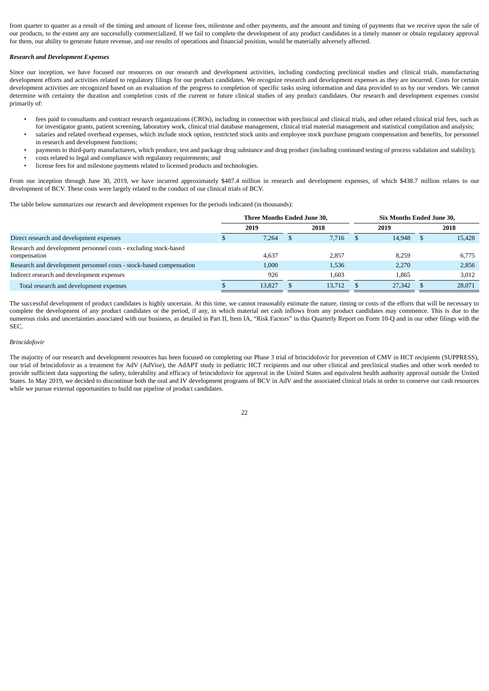from quarter to quarter as a result of the timing and amount of license fees, milestone and other payments, and the amount and timing of payments that we receive upon the sale of our products, to the extent any are successfully commercialized. If we fail to complete the development of any product candidates in a timely manner or obtain regulatory approval for them, our ability to generate future revenue, and our results of operations and financial position, would be materially adversely affected.

# *Research and Development Expenses*

Since our inception, we have focused our resources on our research and development activities, including conducting preclinical studies and clinical trials, manufacturing development efforts and activities related to regulatory filings for our product candidates. We recognize research and development expenses as they are incurred. Costs for certain development activities are recognized based on an evaluation of the progress to completion of specific tasks using information and data provided to us by our vendors. We cannot determine with certainty the duration and completion costs of the current or future clinical studies of any product candidates. Our research and development expenses consist primarily of:

- fees paid to consultants and contract research organizations (CROs), including in connection with preclinical and clinical trials, and other related clinical trial fees, such as for investigator grants, patient screening, laboratory work, clinical trial database management, clinical trial material management and statistical compilation and analysis;
- salaries and related overhead expenses, which include stock option, restricted stock units and employee stock purchase program compensation and benefits, for personnel in research and development functions;
- payments to third-party manufacturers, which produce, test and package drug substance and drug product (including continued testing of process validation and stability);
- costs related to legal and compliance with regulatory requirements; and
- license fees for and milestone payments related to licensed products and technologies.

From our inception through June 30, 2019, we have incurred approximately \$487.4 million in research and development expenses, of which \$438.7 million relates to our development of BCV. These costs were largely related to the conduct of our clinical trials of BCV.

The table below summarizes our research and development expenses for the periods indicated (in thousands):

|                                                                     | Three Months Ended June 30, |        |  |        |  | <b>Six Months Ended June 30,</b> |    |        |  |
|---------------------------------------------------------------------|-----------------------------|--------|--|--------|--|----------------------------------|----|--------|--|
|                                                                     |                             | 2019   |  | 2018   |  | 2019                             |    | 2018   |  |
| Direct research and development expenses                            |                             | 7.264  |  | 7.716  |  | 14.948                           | -S | 15.428 |  |
| Research and development personnel costs - excluding stock-based    |                             |        |  |        |  |                                  |    |        |  |
| compensation                                                        |                             | 4.637  |  | 2,857  |  | 8.259                            |    | 6.775  |  |
| Research and development personnel costs - stock-based compensation |                             | 1,000  |  | 1,536  |  | 2,270                            |    | 2,856  |  |
| Indirect research and development expenses                          |                             | 926    |  | 1.603  |  | 1.865                            |    | 3,012  |  |
| Total research and development expenses                             |                             | 13.827 |  | 13.712 |  | 27,342                           |    | 28.071 |  |

The successful development of product candidates is highly uncertain. At this time, we cannot reasonably estimate the nature, timing or costs of the efforts that will be necessary to complete the development of any product candidates or the period, if any, in which material net cash inflows from any product candidates may commence. This is due to the numerous risks and uncertainties associated with our business, as detailed in Part II, Item IA, "Risk Factors" in this Quarterly Report on Form 10-Q and in our other filings with the SEC.

## *Brincidofovir*

The majority of our research and development resources has been focused on completing our Phase 3 trial of brincidofovir for prevention of CMV in HCT recipients (SUPPRESS), our trial of brincidofovir as a treatment for AdV (AdVise), the AdAPT study in pediatric HCT recipients and our other clinical and preclinical studies and other work needed to provide sufficient data supporting the safety, tolerability and efficacy of brincidofovir for approval in the United States and equivalent health authority approval outside the United States. In May 2019, we decided to discontinue both the oral and IV development programs of BCV in AdV and the associated clinical trials in order to conserve our cash resources while we pursue external opportunities to build our pipeline of product candidates.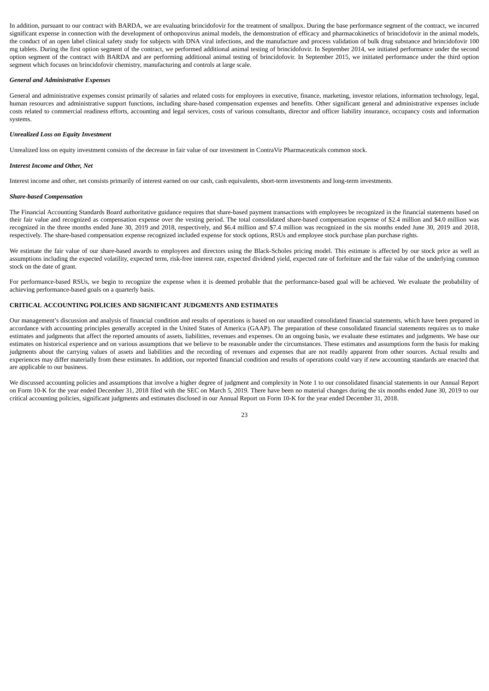In addition, pursuant to our contract with BARDA, we are evaluating brincidofovir for the treatment of smallpox. During the base performance segment of the contract, we incurred significant expense in connection with the development of orthopoxvirus animal models, the demonstration of efficacy and pharmacokinetics of brincidofovir in the animal models, the conduct of an open label clinical safety study for subjects with DNA viral infections, and the manufacture and process validation of bulk drug substance and brincidofovir 100 mg tablets. During the first option segment of the contract, we performed additional animal testing of brincidofovir. In September 2014, we initiated performance under the second option segment of the contract with BARDA and are performing additional animal testing of brincidofovir. In September 2015, we initiated performance under the third option segment which focuses on brincidofovir chemistry, manufacturing and controls at large scale.

# *General and Administrative Expenses*

General and administrative expenses consist primarily of salaries and related costs for employees in executive, finance, marketing, investor relations, information technology, legal, human resources and administrative support functions, including share-based compensation expenses and benefits. Other significant general and administrative expenses include costs related to commercial readiness efforts, accounting and legal services, costs of various consultants, director and officer liability insurance, occupancy costs and information systems.

# *Unrealized Loss on Equity Investment*

Unrealized loss on equity investment consists of the decrease in fair value of our investment in ContraVir Pharmaceuticals common stock.

# *Interest Income and Other, Net*

Interest income and other, net consists primarily of interest earned on our cash, cash equivalents, short-term investments and long-term investments.

## *Share-based Compensation*

The Financial Accounting Standards Board authoritative guidance requires that share-based payment transactions with employees be recognized in the financial statements based on their fair value and recognized as compensation expense over the vesting period. The total consolidated share-based compensation expense of \$2.4 million and \$4.0 million was recognized in the three months ended June 30, 2019 and 2018, respectively, and \$6.4 million and \$7.4 million was recognized in the six months ended June 30, 2019 and 2018, respectively. The share-based compensation expense recognized included expense for stock options, RSUs and employee stock purchase plan purchase rights.

We estimate the fair value of our share-based awards to employees and directors using the Black-Scholes pricing model. This estimate is affected by our stock price as well as assumptions including the expected volatility, expected term, risk-free interest rate, expected dividend yield, expected rate of forfeiture and the fair value of the underlying common stock on the date of grant.

For performance-based RSUs, we begin to recognize the expense when it is deemed probable that the performance-based goal will be achieved. We evaluate the probability of achieving performance-based goals on a quarterly basis.

# **CRITICAL ACCOUNTING POLICIES AND SIGNIFICANT JUDGMENTS AND ESTIMATES**

Our management's discussion and analysis of financial condition and results of operations is based on our unaudited consolidated financial statements, which have been prepared in accordance with accounting principles generally accepted in the United States of America (GAAP). The preparation of these consolidated financial statements requires us to make estimates and judgments that affect the reported amounts of assets, liabilities, revenues and expenses. On an ongoing basis, we evaluate these estimates and judgments. We base our estimates on historical experience and on various assumptions that we believe to be reasonable under the circumstances. These estimates and assumptions form the basis for making judgments about the carrying values of assets and liabilities and the recording of revenues and expenses that are not readily apparent from other sources. Actual results and experiences may differ materially from these estimates. In addition, our reported financial condition and results of operations could vary if new accounting standards are enacted that are applicable to our business.

We discussed accounting policies and assumptions that involve a higher degree of judgment and complexity in Note 1 to our consolidated financial statements in our Annual Report on Form 10-K for the year ended December 31, 2018 filed with the SEC on March 5, 2019. There have been no material changes during the six months ended June 30, 2019 to our critical accounting policies, significant judgments and estimates disclosed in our Annual Report on Form 10-K for the year ended December 31, 2018.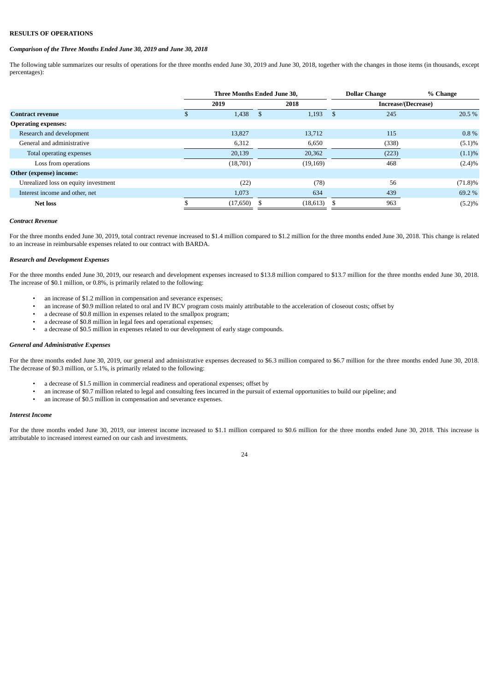# **RESULTS OF OPERATIONS**

# *Comparison of the Three Months Ended June 30, 2019 and June 30, 2018*

The following table summarizes our results of operations for the three months ended June 30, 2019 and June 30, 2018, together with the changes in those items (in thousands, except percentages):

|                                      | Three Months Ended June 30, |      |           |    | <b>Dollar Change</b> | % Change   |  |
|--------------------------------------|-----------------------------|------|-----------|----|----------------------|------------|--|
|                                      | 2019                        |      | 2018      |    | Increase/(Decrease)  |            |  |
| <b>Contract revenue</b>              | 1,438                       | - \$ | 1,193     | \$ | 245                  | 20.5 %     |  |
| <b>Operating expenses:</b>           |                             |      |           |    |                      |            |  |
| Research and development             | 13,827                      |      | 13,712    |    | 115                  | $0.8\%$    |  |
| General and administrative           | 6,312                       |      | 6,650     |    | (338)                | $(5.1)\%$  |  |
| Total operating expenses             | 20,139                      |      | 20,362    |    | (223)                | $(1.1)\%$  |  |
| Loss from operations                 | (18,701)                    |      | (19, 169) |    | 468                  | $(2.4)\%$  |  |
| Other (expense) income:              |                             |      |           |    |                      |            |  |
| Unrealized loss on equity investment | (22)                        |      | (78)      |    | 56                   | $(71.8)\%$ |  |
| Interest income and other, net       | 1,073                       |      | 634       |    | 439                  | 69.2 %     |  |
| <b>Net loss</b>                      | (17,650)                    |      | (18, 613) | -S | 963                  | $(5.2)\%$  |  |

# *Contract Revenue*

For the three months ended June 30, 2019, total contract revenue increased to \$1.4 million compared to \$1.2 million for the three months ended June 30, 2018. This change is related to an increase in reimbursable expenses related to our contract with BARDA.

# *Research and Development Expenses*

For the three months ended June 30, 2019, our research and development expenses increased to \$13.8 million compared to \$13.7 million for the three months ended June 30, 2018. The increase of \$0.1 million, or 0.8%, is primarily related to the following:

- an increase of \$1.2 million in compensation and severance expenses;
- an increase of \$0.9 million related to oral and IV BCV program costs mainly attributable to the acceleration of closeout costs; offset by
- a decrease of \$0.8 million in expenses related to the smallpox program;
- a decrease of \$0.8 million in legal fees and operational expenses;
- a decrease of \$0.5 million in expenses related to our development of early stage compounds.

# *General and Administrative Expenses*

For the three months ended June 30, 2019, our general and administrative expenses decreased to \$6.3 million compared to \$6.7 million for the three months ended June 30, 2018. The decrease of \$0.3 million, or 5.1%, is primarily related to the following:

- a decrease of \$1.5 million in commercial readiness and operational expenses; offset by
- an increase of \$0.7 million related to legal and consulting fees incurred in the pursuit of external opportunities to build our pipeline; and
- an increase of \$0.5 million in compensation and severance expenses.

### *Interest Income*

For the three months ended June 30, 2019, our interest income increased to \$1.1 million compared to \$0.6 million for the three months ended June 30, 2018. This increase is attributable to increased interest earned on our cash and investments.

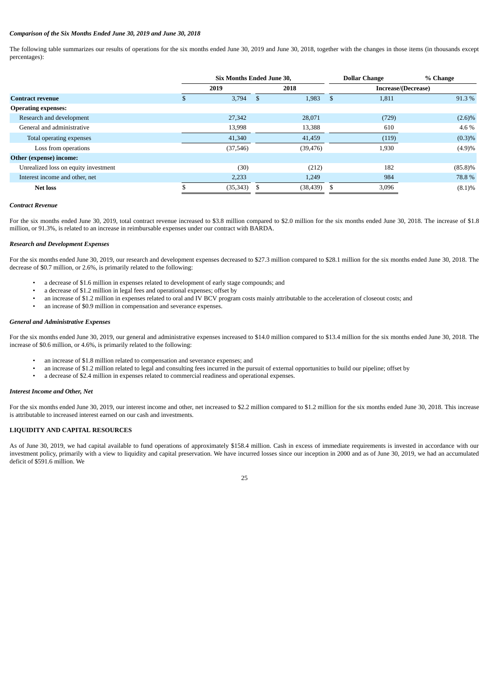# *Comparison of the Six Months Ended June 30, 2019 and June 30, 2018*

The following table summarizes our results of operations for the six months ended June 30, 2019 and June 30, 2018, together with the changes in those items (in thousands except percentages):

|                                      | <b>Six Months Ended June 30.</b> |           |      | <b>Dollar Change</b> |    | % Change |                     |
|--------------------------------------|----------------------------------|-----------|------|----------------------|----|----------|---------------------|
|                                      | 2019                             |           | 2018 |                      |    |          | Increase/(Decrease) |
| <b>Contract revenue</b>              |                                  | 3,794     | -\$  | 1,983                | \$ | 1,811    | 91.3%               |
| <b>Operating expenses:</b>           |                                  |           |      |                      |    |          |                     |
| Research and development             |                                  | 27,342    |      | 28,071               |    | (729)    | $(2.6)\%$           |
| General and administrative           |                                  | 13,998    |      | 13,388               |    | 610      | 4.6%                |
| Total operating expenses             |                                  | 41,340    |      | 41,459               |    | (119)    | (0.3)%              |
| Loss from operations                 |                                  | (37, 546) |      | (39, 476)            |    | 1,930    | (4.9)%              |
| Other (expense) income:              |                                  |           |      |                      |    |          |                     |
| Unrealized loss on equity investment |                                  | (30)      |      | (212)                |    | 182      | $(85.8)\%$          |
| Interest income and other, net       |                                  | 2,233     |      | 1,249                |    | 984      | 78.8%               |
| <b>Net loss</b>                      |                                  | (35, 343) |      | (38, 439)            |    | 3,096    | (8.1)%              |

# *Contract Revenue*

For the six months ended June 30, 2019, total contract revenue increased to \$3.8 million compared to \$2.0 million for the six months ended June 30, 2018. The increase of \$1.8 million, or 91.3%, is related to an increase in reimbursable expenses under our contract with BARDA.

## *Research and Development Expenses*

For the six months ended June 30, 2019, our research and development expenses decreased to \$27.3 million compared to \$28.1 million for the six months ended June 30, 2018. The decrease of \$0.7 million, or 2.6%, is primarily related to the following:

- a decrease of \$1.6 million in expenses related to development of early stage compounds; and<br>• a decrease of \$1.2 million in legal fees and operational expenses: offset by
- a decrease of \$1.2 million in legal fees and operational expenses; offset by
- an increase of \$1.2 million in expenses related to oral and IV BCV program costs mainly attributable to the acceleration of closeout costs; and
- an increase of \$0.9 million in compensation and severance expenses.

## *General and Administrative Expenses*

For the six months ended June 30, 2019, our general and administrative expenses increased to \$14.0 million compared to \$13.4 million for the six months ended June 30, 2018. The increase of \$0.6 million, or 4.6%, is primarily related to the following:

- an increase of \$1.8 million related to compensation and severance expenses; and
- an increase of \$1.2 million related to legal and consulting fees incurred in the pursuit of external opportunities to build our pipeline; offset by
- a decrease of \$2.4 million in expenses related to commercial readiness and operational expenses.

## *Interest Income and Other, Net*

For the six months ended June 30, 2019, our interest income and other, net increased to \$2.2 million compared to \$1.2 million for the six months ended June 30, 2018. This increase is attributable to increased interest earned on our cash and investments.

# **LIQUIDITY AND CAPITAL RESOURCES**

As of June 30, 2019, we had capital available to fund operations of approximately \$158.4 million. Cash in excess of immediate requirements is invested in accordance with our investment policy, primarily with a view to liquidity and capital preservation. We have incurred losses since our inception in 2000 and as of June 30, 2019, we had an accumulated deficit of \$591.6 million. We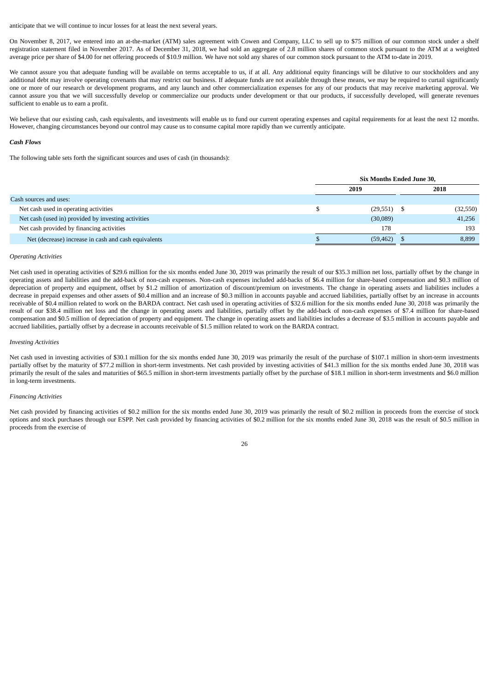anticipate that we will continue to incur losses for at least the next several years.

On November 8, 2017, we entered into an at-the-market (ATM) sales agreement with Cowen and Company, LLC to sell up to \$75 million of our common stock under a shelf registration statement filed in November 2017. As of December 31, 2018, we had sold an aggregate of 2.8 million shares of common stock pursuant to the ATM at a weighted average price per share of \$4.00 for net offering proceeds of \$10.9 million. We have not sold any shares of our common stock pursuant to the ATM to-date in 2019.

We cannot assure you that adequate funding will be available on terms acceptable to us, if at all. Any additional equity financings will be dilutive to our stockholders and any additional debt may involve operating covenants that may restrict our business. If adequate funds are not available through these means, we may be required to curtail significantly one or more of our research or development programs, and any launch and other commercialization expenses for any of our products that may receive marketing approval. We cannot assure you that we will successfully develop or commercialize our products under development or that our products, if successfully developed, will generate revenues sufficient to enable us to earn a profit.

We believe that our existing cash, cash equivalents, and investments will enable us to fund our current operating expenses and capital requirements for at least the next 12 months. However, changing circumstances beyond our control may cause us to consume capital more rapidly than we currently anticipate.

### *Cash Flows*

The following table sets forth the significant sources and uses of cash (in thousands):

|                                                      | Six Months Ended June 30. |               |  |           |
|------------------------------------------------------|---------------------------|---------------|--|-----------|
|                                                      |                           | 2019          |  | 2018      |
| Cash sources and uses:                               |                           |               |  |           |
| Net cash used in operating activities                |                           | $(29,551)$ \$ |  | (32, 550) |
| Net cash (used in) provided by investing activities  |                           | (30,089)      |  | 41,256    |
| Net cash provided by financing activities            |                           | 178           |  | 193       |
| Net (decrease) increase in cash and cash equivalents |                           | (59, 462)     |  | 8,899     |

# *Operating Activities*

Net cash used in operating activities of \$29.6 million for the six months ended June 30, 2019 was primarily the result of our \$35.3 million net loss, partially offset by the change in operating assets and liabilities and the add-back of non-cash expenses. Non-cash expenses included add-backs of \$6.4 million for share-based compensation and \$0.3 million of depreciation of property and equipment, offset by \$1.2 million of amortization of discount/premium on investments. The change in operating assets and liabilities includes a decrease in prepaid expenses and other assets of \$0.4 million and an increase of \$0.3 million in accounts payable and accrued liabilities, partially offset by an increase in accounts receivable of \$0.4 million related to work on the BARDA contract. Net cash used in operating activities of \$32.6 million for the six months ended June 30, 2018 was primarily the result of our \$38.4 million net loss and the change in operating assets and liabilities, partially offset by the add-back of non-cash expenses of \$7.4 million for share-based compensation and \$0.5 million of depreciation of property and equipment. The change in operating assets and liabilities includes a decrease of \$3.5 million in accounts payable and accrued liabilities, partially offset by a decrease in accounts receivable of \$1.5 million related to work on the BARDA contract.

#### *Investing Activities*

Net cash used in investing activities of \$30.1 million for the six months ended June 30, 2019 was primarily the result of the purchase of \$107.1 million in short-term investments partially offset by the maturity of \$77.2 million in short-term investments. Net cash provided by investing activities of \$41.3 million for the six months ended June 30, 2018 was primarily the result of the sales and maturities of \$65.5 million in short-term investments partially offset by the purchase of \$18.1 million in short-term investments and \$6.0 million in long-term investments.

# *Financing Activities*

Net cash provided by financing activities of \$0.2 million for the six months ended June 30, 2019 was primarily the result of \$0.2 million in proceeds from the exercise of stock options and stock purchases through our ESPP. Net cash provided by financing activities of \$0.2 million for the six months ended June 30, 2018 was the result of \$0.5 million in proceeds from the exercise of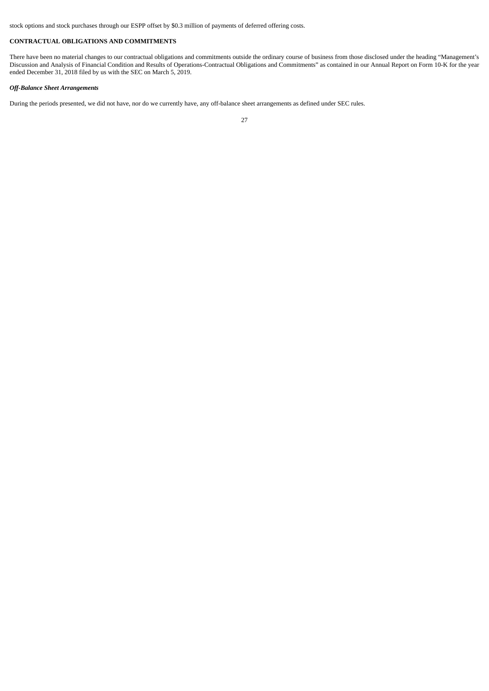stock options and stock purchases through our ESPP offset by \$0.3 million of payments of deferred offering costs.

# **CONTRACTUAL OBLIGATIONS AND COMMITMENTS**

There have been no material changes to our contractual obligations and commitments outside the ordinary course of business from those disclosed under the heading "Management's Discussion and Analysis of Financial Condition and Results of Operations-Contractual Obligations and Commitments" as contained in our Annual Report on Form 10-K for the year ended December 31, 2018 filed by us with the SEC on March 5, 2019.

# *Off-Balance Sheet Arrangements*

During the periods presented, we did not have, nor do we currently have, any off-balance sheet arrangements as defined under SEC rules.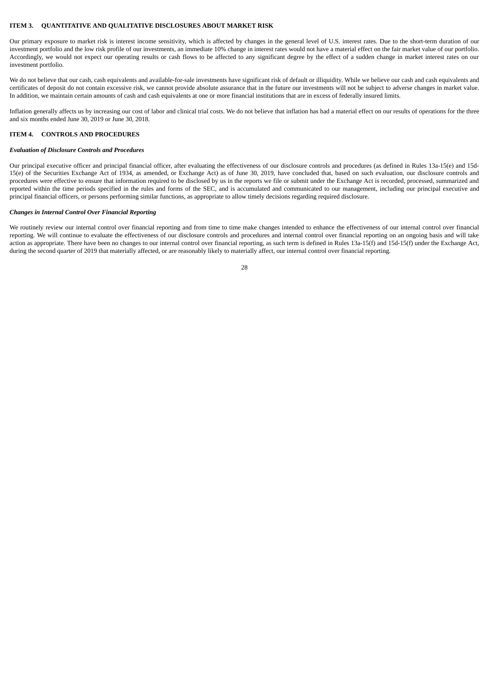# <span id="page-28-0"></span>**ITEM 3. QUANTITATIVE AND QUALITATIVE DISCLOSURES ABOUT MARKET RISK**

Our primary exposure to market risk is interest income sensitivity, which is affected by changes in the general level of U.S. interest rates. Due to the short-term duration of our investment portfolio and the low risk profile of our investments, an immediate 10% change in interest rates would not have a material effect on the fair market value of our portfolio. Accordingly, we would not expect our operating results or cash flows to be affected to any significant degree by the effect of a sudden change in market interest rates on our investment portfolio.

We do not believe that our cash, cash equivalents and available-for-sale investments have significant risk of default or illiquidity. While we believe our cash and cash equivalents and certificates of deposit do not contain excessive risk, we cannot provide absolute assurance that in the future our investments will not be subject to adverse changes in market value. In addition, we maintain certain amounts of cash and cash equivalents at one or more financial institutions that are in excess of federally insured limits.

Inflation generally affects us by increasing our cost of labor and clinical trial costs. We do not believe that inflation has had a material effect on our results of operations for the three and six months ended June 30, 2019 or June 30, 2018.

# <span id="page-28-1"></span>**ITEM 4. CONTROLS AND PROCEDURES**

# *Evaluation of Disclosure Controls and Procedures*

Our principal executive officer and principal financial officer, after evaluating the effectiveness of our disclosure controls and procedures (as defined in Rules 13a-15(e) and 15d-15(e) of the Securities Exchange Act of 1934, as amended, or Exchange Act) as of June 30, 2019, have concluded that, based on such evaluation, our disclosure controls and procedures were effective to ensure that information required to be disclosed by us in the reports we file or submit under the Exchange Act is recorded, processed, summarized and reported within the time periods specified in the rules and forms of the SEC, and is accumulated and communicated to our management, including our principal executive and principal financial officers, or persons performing similar functions, as appropriate to allow timely decisions regarding required disclosure.

## *Changes in Internal Control Over Financial Reporting*

We routinely review our internal control over financial reporting and from time to time make changes intended to enhance the effectiveness of our internal control over financial reporting. We will continue to evaluate the effectiveness of our disclosure controls and procedures and internal control over financial reporting on an ongoing basis and will take action as appropriate. There have been no changes to our internal control over financial reporting, as such term is defined in Rules 13a-15(f) and 15d-15(f) under the Exchange Act, during the second quarter of 2019 that materially affected, or are reasonably likely to materially affect, our internal control over financial reporting.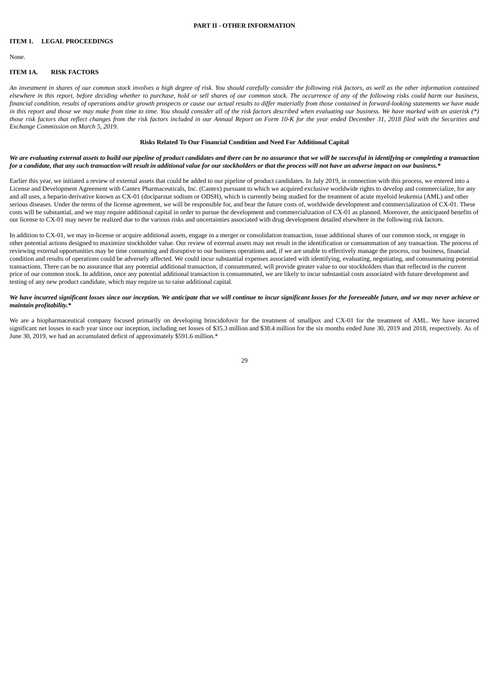# **PART II - OTHER INFORMATION**

# <span id="page-29-1"></span><span id="page-29-0"></span>**ITEM 1. LEGAL PROCEEDINGS**

None.

# <span id="page-29-2"></span>**ITEM 1A. RISK FACTORS**

An investment in shares of our common stock involves a high degree of risk. You should carefully consider the following risk factors, as well as the other information contained elsewhere in this report, before deciding whether to purchase, hold or sell shares of our common stock. The occurrence of any of the following risks could harm our business, financial condition, results of operations and/or growth prospects or cause our actual results to differ materially from those contained in forward-looking statements we have made in this report and those we may make from time to time. You should consider all of the risk factors described when evaluating our business. We have marked with an asterisk (\*) those risk factors that reflect changes from the risk factors included in our Annual Report on Form 10-K for the year ended December 31, 2018 filed with the Securities and *Exchange Commission on March 5, 2019.*

# **Risks Related To Our Financial Condition and Need For Additional Capital**

We are evaluating external assets to build our pipeline of product candidates and there can be no assurance that we will be successful in identifying or completing a transaction for a candidate, that any such transaction will result in additional value for our stockholders or that the process will not have an adverse impact on our business.

Earlier this year, we initiated a review of external assets that could be added to our pipeline of product candidates. In July 2019, in connection with this process, we entered into a License and Development Agreement with Cantex Pharmaceuticals, Inc. (Cantex) pursuant to which we acquired exclusive worldwide rights to develop and commercialize, for any and all uses, a heparin derivative known as CX-01 (dociparstat sodium or ODSH), which is currently being studied for the treatment of acute myeloid leukemia (AML) and other serious diseases. Under the terms of the license agreement, we will be responsible for, and bear the future costs of, worldwide development and commercialization of CX-01. These costs will be substantial, and we may require additional capital in order to pursue the development and commercialization of CX-01 as planned. Moreover, the anticipated benefits of our license to CX-01 may never be realized due to the various risks and uncertainties associated with drug development detailed elsewhere in the following risk factors.

In addition to CX-01, we may in-license or acquire additional assets, engage in a merger or consolidation transaction, issue additional shares of our common stock, or engage in other potential actions designed to maximize stockholder value. Our review of external assets may not result in the identification or consummation of any transaction. The process of reviewing external opportunities may be time consuming and disruptive to our business operations and, if we are unable to effectively manage the process, our business, financial condition and results of operations could be adversely affected. We could incur substantial expenses associated with identifying, evaluating, negotiating, and consummating potential transactions. There can be no assurance that any potential additional transaction, if consummated, will provide greater value to our stockholders than that reflected in the current price of our common stock. In addition, once any potential additional transaction is consummated, we are likely to incur substantial costs associated with future development and testing of any new product candidate, which may require us to raise additional capital.

# We have incurred significant losses since our inception. We anticipate that we will continue to incur significant losses for the foreseeable future, and we may never achieve or *maintain profitability.\**

We are a biopharmaceutical company focused primarily on developing brincidofovir for the treatment of smallpox and CX-01 for the treatment of AML. We have incurred significant net losses in each year since our inception, including net losses of \$35.3 million and \$38.4 million for the six months ended June 30, 2019 and 2018, respectively. As of June 30, 2019, we had an accumulated deficit of approximately \$591.6 million.\*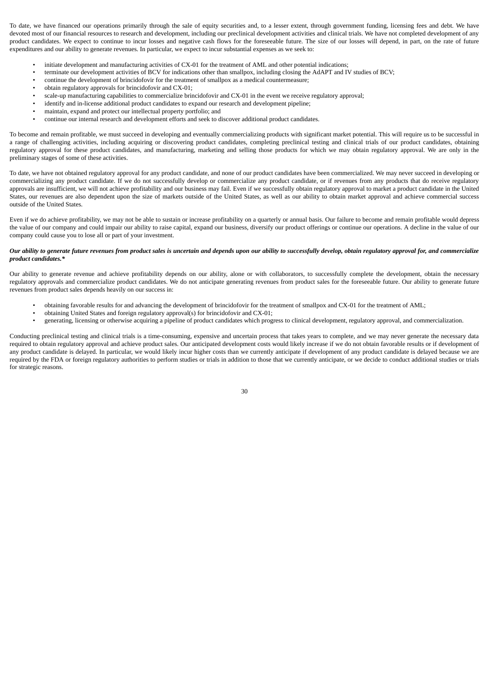To date, we have financed our operations primarily through the sale of equity securities and, to a lesser extent, through government funding, licensing fees and debt. We have devoted most of our financial resources to research and development, including our preclinical development activities and clinical trials. We have not completed development of any product candidates. We expect to continue to incur losses and negative cash flows for the foreseeable future. The size of our losses will depend, in part, on the rate of future expenditures and our ability to generate revenues. In particular, we expect to incur substantial expenses as we seek to:

- initiate development and manufacturing activities of CX-01 for the treatment of AML and other potential indications;
- terminate our development activities of BCV for indications other than smallpox, including closing the AdAPT and IV studies of BCV;
- continue the development of brincidofovir for the treatment of smallpox as a medical countermeasure;
- obtain regulatory approvals for brincidofovir and CX-01;
- scale-up manufacturing capabilities to commercialize brincidofovir and CX-01 in the event we receive regulatory approval;
- identify and in-license additional product candidates to expand our research and development pipeline;
- maintain, expand and protect our intellectual property portfolio; and
- continue our internal research and development efforts and seek to discover additional product candidates.

To become and remain profitable, we must succeed in developing and eventually commercializing products with significant market potential. This will require us to be successful in a range of challenging activities, including acquiring or discovering product candidates, completing preclinical testing and clinical trials of our product candidates, obtaining regulatory approval for these product candidates, and manufacturing, marketing and selling those products for which we may obtain regulatory approval. We are only in the preliminary stages of some of these activities.

To date, we have not obtained regulatory approval for any product candidate, and none of our product candidates have been commercialized. We may never succeed in developing or commercializing any product candidate. If we do not successfully develop or commercialize any product candidate, or if revenues from any products that do receive regulatory approvals are insufficient, we will not achieve profitability and our business may fail. Even if we successfully obtain regulatory approval to market a product candidate in the United States, our revenues are also dependent upon the size of markets outside of the United States, as well as our ability to obtain market approval and achieve commercial success outside of the United States.

Even if we do achieve profitability, we may not be able to sustain or increase profitability on a quarterly or annual basis. Our failure to become and remain profitable would depress the value of our company and could impair our ability to raise capital, expand our business, diversify our product offerings or continue our operations. A decline in the value of our company could cause you to lose all or part of your investment.

# Our ability to generate future revenues from product sales is uncertain and depends upon our ability to successfully develop, obtain regulatory approval for, and commercialize *product candidates.\**

Our ability to generate revenue and achieve profitability depends on our ability, alone or with collaborators, to successfully complete the development, obtain the necessary regulatory approvals and commercialize product candidates. We do not anticipate generating revenues from product sales for the foreseeable future. Our ability to generate future revenues from product sales depends heavily on our success in:

- obtaining favorable results for and advancing the development of brincidofovir for the treatment of smallpox and CX-01 for the treatment of AML;
- obtaining United States and foreign regulatory approval(s) for brincidofovir and CX-01;
	- generating, licensing or otherwise acquiring a pipeline of product candidates which progress to clinical development, regulatory approval, and commercialization.

Conducting preclinical testing and clinical trials is a time-consuming, expensive and uncertain process that takes years to complete, and we may never generate the necessary data required to obtain regulatory approval and achieve product sales. Our anticipated development costs would likely increase if we do not obtain favorable results or if development of any product candidate is delayed. In particular, we would likely incur higher costs than we currently anticipate if development of any product candidate is delayed because we are required by the FDA or foreign regulatory authorities to perform studies or trials in addition to those that we currently anticipate, or we decide to conduct additional studies or trials for strategic reasons.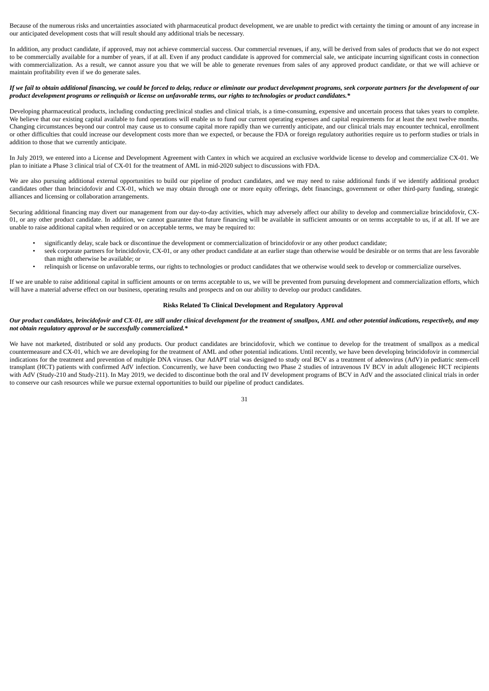Because of the numerous risks and uncertainties associated with pharmaceutical product development, we are unable to predict with certainty the timing or amount of any increase in our anticipated development costs that will result should any additional trials be necessary.

In addition, any product candidate, if approved, may not achieve commercial success. Our commercial revenues, if any, will be derived from sales of products that we do not expect to be commercially available for a number of years, if at all. Even if any product candidate is approved for commercial sale, we anticipate incurring significant costs in connection with commercialization. As a result, we cannot assure you that we will be able to generate revenues from sales of any approved product candidate, or that we will achieve or maintain profitability even if we do generate sales.

# If we fail to obtain additional financina, we could be forced to delay, reduce or eliminate our product development programs, seek corporate partners for the development of our product development programs or relinguish or license on unfavorable terms, our rights to technologies or product candidates.\*

Developing pharmaceutical products, including conducting preclinical studies and clinical trials, is a time-consuming, expensive and uncertain process that takes years to complete. We believe that our existing capital available to fund operations will enable us to fund our current operating expenses and capital requirements for at least the next twelve months. Changing circumstances beyond our control may cause us to consume capital more rapidly than we currently anticipate, and our clinical trials may encounter technical, enrollment or other difficulties that could increase our development costs more than we expected, or because the FDA or foreign regulatory authorities require us to perform studies or trials in addition to those that we currently anticipate.

In July 2019, we entered into a License and Development Agreement with Cantex in which we acquired an exclusive worldwide license to develop and commercialize CX-01. We plan to initiate a Phase 3 clinical trial of CX-01 for the treatment of AML in mid-2020 subject to discussions with FDA.

We are also pursuing additional external opportunities to build our pipeline of product candidates, and we may need to raise additional funds if we identify additional product candidates other than brincidofovir and CX-01, which we may obtain through one or more equity offerings, debt financings, government or other third-party funding, strategic alliances and licensing or collaboration arrangements.

Securing additional financing may divert our management from our day-to-day activities, which may adversely affect our ability to develop and commercialize brincidofovir, CX-01, or any other product candidate. In addition, we cannot guarantee that future financing will be available in sufficient amounts or on terms acceptable to us, if at all. If we are unable to raise additional capital when required or on acceptable terms, we may be required to:

- significantly delay, scale back or discontinue the development or commercialization of brincidofovir or any other product candidate;
- seek corporate partners for brincidofovir, CX-01, or any other product candidate at an earlier stage than otherwise would be desirable or on terms that are less favorable than might otherwise be available; or
	- relinquish or license on unfavorable terms, our rights to technologies or product candidates that we otherwise would seek to develop or commercialize ourselves.

If we are unable to raise additional capital in sufficient amounts or on terms acceptable to us, we will be prevented from pursuing development and commercialization efforts, which will have a material adverse effect on our business, operating results and prospects and on our ability to develop our product candidates.

## **Risks Related To Clinical Development and Regulatory Approval**

# Our product candidates, brincidofovir and CX-01, are still under clinical development for the treatment of smallpox, AML and other potential indications, respectively, and may *not obtain regulatory approval or be successfully commercialized.\**

We have not marketed, distributed or sold any products. Our product candidates are brincidofovir, which we continue to develop for the treatment of smallpox as a medical countermeasure and CX-01, which we are developing for the treatment of AML and other potential indications. Until recently, we have been developing brincidofovir in commercial indications for the treatment and prevention of multiple DNA viruses. Our AdAPT trial was designed to study oral BCV as a treatment of adenovirus (AdV) in pediatric stem-cell transplant (HCT) patients with confirmed AdV infection. Concurrently, we have been conducting two Phase 2 studies of intravenous IV BCV in adult allogeneic HCT recipients with AdV (Study-210 and Study-211). In May 2019, we decided to discontinue both the oral and IV development programs of BCV in AdV and the associated clinical trials in order to conserve our cash resources while we pursue external opportunities to build our pipeline of product candidates.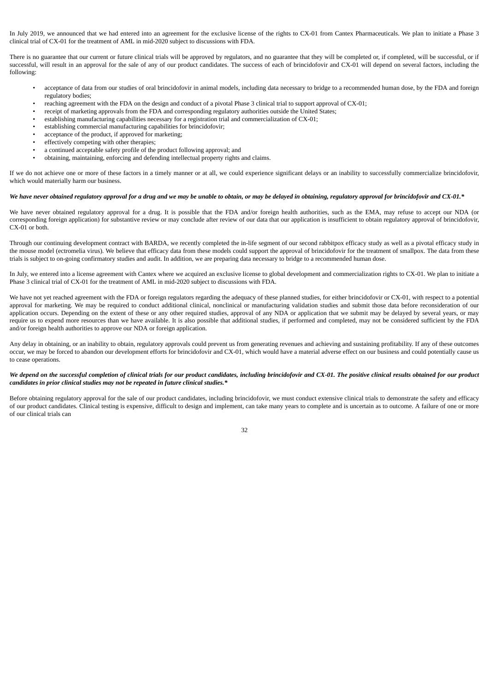In July 2019, we announced that we had entered into an agreement for the exclusive license of the rights to CX-01 from Cantex Pharmaceuticals. We plan to initiate a Phase 3 clinical trial of CX-01 for the treatment of AML in mid-2020 subject to discussions with FDA.

There is no guarantee that our current or future clinical trials will be approved by regulators, and no guarantee that they will be completed or, if completed, will be successful, or if successful, will result in an approval for the sale of any of our product candidates. The success of each of brincidofovir and CX-01 will depend on several factors, including the following:

- acceptance of data from our studies of oral brincidofovir in animal models, including data necessary to bridge to a recommended human dose, by the FDA and foreign regulatory bodies;
- reaching agreement with the FDA on the design and conduct of a pivotal Phase 3 clinical trial to support approval of CX-01;
- receipt of marketing approvals from the FDA and corresponding regulatory authorities outside the United States;
- establishing manufacturing capabilities necessary for a registration trial and commercialization of CX-01;
- establishing commercial manufacturing capabilities for brincidofovir;
- acceptance of the product, if approved for marketing;
- effectively competing with other therapies;
- a continued acceptable safety profile of the product following approval; and
- obtaining, maintaining, enforcing and defending intellectual property rights and claims.

If we do not achieve one or more of these factors in a timely manner or at all, we could experience significant delays or an inability to successfully commercialize brincidofovir, which would materially harm our business.

### We have never obtained regulatory approval for a drug and we may be unable to obtain, or may be delayed in obtaining, regulatory approval for brincidofovir and CX-01.\*

We have never obtained regulatory approval for a drug. It is possible that the FDA and/or foreign health authorities, such as the EMA, may refuse to accept our NDA (or corresponding foreign application) for substantive review or may conclude after review of our data that our application is insufficient to obtain regulatory approval of brincidofovir, CX-01 or both.

Through our continuing development contract with BARDA, we recently completed the in-life segment of our second rabbitpox efficacy study as well as a pivotal efficacy study in the mouse model (ectromelia virus). We believe that efficacy data from these models could support the approval of brincidofovir for the treatment of smallpox. The data from these trials is subject to on-going confirmatory studies and audit. In addition, we are preparing data necessary to bridge to a recommended human dose.

In July, we entered into a license agreement with Cantex where we acquired an exclusive license to global development and commercialization rights to CX-01. We plan to initiate a Phase 3 clinical trial of CX-01 for the treatment of AML in mid-2020 subject to discussions with FDA.

We have not yet reached agreement with the FDA or foreign regulators regarding the adequacy of these planned studies, for either brincidofovir or CX-01, with respect to a potential approval for marketing. We may be required to conduct additional clinical, nonclinical or manufacturing validation studies and submit those data before reconsideration of our application occurs. Depending on the extent of these or any other required studies, approval of any NDA or application that we submit may be delayed by several years, or may require us to expend more resources than we have available. It is also possible that additional studies, if performed and completed, may not be considered sufficient by the FDA and/or foreign health authorities to approve our NDA or foreign application.

Any delay in obtaining, or an inability to obtain, regulatory approvals could prevent us from generating revenues and achieving and sustaining profitability. If any of these outcomes occur, we may be forced to abandon our development efforts for brincidofovir and CX-01, which would have a material adverse effect on our business and could potentially cause us to cease operations.

# We depend on the successful completion of clinical trials for our product candidates, including brincidofovir and CX-01. The positive clinical results obtained for our product *candidates in prior clinical studies may not be repeated in future clinical studies.\**

Before obtaining regulatory approval for the sale of our product candidates, including brincidofovir, we must conduct extensive clinical trials to demonstrate the safety and efficacy of our product candidates. Clinical testing is expensive, difficult to design and implement, can take many years to complete and is uncertain as to outcome. A failure of one or more of our clinical trials can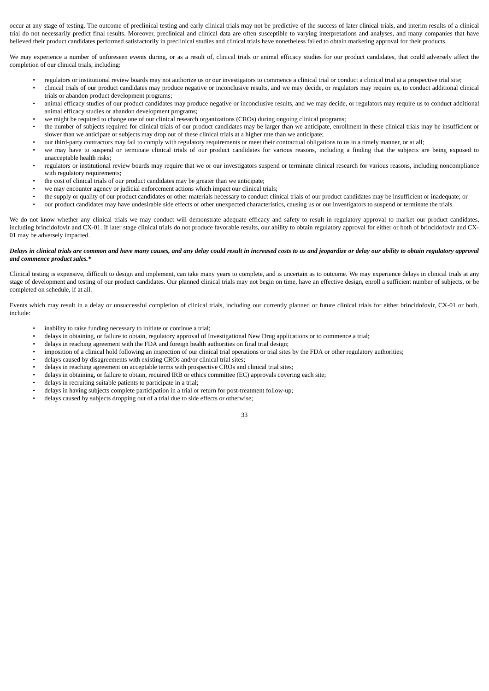occur at any stage of testing. The outcome of preclinical testing and early clinical trials may not be predictive of the success of later clinical trials, and interim results of a clinical trial do not necessarily predict final results. Moreover, preclinical and clinical data are often susceptible to varying interpretations and analyses, and many companies that have believed their product candidates performed satisfactorily in preclinical studies and clinical trials have nonetheless failed to obtain marketing approval for their products.

We may experience a number of unforeseen events during, or as a result of, clinical trials or animal efficacy studies for our product candidates, that could adversely affect the completion of our clinical trials, including:

- regulators or institutional review boards may not authorize us or our investigators to commence a clinical trial or conduct a clinical trial at a prospective trial site;
- clinical trials of our product candidates may produce negative or inconclusive results, and we may decide, or regulators may require us, to conduct additional clinical trials or abandon product development programs;
- animal efficacy studies of our product candidates may produce negative or inconclusive results, and we may decide, or regulators may require us to conduct additional animal efficacy studies or abandon development programs;
- we might be required to change one of our clinical research organizations (CROs) during ongoing clinical programs;
- the number of subjects required for clinical trials of our product candidates may be larger than we anticipate, enrollment in these clinical trials may be insufficient or slower than we anticipate or subjects may drop out of these clinical trials at a higher rate than we anticipate;
- our third-party contractors may fail to comply with regulatory requirements or meet their contractual obligations to us in a timely manner, or at all;
- we may have to suspend or terminate clinical trials of our product candidates for various reasons, including a finding that the subjects are being exposed to unacceptable health risks;
- regulators or institutional review boards may require that we or our investigators suspend or terminate clinical research for various reasons, including noncompliance with regulatory requirements:
- the cost of clinical trials of our product candidates may be greater than we anticipate;
- we may encounter agency or judicial enforcement actions which impact our clinical trials;
- the supply or quality of our product candidates or other materials necessary to conduct clinical trials of our product candidates may be insufficient or inadequate; or
- our product candidates may have undesirable side effects or other unexpected characteristics, causing us or our investigators to suspend or terminate the trials.

We do not know whether any clinical trials we may conduct will demonstrate adequate efficacy and safety to result in regulatory approval to market our product candidates, including brincidofovir and CX-01. If later stage clinical trials do not produce favorable results, our ability to obtain regulatory approval for either or both of brincidofovir and CX-01 may be adversely impacted.

# Delays in clinical trials are common and have many causes, and any delay could result in increased costs to us and jeopardize or delay our ability to obtain regulatory approval *and commence product sales.\**

Clinical testing is expensive, difficult to design and implement, can take many years to complete, and is uncertain as to outcome. We may experience delays in clinical trials at any stage of development and testing of our product candidates. Our planned clinical trials may not begin on time, have an effective design, enroll a sufficient number of subjects, or be completed on schedule, if at all.

Events which may result in a delay or unsuccessful completion of clinical trials, including our currently planned or future clinical trials for either brincidofovir, CX-01 or both, include:

- inability to raise funding necessary to initiate or continue a trial;
- delays in obtaining, or failure to obtain, regulatory approval of Investigational New Drug applications or to commence a trial;
- delays in reaching agreement with the FDA and foreign health authorities on final trial design;
- imposition of a clinical hold following an inspection of our clinical trial operations or trial sites by the FDA or other regulatory authorities;
- delays caused by disagreements with existing CROs and/or clinical trial sites;
- delays in reaching agreement on acceptable terms with prospective CROs and clinical trial sites;
- delays in obtaining, or failure to obtain, required IRB or ethics committee (EC) approvals covering each site;
- delays in recruiting suitable patients to participate in a trial;
- delays in having subjects complete participation in a trial or return for post-treatment follow-up;
- delays caused by subjects dropping out of a trial due to side effects or otherwise;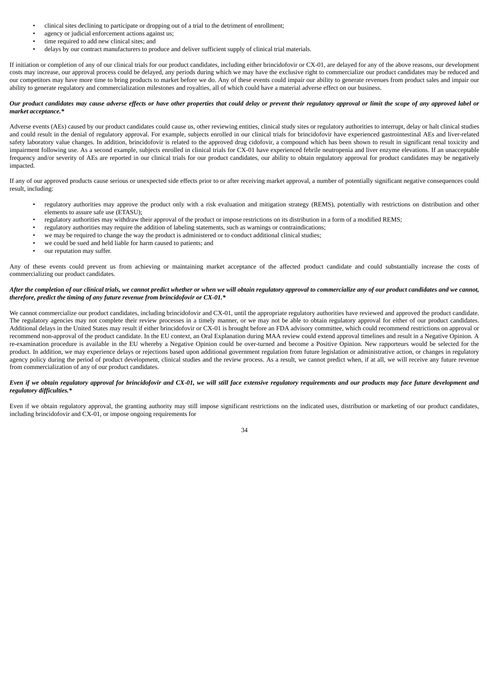- clinical sites declining to participate or dropping out of a trial to the detriment of enrollment;
- agency or judicial enforcement actions against us;
- time required to add new clinical sites; and
- delays by our contract manufacturers to produce and deliver sufficient supply of clinical trial materials.

If initiation or completion of any of our clinical trials for our product candidates, including either brincidofovir or CX-01, are delayed for any of the above reasons, our development costs may increase, our approval process could be delayed, any periods during which we may have the exclusive right to commercialize our product candidates may be reduced and our competitors may have more time to bring products to market before we do. Any of these events could impair our ability to generate revenues from product sales and impair our ability to generate regulatory and commercialization milestones and royalties, all of which could have a material adverse effect on our business.

# Our product candidates may cause adverse effects or have other properties that could delay or prevent their regulatory approval or limit the scope of any approved label or *market acceptance.\**

Adverse events (AEs) caused by our product candidates could cause us, other reviewing entities, clinical study sites or regulatory authorities to interrupt, delay or halt clinical studies and could result in the denial of regulatory approval. For example, subjects enrolled in our clinical trials for brincidofovir have experienced gastrointestinal AEs and liver-related safety laboratory value changes. In addition, brincidofovir is related to the approved drug cidofovir, a compound which has been shown to result in significant renal toxicity and impairment following use. As a second example, subjects enrolled in clinical trials for CX-01 have experienced febrile neutropenia and liver enzyme elevations. If an unacceptable frequency and/or severity of AEs are reported in our clinical trials for our product candidates, our ability to obtain regulatory approval for product candidates may be negatively impacted.

If any of our approved products cause serious or unexpected side effects prior to or after receiving market approval, a number of potentially significant negative consequences could result, including:

- regulatory authorities may approve the product only with a risk evaluation and mitigation strategy (REMS), potentially with restrictions on distribution and other elements to assure safe use (ETASU);
- regulatory authorities may withdraw their approval of the product or impose restrictions on its distribution in a form of a modified REMS;
- regulatory authorities may require the addition of labeling statements, such as warnings or contraindications;
- we may be required to change the way the product is administered or to conduct additional clinical studies;
- we could be sued and held liable for harm caused to patients; and
- our reputation may suffer.

Any of these events could prevent us from achieving or maintaining market acceptance of the affected product candidate and could substantially increase the costs of commercializing our product candidates.

# After the completion of our clinical trials, we cannot predict whether or when we will obtain regulatory approval to commercialize any of our product candidates and we cannot, *therefore, predict the timing of any future revenue from brincidofovir or CX-01.\**

We cannot commercialize our product candidates, including brincidofovir and CX-01, until the appropriate regulatory authorities have reviewed and approved the product candidate. The regulatory agencies may not complete their review processes in a timely manner, or we may not be able to obtain regulatory approval for either of our product candidates. Additional delays in the United States may result if either brincidofovir or CX-01 is brought before an FDA advisory committee, which could recommend restrictions on approval or recommend non-approval of the product candidate. In the EU context, an Oral Explanation during MAA review could extend approval timelines and result in a Negative Opinion. A re-examination procedure is available in the EU whereby a Negative Opinion could be over-turned and become a Positive Opinion. New rapporteurs would be selected for the product. In addition, we may experience delays or rejections based upon additional government regulation from future legislation or administrative action, or changes in regulatory agency policy during the period of product development, clinical studies and the review process. As a result, we cannot predict when, if at all, we will receive any future revenue from commercialization of any of our product candidates.

# Even if we obtain regulatory approval for brincidofovir and CX-01, we will still face extensive regulatory requirements and our products may face future development and *regulatory difficulties.\**

Even if we obtain regulatory approval, the granting authority may still impose significant restrictions on the indicated uses, distribution or marketing of our product candidates, including brincidofovir and CX-01, or impose ongoing requirements for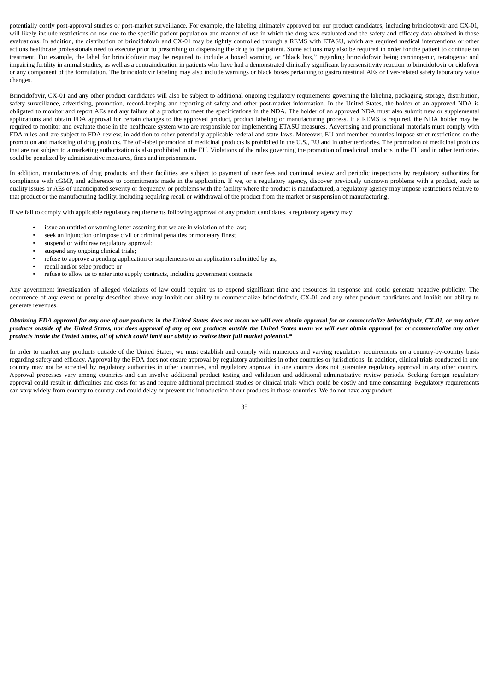potentially costly post-approval studies or post-market surveillance. For example, the labeling ultimately approved for our product candidates, including brincidofovir and CX-01, will likely include restrictions on use due to the specific patient population and manner of use in which the drug was evaluated and the safety and efficacy data obtained in those evaluations. In addition, the distribution of brincidofovir and CX-01 may be tightly controlled through a REMS with ETASU, which are required medical interventions or other actions healthcare professionals need to execute prior to prescribing or dispensing the drug to the patient. Some actions may also be required in order for the patient to continue on treatment. For example, the label for brincidofovir may be required to include a boxed warning, or "black box," regarding brincidofovir being carcinogenic, teratogenic and impairing fertility in animal studies, as well as a contraindication in patients who have had a demonstrated clinically significant hypersensitivity reaction to brincidofovir or cidofovir or any component of the formulation. The brincidofovir labeling may also include warnings or black boxes pertaining to gastrointestinal AEs or liver-related safety laboratory value changes.

Brincidofovir, CX-01 and any other product candidates will also be subject to additional ongoing regulatory requirements governing the labeling, packaging, storage, distribution, safety surveillance, advertising, promotion, record-keeping and reporting of safety and other post-market information. In the United States, the holder of an approved NDA is obligated to monitor and report AEs and any failure of a product to meet the specifications in the NDA. The holder of an approved NDA must also submit new or supplemental applications and obtain FDA approval for certain changes to the approved product, product labeling or manufacturing process. If a REMS is required, the NDA holder may be required to monitor and evaluate those in the healthcare system who are responsible for implementing ETASU measures. Advertising and promotional materials must comply with FDA rules and are subject to FDA review, in addition to other potentially applicable federal and state laws. Moreover, EU and member countries impose strict restrictions on the promotion and marketing of drug products. The off-label promotion of medicinal products is prohibited in the U.S., EU and in other territories. The promotion of medicinal products that are not subject to a marketing authorization is also prohibited in the EU. Violations of the rules governing the promotion of medicinal products in the EU and in other territories could be penalized by administrative measures, fines and imprisonment.

In addition, manufacturers of drug products and their facilities are subject to payment of user fees and continual review and periodic inspections by regulatory authorities for compliance with cGMP, and adherence to commitments made in the application. If we, or a regulatory agency, discover previously unknown problems with a product, such as quality issues or AEs of unanticipated severity or frequency, or problems with the facility where the product is manufactured, a regulatory agency may impose restrictions relative to that product or the manufacturing facility, including requiring recall or withdrawal of the product from the market or suspension of manufacturing.

If we fail to comply with applicable regulatory requirements following approval of any product candidates, a regulatory agency may:

- issue an untitled or warning letter asserting that we are in violation of the law;
	- seek an injunction or impose civil or criminal penalties or monetary fines;
- suspend or withdraw regulatory approval;
- suspend any ongoing clinical trials;
- refuse to approve a pending application or supplements to an application submitted by us;
- recall and/or seize product; or
- refuse to allow us to enter into supply contracts, including government contracts.

Any government investigation of alleged violations of law could require us to expend significant time and resources in response and could generate negative publicity. The occurrence of any event or penalty described above may inhibit our ability to commercialize brincidofovir, CX-01 and any other product candidates and inhibit our ability to generate revenues.

# Obtaining FDA approval for any one of our products in the United States does not mean we will ever obtain approval for or commercialize brincidofovir, CX-01, or any other products outside of the United States, nor does approval of any of our products outside the United States mean we will ever obtain approval for or commercialize any other products inside the United States, all of which could limit our ability to realize their full market potential.\*

In order to market any products outside of the United States, we must establish and comply with numerous and varying regulatory requirements on a country-by-country basis regarding safety and efficacy. Approval by the FDA does not ensure approval by regulatory authorities in other countries or jurisdictions. In addition, clinical trials conducted in one country may not be accepted by regulatory authorities in other countries, and regulatory approval in one country does not guarantee regulatory approval in any other country. Approval processes vary among countries and can involve additional product testing and validation and additional administrative review periods. Seeking foreign regulatory approval could result in difficulties and costs for us and require additional preclinical studies or clinical trials which could be costly and time consuming. Regulatory requirements can vary widely from country to country and could delay or prevent the introduction of our products in those countries. We do not have any product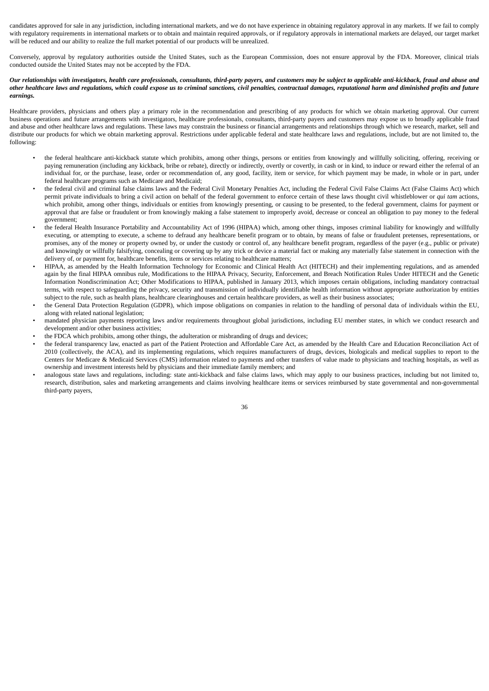candidates approved for sale in any jurisdiction, including international markets, and we do not have experience in obtaining regulatory approval in any markets. If we fail to comply with regulatory requirements in international markets or to obtain and maintain required approvals, or if regulatory approvals in international markets are delayed, our target market will be reduced and our ability to realize the full market potential of our products will be unrealized.

Conversely, approval by regulatory authorities outside the United States, such as the European Commission, does not ensure approval by the FDA. Moreover, clinical trials conducted outside the United States may not be accepted by the FDA.

## Our relationships with investigators, health care professionals, consultants, third-party payers, and customers may be subject to applicable anti-kickback, fraud and abuse and other healthcare laws and reaulations, which could expose us to criminal sanctions, civil penalties, contractual damages, reputational harm and diminished profits and future *earnings.*

Healthcare providers, physicians and others play a primary role in the recommendation and prescribing of any products for which we obtain marketing approval. Our current business operations and future arrangements with investigators, healthcare professionals, consultants, third-party payers and customers may expose us to broadly applicable fraud and abuse and other healthcare laws and regulations. These laws may constrain the business or financial arrangements and relationships through which we research, market, sell and distribute our products for which we obtain marketing approval. Restrictions under applicable federal and state healthcare laws and regulations, include, but are not limited to, the following:

- the federal healthcare anti-kickback statute which prohibits, among other things, persons or entities from knowingly and willfully soliciting, offering, receiving or paying remuneration (including any kickback, bribe or rebate), directly or indirectly, overtly or covertly, in cash or in kind, to induce or reward either the referral of an individual for, or the purchase, lease, order or recommendation of, any good, facility, item or service, for which payment may be made, in whole or in part, under federal healthcare programs such as Medicare and Medicaid;
- the federal civil and criminal false claims laws and the Federal Civil Monetary Penalties Act, including the Federal Civil False Claims Act (False Claims Act) which permit private individuals to bring a civil action on behalf of the federal government to enforce certain of these laws thought civil whistleblower or *qui tam* actions, which prohibit, among other things, individuals or entities from knowingly presenting, or causing to be presented, to the federal government, claims for payment or approval that are false or fraudulent or from knowingly making a false statement to improperly avoid, decrease or conceal an obligation to pay money to the federal government;
- the federal Health Insurance Portability and Accountability Act of 1996 (HIPAA) which, among other things, imposes criminal liability for knowingly and willfully executing, or attempting to execute, a scheme to defraud any healthcare benefit program or to obtain, by means of false or fraudulent pretenses, representations, or promises, any of the money or property owned by, or under the custody or control of, any healthcare benefit program, regardless of the payer (e.g., public or private) and knowingly or willfully falsifying, concealing or covering up by any trick or device a material fact or making any materially false statement in connection with the delivery of, or payment for, healthcare benefits, items or services relating to healthcare matters;
- HIPAA, as amended by the Health Information Technology for Economic and Clinical Health Act (HITECH) and their implementing regulations, and as amended again by the final HIPAA omnibus rule, Modifications to the HIPAA Privacy, Security, Enforcement, and Breach Notification Rules Under HITECH and the Genetic Information Nondiscrimination Act; Other Modifications to HIPAA, published in January 2013, which imposes certain obligations, including mandatory contractual terms, with respect to safeguarding the privacy, security and transmission of individually identifiable health information without appropriate authorization by entities subject to the rule, such as health plans, healthcare clearinghouses and certain healthcare providers, as well as their business associates;
- the General Data Protection Regulation (GDPR), which impose obligations on companies in relation to the handling of personal data of individuals within the EU, along with related national legislation;
- mandated physician payments reporting laws and/or requirements throughout global jurisdictions, including EU member states, in which we conduct research and development and/or other business activities;
- the FDCA which prohibits, among other things, the adulteration or misbranding of drugs and devices;
- the federal transparency law, enacted as part of the Patient Protection and Affordable Care Act, as amended by the Health Care and Education Reconciliation Act of 2010 (collectively, the ACA), and its implementing regulations, which requires manufacturers of drugs, devices, biologicals and medical supplies to report to the Centers for Medicare & Medicaid Services (CMS) information related to payments and other transfers of value made to physicians and teaching hospitals, as well as ownership and investment interests held by physicians and their immediate family members; and
- analogous state laws and regulations, including: state anti-kickback and false claims laws, which may apply to our business practices, including but not limited to, research, distribution, sales and marketing arrangements and claims involving healthcare items or services reimbursed by state governmental and non-governmental third-party payers,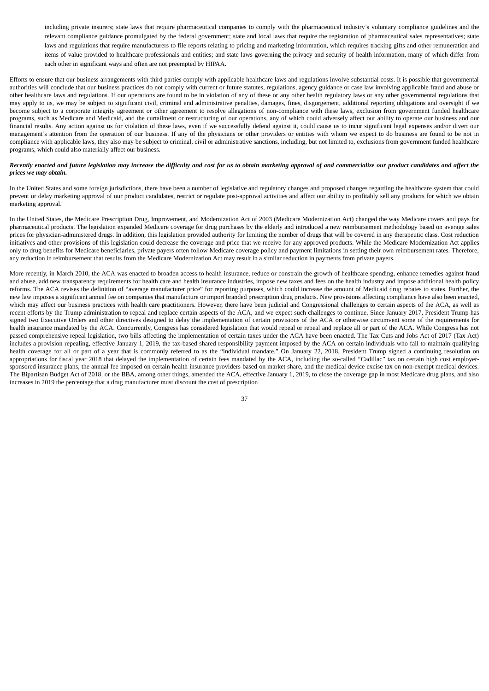including private insurers; state laws that require pharmaceutical companies to comply with the pharmaceutical industry's voluntary compliance guidelines and the relevant compliance guidance promulgated by the federal government; state and local laws that require the registration of pharmaceutical sales representatives; state laws and regulations that require manufacturers to file reports relating to pricing and marketing information, which requires tracking gifts and other remuneration and items of value provided to healthcare professionals and entities; and state laws governing the privacy and security of health information, many of which differ from each other in significant ways and often are not preempted by HIPAA.

Efforts to ensure that our business arrangements with third parties comply with applicable healthcare laws and regulations involve substantial costs. It is possible that governmental authorities will conclude that our business practices do not comply with current or future statutes, regulations, agency guidance or case law involving applicable fraud and abuse or other healthcare laws and regulations. If our operations are found to be in violation of any of these or any other health regulatory laws or any other governmental regulations that may apply to us, we may be subject to significant civil, criminal and administrative penalties, damages, fines, disgorgement, additional reporting obligations and oversight if we become subject to a corporate integrity agreement or other agreement to resolve allegations of non-compliance with these laws, exclusion from government funded healthcare programs, such as Medicare and Medicaid, and the curtailment or restructuring of our operations, any of which could adversely affect our ability to operate our business and our financial results. Any action against us for violation of these laws, even if we successfully defend against it, could cause us to incur significant legal expenses and/or divert our management's attention from the operation of our business. If any of the physicians or other providers or entities with whom we expect to do business are found to be not in compliance with applicable laws, they also may be subject to criminal, civil or administrative sanctions, including, but not limited to, exclusions from government funded healthcare programs, which could also materially affect our business.

## Recently enacted and future legislation may increase the difficulty and cost for us to obtain marketing approval of and commercialize our product candidates and affect the *prices we may obtain.*

In the United States and some foreign jurisdictions, there have been a number of legislative and regulatory changes and proposed changes regarding the healthcare system that could prevent or delay marketing approval of our product candidates, restrict or regulate post-approval activities and affect our ability to profitably sell any products for which we obtain marketing approval.

In the United States, the Medicare Prescription Drug, Improvement, and Modernization Act of 2003 (Medicare Modernization Act) changed the way Medicare covers and pays for pharmaceutical products. The legislation expanded Medicare coverage for drug purchases by the elderly and introduced a new reimbursement methodology based on average sales prices for physician-administered drugs. In addition, this legislation provided authority for limiting the number of drugs that will be covered in any therapeutic class. Cost reduction initiatives and other provisions of this legislation could decrease the coverage and price that we receive for any approved products. While the Medicare Modernization Act applies only to drug benefits for Medicare beneficiaries, private payers often follow Medicare coverage policy and payment limitations in setting their own reimbursement rates. Therefore, any reduction in reimbursement that results from the Medicare Modernization Act may result in a similar reduction in payments from private payers.

More recently, in March 2010, the ACA was enacted to broaden access to health insurance, reduce or constrain the growth of healthcare spending, enhance remedies against fraud and abuse, add new transparency requirements for health care and health insurance industries, impose new taxes and fees on the health industry and impose additional health policy reforms. The ACA revises the definition of "average manufacturer price" for reporting purposes, which could increase the amount of Medicaid drug rebates to states. Further, the new law imposes a significant annual fee on companies that manufacture or import branded prescription drug products. New provisions affecting compliance have also been enacted, which may affect our business practices with health care practitioners. However, there have been judicial and Congressional challenges to certain aspects of the ACA, as well as recent efforts by the Trump administration to repeal and replace certain aspects of the ACA, and we expect such challenges to continue. Since January 2017, President Trump has signed two Executive Orders and other directives designed to delay the implementation of certain provisions of the ACA or otherwise circumvent some of the requirements for health insurance mandated by the ACA. Concurrently, Congress has considered legislation that would repeal or repeal and replace all or part of the ACA. While Congress has not passed comprehensive repeal legislation, two bills affecting the implementation of certain taxes under the ACA have been enacted. The Tax Cuts and Jobs Act of 2017 (Tax Act) includes a provision repealing, effective January 1, 2019, the tax-based shared responsibility payment imposed by the ACA on certain individuals who fail to maintain qualifying health coverage for all or part of a year that is commonly referred to as the "individual mandate." On January 22, 2018, President Trump signed a continuing resolution on appropriations for fiscal year 2018 that delayed the implementation of certain fees mandated by the ACA, including the so-called "Cadillac" tax on certain high cost employersponsored insurance plans, the annual fee imposed on certain health insurance providers based on market share, and the medical device excise tax on non-exempt medical devices. The Bipartisan Budget Act of 2018, or the BBA, among other things, amended the ACA, effective January 1, 2019, to close the coverage gap in most Medicare drug plans, and also increases in 2019 the percentage that a drug manufacturer must discount the cost of prescription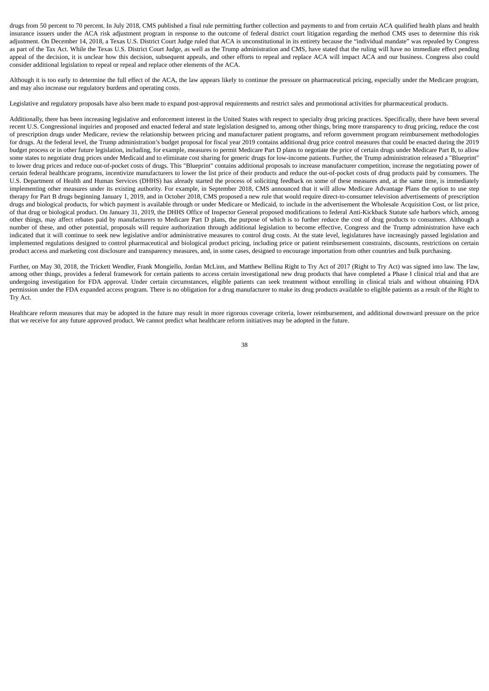drugs from 50 percent to 70 percent. In July 2018, CMS published a final rule permitting further collection and payments to and from certain ACA qualified health plans and health insurance issuers under the ACA risk adjustment program in response to the outcome of federal district court litigation regarding the method CMS uses to determine this risk adjustment. On December 14, 2018, a Texas U.S. District Court Judge ruled that ACA is unconstitutional in its entirety because the "individual mandate" was repealed by Congress as part of the Tax Act. While the Texas U.S. District Court Judge, as well as the Trump administration and CMS, have stated that the ruling will have no immediate effect pending appeal of the decision, it is unclear how this decision, subsequent appeals, and other efforts to repeal and replace ACA will impact ACA and our business. Congress also could consider additional legislation to repeal or repeal and replace other elements of the ACA.

Although it is too early to determine the full effect of the ACA, the law appears likely to continue the pressure on pharmaceutical pricing, especially under the Medicare program, and may also increase our regulatory burdens and operating costs.

Legislative and regulatory proposals have also been made to expand post-approval requirements and restrict sales and promotional activities for pharmaceutical products.

Additionally, there has been increasing legislative and enforcement interest in the United States with respect to specially drug pricing practices. Specifically, there have been several recent U.S. Congressional inquiries and proposed and enacted federal and state legislation designed to, among other things, bring more transparency to drug pricing, reduce the cost of prescription drugs under Medicare, review the relationship between pricing and manufacturer patient programs, and reform government program reimbursement methodologies for drugs. At the federal level, the Trump administration's budget proposal for fiscal year 2019 contains additional drug price control measures that could be enacted during the 2019 budget process or in other future legislation, including, for example, measures to permit Medicare Part D plans to negotiate the price of certain drugs under Medicare Part B, to allow some states to negotiate drug prices under Medicaid and to eliminate cost sharing for generic drugs for low-income patients. Further, the Trump administration released a "Blueprint" to lower drug prices and reduce out-of-pocket costs of drugs. This "Blueprint" contains additional proposals to increase manufacturer competition, increase the negotiating power of certain federal healthcare programs, incentivize manufacturers to lower the list price of their products and reduce the out-of-pocket costs of drug products paid by consumers. The U.S. Department of Health and Human Services (DHHS) has already started the process of soliciting feedback on some of these measures and, at the same time, is immediately implementing other measures under its existing authority. For example, in September 2018, CMS announced that it will allow Medicare Advantage Plans the option to use step therapy for Part B drugs beginning January 1, 2019, and in October 2018, CMS proposed a new rule that would require direct-to-consumer television advertisements of prescription drugs and biological products, for which payment is available through or under Medicare or Medicaid, to include in the advertisement the Wholesale Acquisition Cost, or list price, of that drug or biological product. On January 31, 2019, the DHHS Office of Inspector General proposed modifications to federal Anti-Kickback Statute safe harbors which, among other things, may affect rebates paid by manufacturers to Medicare Part D plans, the purpose of which is to further reduce the cost of drug products to consumers. Although a number of these, and other potential, proposals will require authorization through additional legislation to become effective, Congress and the Trump administration have each indicated that it will continue to seek new legislative and/or administrative measures to control drug costs. At the state level, legislatures have increasingly passed legislation and implemented regulations designed to control pharmaceutical and biological product pricing, including price or patient reimbursement constraints, discounts, restrictions on certain product access and marketing cost disclosure and transparency measures, and, in some cases, designed to encourage importation from other countries and bulk purchasing.

Further, on May 30, 2018, the Trickett Wendler, Frank Mongiello, Jordan McLinn, and Matthew Bellina Right to Try Act of 2017 (Right to Try Act) was signed into law. The law, among other things, provides a federal framework for certain patients to access certain investigational new drug products that have completed a Phase I clinical trial and that are undergoing investigation for FDA approval. Under certain circumstances, eligible patients can seek treatment without enrolling in clinical trials and without obtaining FDA permission under the FDA expanded access program. There is no obligation for a drug manufacturer to make its drug products available to eligible patients as a result of the Right to Try Act.

Healthcare reform measures that may be adopted in the future may result in more rigorous coverage criteria, lower reimbursement, and additional downward pressure on the price that we receive for any future approved product. We cannot predict what healthcare reform initiatives may be adopted in the future.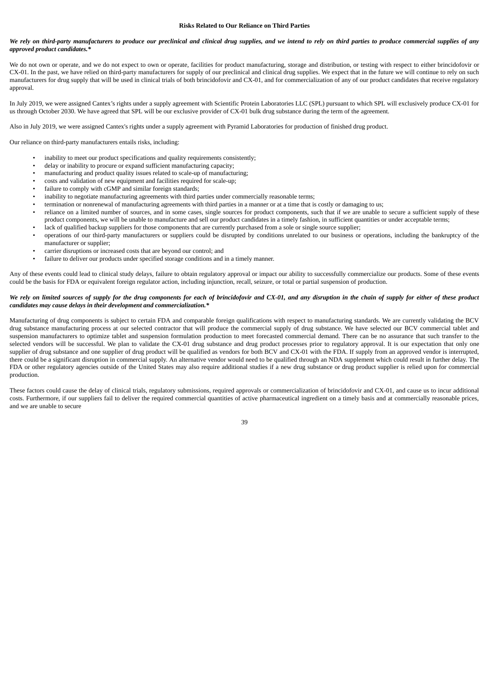#### **Risks Related to Our Reliance on Third Parties**

## We rely on third-party manufacturers to produce our preclinical and clinical drug supplies, and we intend to rely on third parties to produce commercial supplies of any *approved product candidates.\**

We do not own or operate, and we do not expect to own or operate, facilities for product manufacturing, storage and distribution, or testing with respect to either brincidofovir or CX-01. In the past, we have relied on third-party manufacturers for supply of our preclinical and clinical drug supplies. We expect that in the future we will continue to rely on such manufacturers for drug supply that will be used in clinical trials of both brincidofovir and CX-01, and for commercialization of any of our product candidates that receive regulatory approval.

In July 2019, we were assigned Cantex's rights under a supply agreement with Scientific Protein Laboratories LLC (SPL) pursuant to which SPL will exclusively produce CX-01 for us through October 2030. We have agreed that SPL will be our exclusive provider of CX-01 bulk drug substance during the term of the agreement.

Also in July 2019, we were assigned Cantex's rights under a supply agreement with Pyramid Laboratories for production of finished drug product.

Our reliance on third-party manufacturers entails risks, including:

- inability to meet our product specifications and quality requirements consistently;
- delay or inability to procure or expand sufficient manufacturing capacity;
- manufacturing and product quality issues related to scale-up of manufacturing;
- costs and validation of new equipment and facilities required for scale-up;
- failure to comply with cGMP and similar foreign standards;
- inability to negotiate manufacturing agreements with third parties under commercially reasonable terms;
- termination or nonrenewal of manufacturing agreements with third parties in a manner or at a time that is costly or damaging to us;
- reliance on a limited number of sources, and in some cases, single sources for product components, such that if we are unable to secure a sufficient supply of these product components, we will be unable to manufacture and sell our product candidates in a timely fashion, in sufficient quantities or under acceptable terms;
- lack of qualified backup suppliers for those components that are currently purchased from a sole or single source supplier;
- operations of our third-party manufacturers or suppliers could be disrupted by conditions unrelated to our business or operations, including the bankruptcy of the manufacturer or supplier;
- carrier disruptions or increased costs that are beyond our control; and
- failure to deliver our products under specified storage conditions and in a timely manner.

Any of these events could lead to clinical study delays, failure to obtain regulatory approval or impact our ability to successfully commercialize our products. Some of these events could be the basis for FDA or equivalent foreign regulator action, including injunction, recall, seizure, or total or partial suspension of production.

## We rely on limited sources of supply for the drug components for each of brincidofovir and CX-01, and any disruption in the chain of supply for either of these product *candidates may cause delays in their development and commercialization.\**

Manufacturing of drug components is subject to certain FDA and comparable foreign qualifications with respect to manufacturing standards. We are currently validating the BCV drug substance manufacturing process at our selected contractor that will produce the commercial supply of drug substance. We have selected our BCV commercial tablet and suspension manufacturers to optimize tablet and suspension formulation production to meet forecasted commercial demand. There can be no assurance that such transfer to the selected vendors will be successful. We plan to validate the CX-01 drug substance and drug product processes prior to regulatory approval. It is our expectation that only one supplier of drug substance and one supplier of drug product will be qualified as vendors for both BCV and CX-01 with the FDA. If supply from an approved vendor is interrupted, there could be a significant disruption in commercial supply. An alternative vendor would need to be qualified through an NDA supplement which could result in further delay. The FDA or other regulatory agencies outside of the United States may also require additional studies if a new drug substance or drug product supplier is relied upon for commercial production.

These factors could cause the delay of clinical trials, regulatory submissions, required approvals or commercialization of brincidofovir and CX-01, and cause us to incur additional costs. Furthermore, if our suppliers fail to deliver the required commercial quantities of active pharmaceutical ingredient on a timely basis and at commercially reasonable prices, and we are unable to secure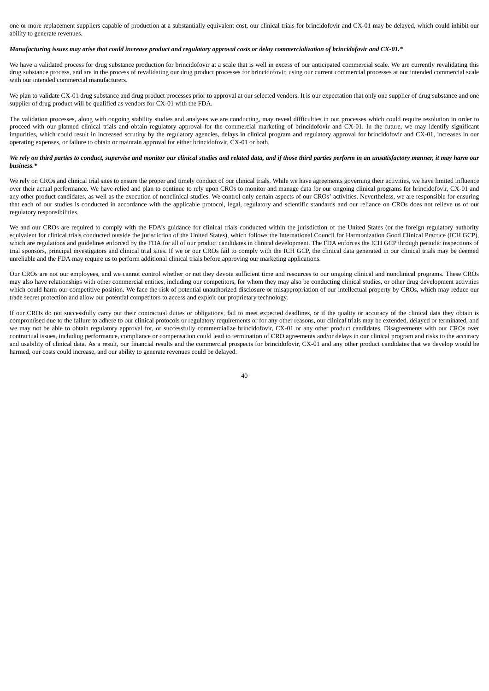one or more replacement suppliers capable of production at a substantially equivalent cost, our clinical trials for brincidofovir and CX-01 may be delayed, which could inhibit our ability to generate revenues.

## Manufacturing issues may arise that could increase product and regulatory approval costs or delay commercialization of brincidofovir and CX-01.\*

We have a validated process for drug substance production for brincidofovir at a scale that is well in excess of our anticipated commercial scale. We are currently revalidating this drug substance process, and are in the process of revalidating our drug product processes for brincidofovir, using our current commercial processes at our intended commercial scale with our intended commercial manufacturers.

We plan to validate CX-01 drug substance and drug product processes prior to approval at our selected vendors. It is our expectation that only one supplier of drug substance and one supplier of drug product will be qualified as vendors for CX-01 with the FDA.

The validation processes, along with ongoing stability studies and analyses we are conducting, may reveal difficulties in our processes which could require resolution in order to proceed with our planned clinical trials and obtain regulatory approval for the commercial marketing of brincidofovir and CX-01. In the future, we may identify significant impurities, which could result in increased scrutiny by the regulatory agencies, delays in clinical program and regulatory approval for brincidofovir and CX-01, increases in our operating expenses, or failure to obtain or maintain approval for either brincidofovir, CX-01 or both.

## We rely on third parties to conduct, supervise and monitor our clinical studies and related data, and if those third parties perform in an unsatisfactory manner, it may harm our *business.\**

We rely on CROs and clinical trial sites to ensure the proper and timely conduct of our clinical trials. While we have agreements governing their activities, we have limited influence over their actual performance. We have relied and plan to continue to rely upon CROs to monitor and manage data for our ongoing clinical programs for brincidofovir, CX-01 and any other product candidates, as well as the execution of nonclinical studies. We control only certain aspects of our CROs' activities. Nevertheless, we are responsible for ensuring that each of our studies is conducted in accordance with the applicable protocol, legal, regulatory and scientific standards and our reliance on CROs does not relieve us of our regulatory responsibilities.

We and our CROs are required to comply with the FDA's guidance for clinical trials conducted within the jurisdiction of the United States (or the foreign regulatory authority equivalent for clinical trials conducted outside the jurisdiction of the United States), which follows the International Council for Harmonization Good Clinical Practice (ICH GCP), which are regulations and guidelines enforced by the FDA for all of our product candidates in clinical development. The FDA enforces the ICH GCP through periodic inspections of trial sponsors, principal investigators and clinical trial sites. If we or our CROs fail to comply with the ICH GCP, the clinical data generated in our clinical trials may be deemed unreliable and the FDA may require us to perform additional clinical trials before approving our marketing applications.

Our CROs are not our employees, and we cannot control whether or not they devote sufficient time and resources to our ongoing clinical and nonclinical programs. These CROs may also have relationships with other commercial entities, including our competitors, for whom they may also be conducting clinical studies, or other drug development activities which could harm our competitive position. We face the risk of potential unauthorized disclosure or misappropriation of our intellectual property by CROs, which may reduce our trade secret protection and allow our potential competitors to access and exploit our proprietary technology.

If our CROs do not successfully carry out their contractual duties or obligations, fail to meet expected deadlines, or if the quality or accuracy of the clinical data they obtain is compromised due to the failure to adhere to our clinical protocols or regulatory requirements or for any other reasons, our clinical trials may be extended, delayed or terminated, and we may not be able to obtain regulatory approval for, or successfully commercialize brincidofovir, CX-01 or any other product candidates. Disagreements with our CROs over contractual issues, including performance, compliance or compensation could lead to termination of CRO agreements and/or delays in our clinical program and risks to the accuracy and usability of clinical data. As a result, our financial results and the commercial prospects for brincidofovir, CX-01 and any other product candidates that we develop would be harmed, our costs could increase, and our ability to generate revenues could be delayed.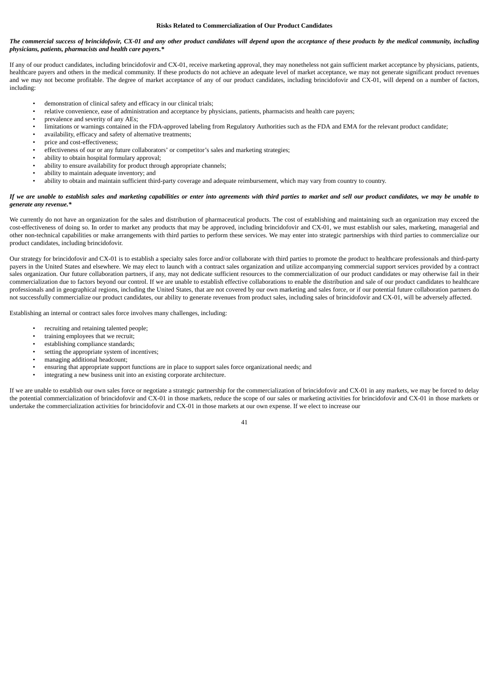#### **Risks Related to Commercialization of Our Product Candidates**

## The commercial success of brincidofovir, CX-01 and any other product candidates will depend upon the acceptance of these products by the medical community, including *physicians, patients, pharmacists and health care payers.\**

If any of our product candidates, including brincidofovir and CX-01, receive marketing approval, they may nonetheless not gain sufficient market acceptance by physicians, patients, healthcare payers and others in the medical community. If these products do not achieve an adequate level of market acceptance, we may not generate significant product revenues and we may not become profitable. The degree of market acceptance of any of our product candidates, including brincidofovir and CX-01, will depend on a number of factors, including:

- demonstration of clinical safety and efficacy in our clinical trials;
- relative convenience, ease of administration and acceptance by physicians, patients, pharmacists and health care payers;
- prevalence and severity of any AEs;
- limitations or warnings contained in the FDA-approved labeling from Regulatory Authorities such as the FDA and EMA for the relevant product candidate;
- availability, efficacy and safety of alternative treatments;
- price and cost-effectiveness;
- effectiveness of our or any future collaborators' or competitor's sales and marketing strategies;
- ability to obtain hospital formulary approval;
- ability to ensure availability for product through appropriate channels;
- ability to maintain adequate inventory; and
- ability to obtain and maintain sufficient third-party coverage and adequate reimbursement, which may vary from country to country.

## If we are unable to establish sales and marketing capabilities or enter into agreements with third parties to market and sell our product candidates, we may be unable to *generate any revenue.\**

We currently do not have an organization for the sales and distribution of pharmaceutical products. The cost of establishing and maintaining such an organization may exceed the cost-effectiveness of doing so. In order to market any products that may be approved, including brincidofovir and CX-01, we must establish our sales, marketing, managerial and other non-technical capabilities or make arrangements with third parties to perform these services. We may enter into strategic partnerships with third parties to commercialize our product candidates, including brincidofovir.

Our strategy for brincidofovir and CX-01 is to establish a specialty sales force and/or collaborate with third parties to promote the product to healthcare professionals and third-party payers in the United States and elsewhere. We may elect to launch with a contract sales organization and utilize accompanying commercial support services provided by a contract sales organization. Our future collaboration partners, if any, may not dedicate sufficient resources to the commercialization of our product candidates or may otherwise fail in their commercialization due to factors beyond our control. If we are unable to establish effective collaborations to enable the distribution and sale of our product candidates to healthcare professionals and in geographical regions, including the United States, that are not covered by our own marketing and sales force, or if our potential future collaboration partners do not successfully commercialize our product candidates, our ability to generate revenues from product sales, including sales of brincidofovir and CX-01, will be adversely affected.

Establishing an internal or contract sales force involves many challenges, including:

- recruiting and retaining talented people;
- training employees that we recruit;
- establishing compliance standards;
- setting the appropriate system of incentives;
- managing additional headcount;
- ensuring that appropriate support functions are in place to support sales force organizational needs; and
- integrating a new business unit into an existing corporate architecture.

If we are unable to establish our own sales force or negotiate a strategic partnership for the commercialization of brincidofovir and CX-01 in any markets, we may be forced to delay the potential commercialization of brincidofovir and CX-01 in those markets, reduce the scope of our sales or marketing activities for brincidofovir and CX-01 in those markets or undertake the commercialization activities for brincidofovir and CX-01 in those markets at our own expense. If we elect to increase our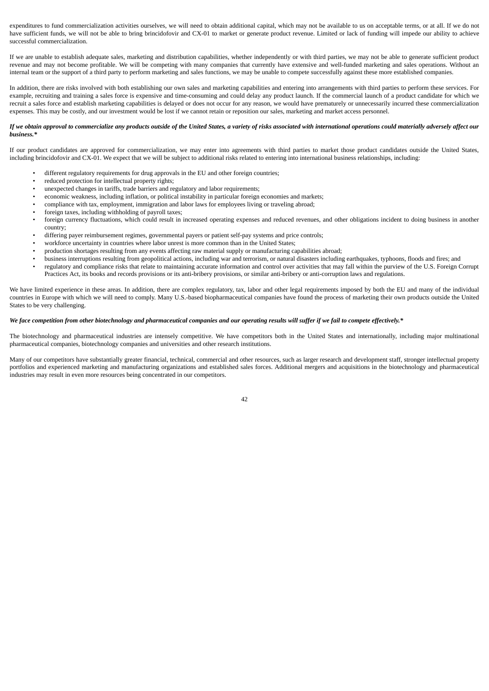expenditures to fund commercialization activities ourselves, we will need to obtain additional capital, which may not be available to us on acceptable terms, or at all. If we do not have sufficient funds, we will not be able to bring brincidofovir and CX-01 to market or generate product revenue. Limited or lack of funding will impede our ability to achieve successful commercialization.

If we are unable to establish adequate sales, marketing and distribution capabilities, whether independently or with third parties, we may not be able to generate sufficient product revenue and may not become profitable. We will be competing with many companies that currently have extensive and well-funded marketing and sales operations. Without an internal team or the support of a third party to perform marketing and sales functions, we may be unable to compete successfully against these more established companies.

In addition, there are risks involved with both establishing our own sales and marketing capabilities and entering into arrangements with third parties to perform these services. For example, recruiting and training a sales force is expensive and time-consuming and could delay any product launch. If the commercial launch of a product candidate for which we recruit a sales force and establish marketing capabilities is delayed or does not occur for any reason, we would have prematurely or unnecessarily incurred these commercialization expenses. This may be costly, and our investment would be lost if we cannot retain or reposition our sales, marketing and market access personnel.

#### If we obtain approval to commercialize any products outside of the United States, a variety of risks associated with international operations could materially adversely affect our *business.\**

If our product candidates are approved for commercialization, we may enter into agreements with third parties to market those product candidates outside the United States, including brincidofovir and CX-01. We expect that we will be subject to additional risks related to entering into international business relationships, including:

- different regulatory requirements for drug approvals in the EU and other foreign countries;
- reduced protection for intellectual property rights;
- unexpected changes in tariffs, trade barriers and regulatory and labor requirements;
- economic weakness, including inflation, or political instability in particular foreign economies and markets;
- compliance with tax, employment, immigration and labor laws for employees living or traveling abroad;
- foreign taxes, including withholding of payroll taxes;
- foreign currency fluctuations, which could result in increased operating expenses and reduced revenues, and other obligations incident to doing business in another country;
- differing payer reimbursement regimes, governmental payers or patient self-pay systems and price controls;
- workforce uncertainty in countries where labor unrest is more common than in the United States;
- production shortages resulting from any events affecting raw material supply or manufacturing capabilities abroad;
- business interruptions resulting from geopolitical actions, including war and terrorism, or natural disasters including earthquakes, typhoons, floods and fires; and
- regulatory and compliance risks that relate to maintaining accurate information and control over activities that may fall within the purview of the U.S. Foreign Corrupt Practices Act, its books and records provisions or its anti-bribery provisions, or similar anti-bribery or anti-corruption laws and regulations.

We have limited experience in these areas. In addition, there are complex regulatory, tax, labor and other legal requirements imposed by both the EU and many of the individual countries in Europe with which we will need to comply. Many U.S.-based biopharmaceutical companies have found the process of marketing their own products outside the United States to be very challenging.

## We face competition from other biotechnology and pharmaceutical companies and our operating results will suffer if we fail to compete effectively.\*

The biotechnology and pharmaceutical industries are intensely competitive. We have competitors both in the United States and internationally, including major multinational pharmaceutical companies, biotechnology companies and universities and other research institutions.

Many of our competitors have substantially greater financial, technical, commercial and other resources, such as larger research and development staff, stronger intellectual property portfolios and experienced marketing and manufacturing organizations and established sales forces. Additional mergers and acquisitions in the biotechnology and pharmaceutical industries may result in even more resources being concentrated in our competitors.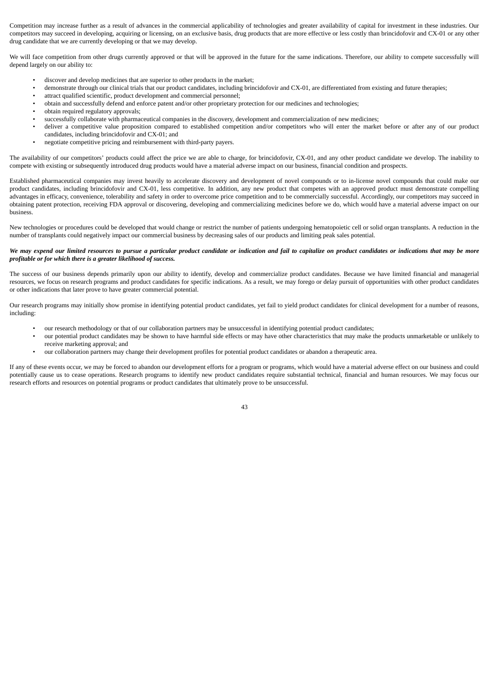Competition may increase further as a result of advances in the commercial applicability of technologies and greater availability of capital for investment in these industries. Our competitors may succeed in developing, acquiring or licensing, on an exclusive basis, drug products that are more effective or less costly than brincidofovir and CX-01 or any other drug candidate that we are currently developing or that we may develop.

We will face competition from other drugs currently approved or that will be approved in the future for the same indications. Therefore, our ability to compete successfully will depend largely on our ability to:

- discover and develop medicines that are superior to other products in the market;
- demonstrate through our clinical trials that our product candidates, including brincidofovir and CX-01, are differentiated from existing and future therapies;
- attract qualified scientific, product development and commercial personnel;
- obtain and successfully defend and enforce patent and/or other proprietary protection for our medicines and technologies;
- obtain required regulatory approvals;
- successfully collaborate with pharmaceutical companies in the discovery, development and commercialization of new medicines;
- deliver a competitive value proposition compared to established competition and/or competitors who will enter the market before or after any of our product candidates, including brincidofovir and CX-01; and
- negotiate competitive pricing and reimbursement with third-party payers.

The availability of our competitors' products could affect the price we are able to charge, for brincidofovir, CX-01, and any other product candidate we develop. The inability to compete with existing or subsequently introduced drug products would have a material adverse impact on our business, financial condition and prospects.

Established pharmaceutical companies may invest heavily to accelerate discovery and development of novel compounds or to in-license novel compounds that could make our product candidates, including brincidofovir and CX-01, less competitive. In addition, any new product that competes with an approved product must demonstrate compelling advantages in efficacy, convenience, tolerability and safety in order to overcome price competition and to be commercially successful. Accordingly, our competitors may succeed in obtaining patent protection, receiving FDA approval or discovering, developing and commercializing medicines before we do, which would have a material adverse impact on our business.

New technologies or procedures could be developed that would change or restrict the number of patients undergoing hematopoietic cell or solid organ transplants. A reduction in the number of transplants could negatively impact our commercial business by decreasing sales of our products and limiting peak sales potential.

## We may expend our limited resources to pursue a particular product candidate or indication and fail to capitalize on product candidates or indications that may be more *profitable or for which there is a greater likelihood of success.*

The success of our business depends primarily upon our ability to identify, develop and commercialize product candidates. Because we have limited financial and managerial resources, we focus on research programs and product candidates for specific indications. As a result, we may forego or delay pursuit of opportunities with other product candidates or other indications that later prove to have greater commercial potential.

Our research programs may initially show promise in identifying potential product candidates, yet fail to yield product candidates for clinical development for a number of reasons, including:

- our research methodology or that of our collaboration partners may be unsuccessful in identifying potential product candidates;
- our potential product candidates may be shown to have harmful side effects or may have other characteristics that may make the products unmarketable or unlikely to receive marketing approval; and
- our collaboration partners may change their development profiles for potential product candidates or abandon a therapeutic area.

If any of these events occur, we may be forced to abandon our development efforts for a program or programs, which would have a material adverse effect on our business and could potentially cause us to cease operations. Research programs to identify new product candidates require substantial technical, financial and human resources. We may focus our research efforts and resources on potential programs or product candidates that ultimately prove to be unsuccessful.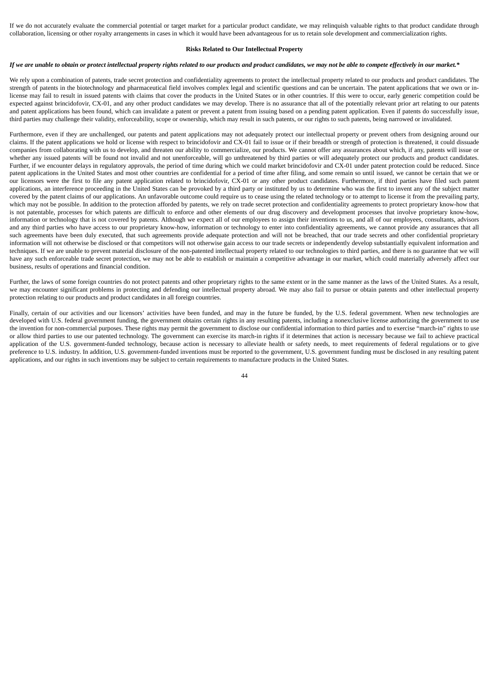If we do not accurately evaluate the commercial potential or target market for a particular product candidate, we may relinquish valuable rights to that product candidate through collaboration, licensing or other royalty arrangements in cases in which it would have been advantageous for us to retain sole development and commercialization rights.

#### **Risks Related to Our Intellectual Property**

## If we are unable to obtain or protect intellectual property rights related to our products and product candidates, we may not be able to compete effectively in our market.\*

We rely upon a combination of patents, trade secret protection and confidentiality agreements to protect the intellectual property related to our products and product candidates. The strength of patents in the biotechnology and pharmaceutical field involves complex legal and scientific questions and can be uncertain. The patent applications that we own or inlicense may fail to result in issued patents with claims that cover the products in the United States or in other countries. If this were to occur, early generic competition could be expected against brincidofovir, CX-01, and any other product candidates we may develop. There is no assurance that all of the potentially relevant prior art relating to our patents and patent applications has been found, which can invalidate a patent or prevent a patent from issuing based on a pending patent application. Even if patents do successfully issue, third parties may challenge their validity, enforceability, scope or ownership, which may result in such patents, or our rights to such patents, being narrowed or invalidated.

Furthermore, even if they are unchallenged, our patents and patent applications may not adequately protect our intellectual property or prevent others from designing around our claims. If the patent applications we hold or license with respect to brincidofovir and CX-01 fail to issue or if their breadth or strength of protection is threatened, it could dissuade companies from collaborating with us to develop, and threaten our ability to commercialize, our products. We cannot offer any assurances about which, if any, patents will issue or whether any issued patents will be found not invalid and not unenforceable, will go unthreatened by third parties or will adequately protect our products and product candidates. Further, if we encounter delays in regulatory approvals, the period of time during which we could market brincidofovir and CX-01 under patent protection could be reduced. Since patent applications in the United States and most other countries are confidential for a period of time after filing, and some remain so until issued, we cannot be certain that we or our licensors were the first to file any patent application related to brincidofovir, CX-01 or any other product candidates. Furthermore, if third parties have filed such patent applications, an interference proceeding in the United States can be provoked by a third party or instituted by us to determine who was the first to invent any of the subject matter covered by the patent claims of our applications. An unfavorable outcome could require us to cease using the related technology or to attempt to license it from the prevailing party, which may not be possible. In addition to the protection afforded by patents, we rely on trade secret protection and confidentiality agreements to protect proprietary know-how that is not patentable, processes for which patents are difficult to enforce and other elements of our drug discovery and development processes that involve proprietary know-how, information or technology that is not covered by patents. Although we expect all of our employees to assign their inventions to us, and all of our employees, consultants, advisors and any third parties who have access to our proprietary know-how, information or technology to enter into confidentiality agreements, we cannot provide any assurances that all such agreements have been duly executed, that such agreements provide adequate protection and will not be breached, that our trade secrets and other confidential proprietary information will not otherwise be disclosed or that competitors will not otherwise gain access to our trade secrets or independently develop substantially equivalent information and techniques. If we are unable to prevent material disclosure of the non-patented intellectual property related to our technologies to third parties, and there is no guarantee that we will have any such enforceable trade secret protection, we may not be able to establish or maintain a competitive advantage in our market, which could materially adversely affect our business, results of operations and financial condition.

Further, the laws of some foreign countries do not protect patents and other proprietary rights to the same extent or in the same manner as the laws of the United States. As a result, we may encounter significant problems in protecting and defending our intellectual property abroad. We may also fail to pursue or obtain patents and other intellectual property protection relating to our products and product candidates in all foreign countries.

Finally, certain of our activities and our licensors' activities have been funded, and may in the future be funded, by the U.S. federal government. When new technologies are developed with U.S. federal government funding, the government obtains certain rights in any resulting patents, including a nonexclusive license authorizing the government to use the invention for non-commercial purposes. These rights may permit the government to disclose our confidential information to third parties and to exercise "march-in" rights to use or allow third parties to use our patented technology. The government can exercise its march-in rights if it determines that action is necessary because we fail to achieve practical application of the U.S. government-funded technology, because action is necessary to alleviate health or safety needs, to meet requirements of federal regulations or to give preference to U.S. industry. In addition, U.S. government-funded inventions must be reported to the government, U.S. government funding must be disclosed in any resulting patent applications, and our rights in such inventions may be subject to certain requirements to manufacture products in the United States.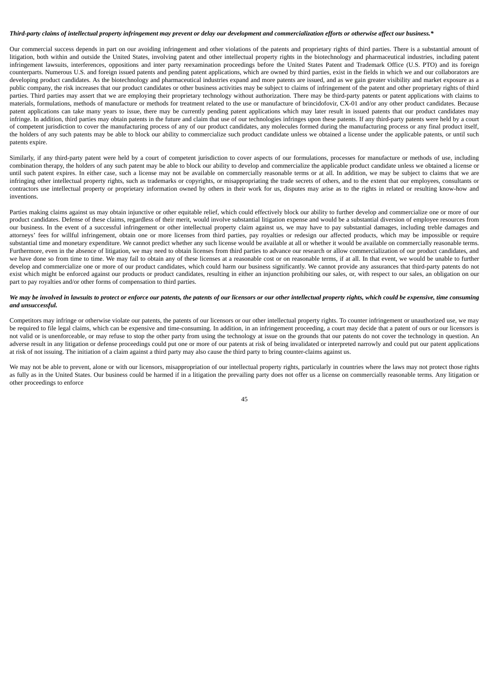## Third-party claims of intellectual property infringement may prevent or delay our development and commercialization efforts or otherwise affect our business.\*

Our commercial success depends in part on our avoiding infringement and other violations of the patents and proprietary rights of third parties. There is a substantial amount of litigation, both within and outside the United States, involving patent and other intellectual property rights in the biotechnology and pharmaceutical industries, including patent infringement lawsuits, interferences, oppositions and inter party reexamination proceedings before the United States Patent and Trademark Office (U.S. PTO) and its foreign counterparts. Numerous U.S. and foreign issued patents and pending patent applications, which are owned by third parties, exist in the fields in which we and our collaborators are developing product candidates. As the biotechnology and pharmaceutical industries expand and more patents are issued, and as we gain greater visibility and market exposure as a public company, the risk increases that our product candidates or other business activities may be subject to claims of infringement of the patent and other proprietary rights of third parties. Third parties may assert that we are employing their proprietary technology without authorization. There may be third-party patents or patent applications with claims to materials, formulations, methods of manufacture or methods for treatment related to the use or manufacture of brincidofovir, CX-01 and/or any other product candidates. Because patent applications can take many years to issue, there may be currently pending patent applications which may later result in issued patents that our product candidates may infringe. In addition, third parties may obtain patents in the future and claim that use of our technologies infringes upon these patents. If any third-party patents were held by a court of competent jurisdiction to cover the manufacturing process of any of our product candidates, any molecules formed during the manufacturing process or any final product itself, the holders of any such patents may be able to block our ability to commercialize such product candidate unless we obtained a license under the applicable patents, or until such patents expire.

Similarly, if any third-party patent were held by a court of competent jurisdiction to cover aspects of our formulations, processes for manufacture or methods of use, including combination therapy, the holders of any such patent may be able to block our ability to develop and commercialize the applicable product candidate unless we obtained a license or until such patent expires. In either case, such a license may not be available on commercially reasonable terms or at all. In addition, we may be subject to claims that we are infringing other intellectual property rights, such as trademarks or copyrights, or misappropriating the trade secrets of others, and to the extent that our employees, consultants or contractors use intellectual property or proprietary information owned by others in their work for us, disputes may arise as to the rights in related or resulting know-how and inventions.

Parties making claims against us may obtain injunctive or other equitable relief, which could effectively block our ability to further develop and commercialize one or more of our product candidates. Defense of these claims, regardless of their merit, would involve substantial litigation expense and would be a substantial diversion of employee resources from our business. In the event of a successful infringement or other intellectual property claim against us, we may have to pay substantial damages, including treble damages and attorneys' fees for willful infringement, obtain one or more licenses from third parties, pay royalties or redesign our affected products, which may be impossible or require substantial time and monetary expenditure. We cannot predict whether any such license would be available at all or whether it would be available on commercially reasonable terms. Furthermore, even in the absence of litigation, we may need to obtain licenses from third parties to advance our research or allow commercialization of our product candidates, and we have done so from time to time. We may fail to obtain any of these licenses at a reasonable cost or on reasonable terms, if at all. In that event, we would be unable to further develop and commercialize one or more of our product candidates, which could harm our business significantly. We cannot provide any assurances that third-party patents do not exist which might be enforced against our products or product candidates, resulting in either an injunction prohibiting our sales, or, with respect to our sales, an obligation on our part to pay royalties and/or other forms of compensation to third parties.

## We may be involved in lawsuits to protect or enforce our patents, the patents of our licensors or our other intellectual property rights, which could be expensive, time consuming *and unsuccessful.*

Competitors may infringe or otherwise violate our patents, the patents of our licensors or our other intellectual property rights. To counter infringement or unauthorized use, we may be required to file legal claims, which can be expensive and time-consuming. In addition, in an infringement proceeding, a court may decide that a patent of ours or our licensors is not valid or is unenforceable, or may refuse to stop the other party from using the technology at issue on the grounds that our patents do not cover the technology in question. An adverse result in any litigation or defense proceedings could put one or more of our patents at risk of being invalidated or interpreted narrowly and could put our patent applications at risk of not issuing. The initiation of a claim against a third party may also cause the third party to bring counter-claims against us.

We may not be able to prevent, alone or with our licensors, misappropriation of our intellectual property rights, particularly in countries where the laws may not protect those rights as fully as in the United States. Our business could be harmed if in a litigation the prevailing party does not offer us a license on commercially reasonable terms. Any litigation or other proceedings to enforce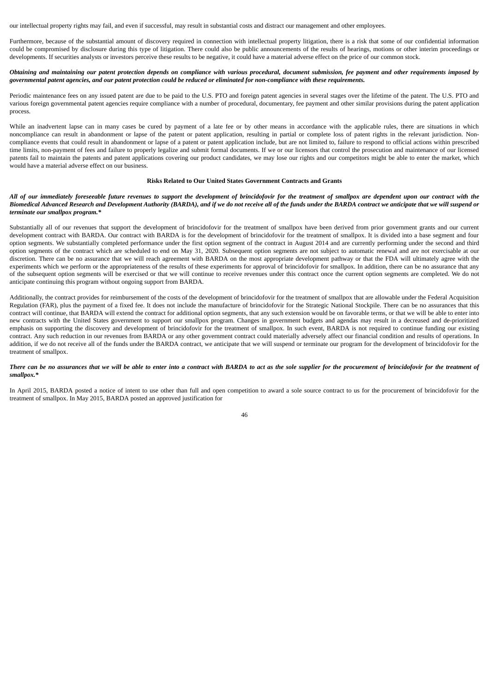our intellectual property rights may fail, and even if successful, may result in substantial costs and distract our management and other employees.

Furthermore, because of the substantial amount of discovery required in connection with intellectual property litigation, there is a risk that some of our confidential information could be compromised by disclosure during this type of litigation. There could also be public announcements of the results of hearings, motions or other interim proceedings or developments. If securities analysts or investors perceive these results to be negative, it could have a material adverse effect on the price of our common stock.

## Obtaining and maintaining our patent protection depends on compliance with various procedural, document submission, fee payment and other requirements imposed by governmental patent agencies, and our patent protection could be reduced or eliminated for non-compliance with these requirements.

Periodic maintenance fees on any issued patent are due to be paid to the U.S. PTO and foreign patent agencies in several stages over the lifetime of the patent. The U.S. PTO and various foreign governmental patent agencies require compliance with a number of procedural, documentary, fee payment and other similar provisions during the patent application process.

While an inadvertent lapse can in many cases be cured by payment of a late fee or by other means in accordance with the applicable rules, there are situations in which noncompliance can result in abandonment or lapse of the patent or patent application, resulting in partial or complete loss of patent rights in the relevant jurisdiction. Noncompliance events that could result in abandonment or lapse of a patent or patent application include, but are not limited to, failure to respond to official actions within prescribed time limits, non-payment of fees and failure to properly legalize and submit formal documents. If we or our licensors that control the prosecution and maintenance of our licensed patents fail to maintain the patents and patent applications covering our product candidates, we may lose our rights and our competitors might be able to enter the market, which would have a material adverse effect on our business.

#### **Risks Related to Our United States Government Contracts and Grants**

## All of our immediately foreseeable future revenues to support the development of brincidofovir for the treatment of smallpox are dependent upon our contract with the Biomedical Advanced Research and Development Authority (BARDA), and if we do not receive all of the funds under the BARDA contract we anticipate that we will suspend or *terminate our smallpox program.\**

Substantially all of our revenues that support the development of brincidofovir for the treatment of smallpox have been derived from prior government grants and our current development contract with BARDA. Our contract with BARDA is for the development of brincidofovir for the treatment of smallpox. It is divided into a base segment and four option segments. We substantially completed performance under the first option segment of the contract in August 2014 and are currently performing under the second and third option segments of the contract which are scheduled to end on May 31, 2020. Subsequent option segments are not subject to automatic renewal and are not exercisable at our discretion. There can be no assurance that we will reach agreement with BARDA on the most appropriate development pathway or that the FDA will ultimately agree with the experiments which we perform or the appropriateness of the results of these experiments for approval of brincidofovir for smallpox. In addition, there can be no assurance that any of the subsequent option segments will be exercised or that we will continue to receive revenues under this contract once the current option segments are completed. We do not anticipate continuing this program without ongoing support from BARDA.

Additionally, the contract provides for reimbursement of the costs of the development of brincidofovir for the treatment of smallpox that are allowable under the Federal Acquisition Regulation (FAR), plus the payment of a fixed fee. It does not include the manufacture of brincidofovir for the Strategic National Stockpile. There can be no assurances that this contract will continue, that BARDA will extend the contract for additional option segments, that any such extension would be on favorable terms, or that we will be able to enter into new contracts with the United States government to support our smallpox program. Changes in government budgets and agendas may result in a decreased and de-prioritized emphasis on supporting the discovery and development of brincidofovir for the treatment of smallpox. In such event, BARDA is not required to continue funding our existing contract. Any such reduction in our revenues from BARDA or any other government contract could materially adversely affect our financial condition and results of operations. In addition, if we do not receive all of the funds under the BARDA contract, we anticipate that we will suspend or terminate our program for the development of brincidofovir for the treatment of smallpox.

### There can be no assurances that we will be able to enter into a contract with BARDA to act as the sole supplier for the procurement of brincidofovir for the treatment of *smallpox.\**

In April 2015, BARDA posted a notice of intent to use other than full and open competition to award a sole source contract to us for the procurement of brincidofovir for the treatment of smallpox. In May 2015, BARDA posted an approved justification for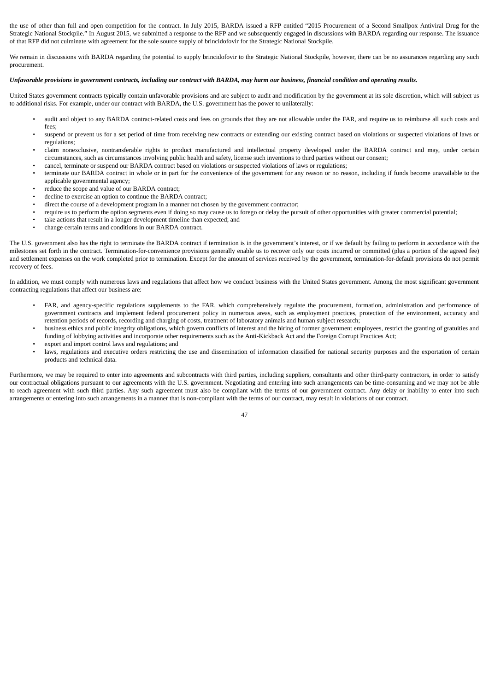the use of other than full and open competition for the contract. In July 2015, BARDA issued a RFP entitled "2015 Procurement of a Second Smallpox Antiviral Drug for the Strategic National Stockpile." In August 2015, we submitted a response to the RFP and we subsequently engaged in discussions with BARDA regarding our response. The issuance of that RFP did not culminate with agreement for the sole source supply of brincidofovir for the Strategic National Stockpile.

We remain in discussions with BARDA regarding the potential to supply brincidofovir to the Strategic National Stockpile, however, there can be no assurances regarding any such procurement.

## Unfavorable provisions in government contracts, including our contract with BARDA, may harm our business, financial condition and operating results.

United States government contracts typically contain unfavorable provisions and are subject to audit and modification by the government at its sole discretion, which will subject us to additional risks. For example, under our contract with BARDA, the U.S. government has the power to unilaterally:

- audit and object to any BARDA contract-related costs and fees on grounds that they are not allowable under the FAR, and require us to reimburse all such costs and fees;
- suspend or prevent us for a set period of time from receiving new contracts or extending our existing contract based on violations or suspected violations of laws or regulations;
- claim nonexclusive, nontransferable rights to product manufactured and intellectual property developed under the BARDA contract and may, under certain circumstances, such as circumstances involving public health and safety, license such inventions to third parties without our consent;
- cancel, terminate or suspend our BARDA contract based on violations or suspected violations of laws or regulations;
- terminate our BARDA contract in whole or in part for the convenience of the government for any reason or no reason, including if funds become unavailable to the applicable governmental agency;
- reduce the scope and value of our BARDA contract;
- decline to exercise an option to continue the BARDA contract:
- direct the course of a development program in a manner not chosen by the government contractor;
- require us to perform the option segments even if doing so may cause us to forego or delay the pursuit of other opportunities with greater commercial potential;
- take actions that result in a longer development timeline than expected; and
- change certain terms and conditions in our BARDA contract.

The U.S. government also has the right to terminate the BARDA contract if termination is in the government's interest, or if we default by failing to perform in accordance with the milestones set forth in the contract. Termination-for-convenience provisions generally enable us to recover only our costs incurred or committed (plus a portion of the agreed fee) and settlement expenses on the work completed prior to termination. Except for the amount of services received by the government, termination-for-default provisions do not permit recovery of fees.

In addition, we must comply with numerous laws and regulations that affect how we conduct business with the United States government. Among the most significant government contracting regulations that affect our business are:

- FAR, and agency-specific regulations supplements to the FAR, which comprehensively regulate the procurement, formation, administration and performance of government contracts and implement federal procurement policy in numerous areas, such as employment practices, protection of the environment, accuracy and retention periods of records, recording and charging of costs, treatment of laboratory animals and human subject research;
- business ethics and public integrity obligations, which govern conflicts of interest and the hiring of former government employees, restrict the granting of gratuities and funding of lobbying activities and incorporate other requirements such as the Anti-Kickback Act and the Foreign Corrupt Practices Act;
- export and import control laws and regulations; and
- laws, regulations and executive orders restricting the use and dissemination of information classified for national security purposes and the exportation of certain products and technical data.

Furthermore, we may be required to enter into agreements and subcontracts with third parties, including suppliers, consultants and other third-party contractors, in order to satisfy our contractual obligations pursuant to our agreements with the U.S. government. Negotiating and entering into such arrangements can be time-consuming and we may not be able to reach agreement with such third parties. Any such agreement must also be compliant with the terms of our government contract. Any delay or inability to enter into such arrangements or entering into such arrangements in a manner that is non-compliant with the terms of our contract, may result in violations of our contract.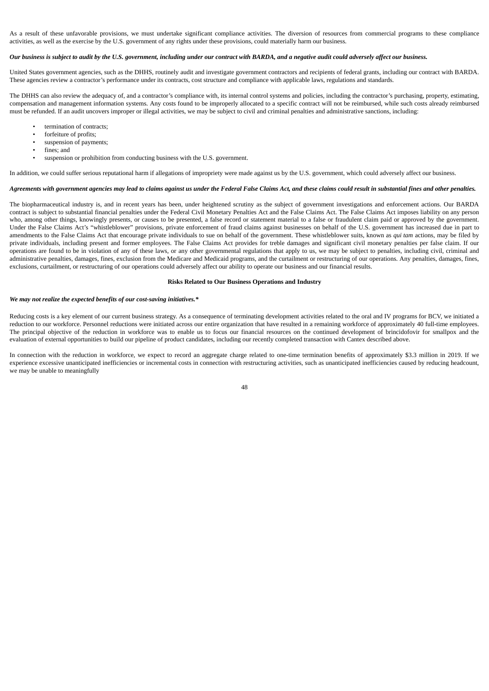As a result of these unfavorable provisions, we must undertake significant compliance activities. The diversion of resources from commercial programs to these compliance activities, as well as the exercise by the U.S. government of any rights under these provisions, could materially harm our business.

#### Our business is subject to audit by the U.S. government, including under our contract with BARDA, and a negative audit could adversely affect our business.

United States government agencies, such as the DHHS, routinely audit and investigate government contractors and recipients of federal grants, including our contract with BARDA. These agencies review a contractor's performance under its contracts, cost structure and compliance with applicable laws, regulations and standards.

The DHHS can also review the adequacy of, and a contractor's compliance with, its internal control systems and policies, including the contractor's purchasing, property, estimating, compensation and management information systems. Any costs found to be improperly allocated to a specific contract will not be reimbursed, while such costs already reimbursed must be refunded. If an audit uncovers improper or illegal activities, we may be subject to civil and criminal penalties and administrative sanctions, including:

- termination of contracts:
- forfeiture of profits;
- suspension of payments;
- fines: and
- suspension or prohibition from conducting business with the U.S. government.

In addition, we could suffer serious reputational harm if allegations of impropriety were made against us by the U.S. government, which could adversely affect our business.

#### Agreements with government agencies may lead to claims against us under the Federal False Claims Act, and these claims could result in substantial fines and other penalties.

The biopharmaceutical industry is, and in recent years has been, under heightened scrutiny as the subject of government investigations and enforcement actions. Our BARDA contract is subject to substantial financial penalties under the Federal Civil Monetary Penalties Act and the False Claims Act. The False Claims Act imposes liability on any person who, among other things, knowingly presents, or causes to be presented, a false record or statement material to a false or fraudulent claim paid or approved by the government. Under the False Claims Act's "whistleblower" provisions, private enforcement of fraud claims against businesses on behalf of the U.S. government has increased due in part to amendments to the False Claims Act that encourage private individuals to sue on behalf of the government. These whistleblower suits, known as *qui tam* actions, may be filed by private individuals, including present and former employees. The False Claims Act provides for treble damages and significant civil monetary penalties per false claim. If our operations are found to be in violation of any of these laws, or any other governmental regulations that apply to us, we may be subject to penalties, including civil, criminal and administrative penalties, damages, fines, exclusion from the Medicare and Medicaid programs, and the curtailment or restructuring of our operations. Any penalties, damages, fines, exclusions, curtailment, or restructuring of our operations could adversely affect our ability to operate our business and our financial results.

#### **Risks Related to Our Business Operations and Industry**

#### *We may not realize the expected benefits of our cost-saving initiatives.\**

Reducing costs is a key element of our current business strategy. As a consequence of terminating development activities related to the oral and IV programs for BCV, we initiated a reduction to our workforce. Personnel reductions were initiated across our entire organization that have resulted in a remaining workforce of approximately 40 full-time employees. The principal objective of the reduction in workforce was to enable us to focus our financial resources on the continued development of brincidofovir for smallpox and the evaluation of external opportunities to build our pipeline of product candidates, including our recently completed transaction with Cantex described above.

In connection with the reduction in workforce, we expect to record an aggregate charge related to one-time termination benefits of approximately \$3.3 million in 2019. If we experience excessive unanticipated inefficiencies or incremental costs in connection with restructuring activities, such as unanticipated inefficiencies caused by reducing headcount, we may be unable to meaningfully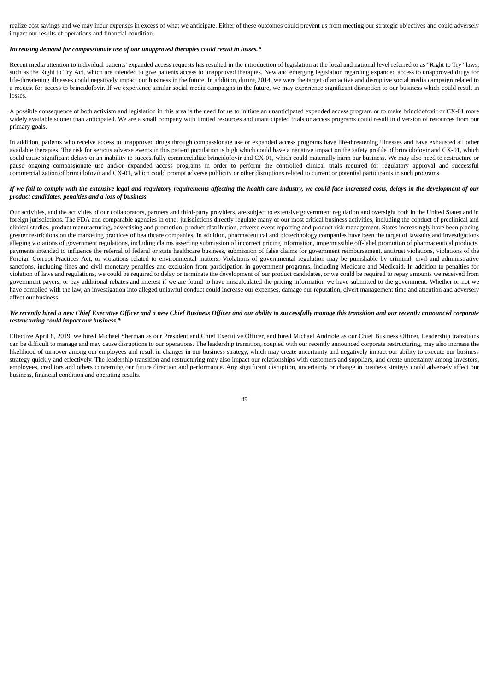realize cost savings and we may incur expenses in excess of what we anticipate. Either of these outcomes could prevent us from meeting our strategic objectives and could adversely impact our results of operations and financial condition.

## *Increasing demand for compassionate use of our unapproved therapies could result in losses.\**

Recent media attention to individual patients' expanded access requests has resulted in the introduction of legislation at the local and national level referred to as "Right to Try" laws, such as the Right to Try Act, which are intended to give patients access to unapproved therapies. New and emerging legislation regarding expanded access to unapproved drugs for life-threatening illnesses could negatively impact our business in the future. In addition, during 2014, we were the target of an active and disruptive social media campaign related to a request for access to brincidofovir. If we experience similar social media campaigns in the future, we may experience significant disruption to our business which could result in losses.

A possible consequence of both activism and legislation in this area is the need for us to initiate an unanticipated expanded access program or to make brincidofovir or CX-01 more widely available sooner than anticipated. We are a small company with limited resources and unanticipated trials or access programs could result in diversion of resources from our primary goals.

In addition, patients who receive access to unapproved drugs through compassionate use or expanded access programs have life-threatening illnesses and have exhausted all other available therapies. The risk for serious adverse events in this patient population is high which could have a negative impact on the safety profile of brincidofovir and CX-01, which could cause significant delays or an inability to successfully commercialize brincidofovir and CX-01, which could materially harm our business. We may also need to restructure or pause ongoing compassionate use and/or expanded access programs in order to perform the controlled clinical trials required for regulatory approval and successful commercialization of brincidofovir and CX-01, which could prompt adverse publicity or other disruptions related to current or potential participants in such programs.

#### If we fail to comply with the extensive legal and regulatory requirements affecting the health care industry, we could face increased costs, delays in the development of our *product candidates, penalties and a loss of business.*

Our activities, and the activities of our collaborators, partners and third-party providers, are subject to extensive government regulation and oversight both in the United States and in foreign jurisdictions. The FDA and comparable agencies in other jurisdictions directly regulate many of our most critical business activities, including the conduct of preclinical and clinical studies, product manufacturing, advertising and promotion, product distribution, adverse event reporting and product risk management. States increasingly have been placing greater restrictions on the marketing practices of healthcare companies. In addition, pharmaceutical and biotechnology companies have been the target of lawsuits and investigations alleging violations of government regulations, including claims asserting submission of incorrect pricing information, impermissible off-label promotion of pharmaceutical products, payments intended to influence the referral of federal or state healthcare business, submission of false claims for government reimbursement, antitrust violations, violations of the Foreign Corrupt Practices Act, or violations related to environmental matters. Violations of governmental regulation may be punishable by criminal, civil and administrative sanctions, including fines and civil monetary penalties and exclusion from participation in government programs, including Medicare and Medicaid. In addition to penalties for violation of laws and regulations, we could be required to delay or terminate the development of our product candidates, or we could be required to repay amounts we received from government payers, or pay additional rebates and interest if we are found to have miscalculated the pricing information we have submitted to the government. Whether or not we have complied with the law, an investigation into alleged unlawful conduct could increase our expenses, damage our reputation, divert management time and attention and adversely affect our business.

## We recently hired a new Chief Executive Officer and a new Chief Business Officer and our ability to successfully manage this transition and our recently announced corporate *restructuring could impact our business.\**

Effective April 8, 2019, we hired Michael Sherman as our President and Chief Executive Officer, and hired Michael Andriole as our Chief Business Officer. Leadership transitions can be difficult to manage and may cause disruptions to our operations. The leadership transition, coupled with our recently announced corporate restructuring, may also increase the likelihood of turnover among our employees and result in changes in our business strategy, which may create uncertainty and negatively impact our ability to execute our business strategy quickly and effectively. The leadership transition and restructuring may also impact our relationships with customers and suppliers, and create uncertainty among investors, employees, creditors and others concerning our future direction and performance. Any significant disruption, uncertainty or change in business strategy could adversely affect our business, financial condition and operating results.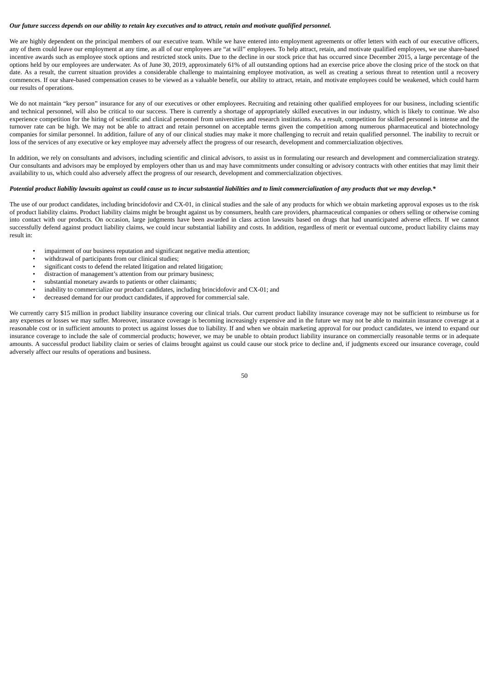#### Our future success depends on our ability to retain key executives and to attract, retain and motivate aualified personnel.

We are highly dependent on the principal members of our executive team. While we have entered into employment agreements or offer letters with each of our executive officers, any of them could leave our employment at any time, as all of our employees are "at will" employees. To help attract, retain, and motivate qualified employees, we use share-based incentive awards such as employee stock options and restricted stock units. Due to the decline in our stock price that has occurred since December 2015, a large percentage of the options held by our employees are underwater. As of June 30, 2019, approximately 61% of all outstanding options had an exercise price above the closing price of the stock on that date. As a result, the current situation provides a considerable challenge to maintaining employee motivation, as well as creating a serious threat to retention until a recovery commences. If our share-based compensation ceases to be viewed as a valuable benefit, our ability to attract, retain, and motivate employees could be weakened, which could harm our results of operations.

We do not maintain "key person" insurance for any of our executives or other employees. Recruiting and retaining other qualified employees for our business, including scientific and technical personnel, will also be critical to our success. There is currently a shortage of appropriately skilled executives in our industry, which is likely to continue. We also experience competition for the hiring of scientific and clinical personnel from universities and research institutions. As a result, competition for skilled personnel is intense and the turnover rate can be high. We may not be able to attract and retain personnel on acceptable terms given the competition among numerous pharmaceutical and biotechnology companies for similar personnel. In addition, failure of any of our clinical studies may make it more challenging to recruit and retain qualified personnel. The inability to recruit or loss of the services of any executive or key employee may adversely affect the progress of our research, development and commercialization objectives.

In addition, we rely on consultants and advisors, including scientific and clinical advisors, to assist us in formulating our research and development and commercialization strategy. Our consultants and advisors may be employed by employers other than us and may have commitments under consulting or advisory contracts with other entities that may limit their availability to us, which could also adversely affect the progress of our research, development and commercialization objectives.

## Potential product liability lawsuits against us could cause us to incur substantial liabilities and to limit commercialization of any products that we may develop.\*

The use of our product candidates, including brincidofovir and CX-01, in clinical studies and the sale of any products for which we obtain marketing approval exposes us to the risk of product liability claims. Product liability claims might be brought against us by consumers, health care providers, pharmaceutical companies or others selling or otherwise coming into contact with our products. On occasion, large judgments have been awarded in class action lawsuits based on drugs that had unanticipated adverse effects. If we cannot successfully defend against product liability claims, we could incur substantial liability and costs. In addition, regardless of merit or eventual outcome, product liability claims may result in:

- impairment of our business reputation and significant negative media attention;
- withdrawal of participants from our clinical studies;
- significant costs to defend the related litigation and related litigation;
- distraction of management's attention from our primary business;
- substantial monetary awards to patients or other claimants;
- inability to commercialize our product candidates, including brincidofovir and CX-01; and
- decreased demand for our product candidates, if approved for commercial sale.

We currently carry \$15 million in product liability insurance covering our clinical trials. Our current product liability insurance coverage may not be sufficient to reimburse us for any expenses or losses we may suffer. Moreover, insurance coverage is becoming increasingly expensive and in the future we may not be able to maintain insurance coverage at a reasonable cost or in sufficient amounts to protect us against losses due to liability. If and when we obtain marketing approval for our product candidates, we intend to expand our insurance coverage to include the sale of commercial products; however, we may be unable to obtain product liability insurance on commercially reasonable terms or in adequate amounts. A successful product liability claim or series of claims brought against us could cause our stock price to decline and, if judgments exceed our insurance coverage, could adversely affect our results of operations and business.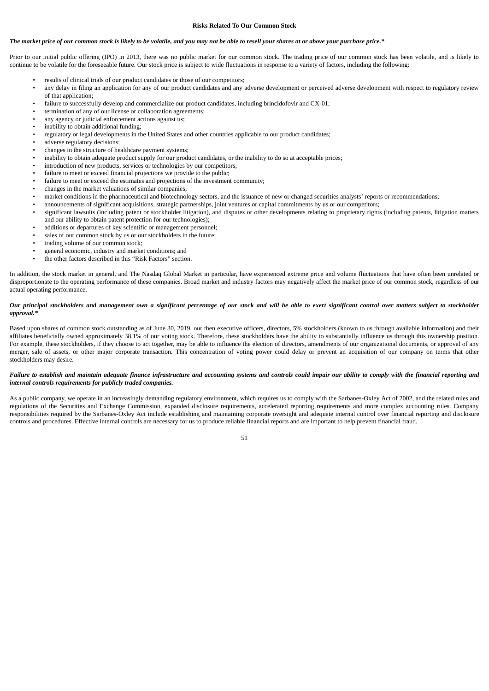#### **Risks Related To Our Common Stock**

#### The market price of our common stock is likely to be volatile, and you may not be able to resell your shares at or above your purchase price.\*

Prior to our initial public offering (IPO) in 2013, there was no public market for our common stock. The trading price of our common stock has been volatile, and is likely to continue to be volatile for the foreseeable future. Our stock price is subject to wide fluctuations in response to a variety of factors, including the following:

- results of clinical trials of our product candidates or those of our competitors;
- any delay in filing an application for any of our product candidates and any adverse development or perceived adverse development with respect to regulatory review of that application;
- failure to successfully develop and commercialize our product candidates, including brincidofovir and CX-01;
- termination of any of our license or collaboration agreements;
- any agency or judicial enforcement actions against us;
- inability to obtain additional funding;
- regulatory or legal developments in the United States and other countries applicable to our product candidates;
- adverse regulatory decisions;
- changes in the structure of healthcare payment systems;
- inability to obtain adequate product supply for our product candidates, or the inability to do so at acceptable prices;
- introduction of new products, services or technologies by our competitors;
- failure to meet or exceed financial projections we provide to the public:
- failure to meet or exceed the estimates and projections of the investment community;
- changes in the market valuations of similar companies;
- market conditions in the pharmaceutical and biotechnology sectors, and the issuance of new or changed securities analysts' reports or recommendations;
- announcements of significant acquisitions, strategic partnerships, joint ventures or capital commitments by us or our competitors;
- significant lawsuits (including patent or stockholder litigation), and disputes or other developments relating to proprietary rights (including patents, litigation matters and our ability to obtain patent protection for our technologies);
- additions or departures of key scientific or management personnel;
- sales of our common stock by us or our stockholders in the future;
- trading volume of our common stock;
- general economic, industry and market conditions; and
- the other factors described in this "Risk Factors" section.

In addition, the stock market in general, and The Nasdaq Global Market in particular, have experienced extreme price and volume fluctuations that have often been unrelated or disproportionate to the operating performance of these companies. Broad market and industry factors may negatively affect the market price of our common stock, regardless of our actual operating performance.

#### Our principal stockholders and management own a significant percentage of our stock and will be able to exert significant control over matters subject to stockholder *approval.\**

Based upon shares of common stock outstanding as of June 30, 2019, our then executive officers, directors, 5% stockholders (known to us through available information) and their affiliates beneficially owned approximately 38.1% of our voting stock. Therefore, these stockholders have the ability to substantially influence us through this ownership position. For example, these stockholders, if they choose to act together, may be able to influence the election of directors, amendments of our organizational documents, or approval of any merger, sale of assets, or other major corporate transaction. This concentration of voting power could delay or prevent an acquisition of our company on terms that other stockholders may desire.

## Failure to establish and maintain adequate finance infrastructure and accounting systems and controls could impair our ability to comply with the financial reporting and *internal controls requirements for publicly traded companies.*

As a public company, we operate in an increasingly demanding regulatory environment, which requires us to comply with the Sarbanes-Oxley Act of 2002, and the related rules and regulations of the Securities and Exchange Commission, expanded disclosure requirements, accelerated reporting requirements and more complex accounting rules. Company responsibilities required by the Sarbanes-Oxley Act include establishing and maintaining corporate oversight and adequate internal control over financial reporting and disclosure controls and procedures. Effective internal controls are necessary for us to produce reliable financial reports and are important to help prevent financial fraud.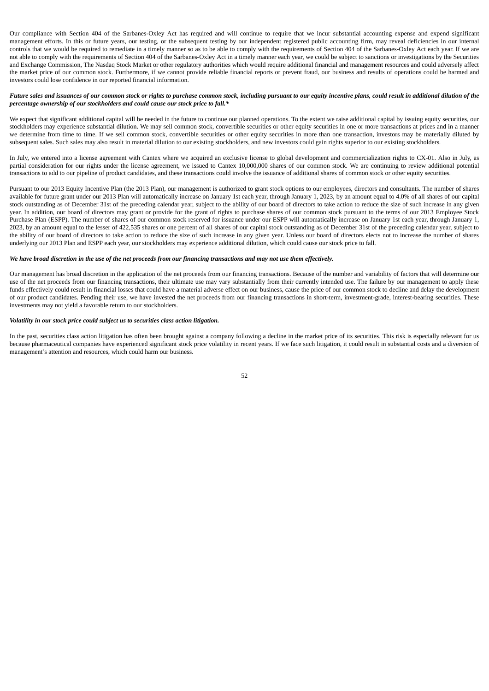Our compliance with Section 404 of the Sarbanes-Oxley Act has required and will continue to require that we incur substantial accounting expense and expend significant management efforts. In this or future years, our testing, or the subsequent testing by our independent registered public accounting firm, may reveal deficiencies in our internal controls that we would be required to remediate in a timely manner so as to be able to comply with the requirements of Section 404 of the Sarbanes-Oxley Act each year. If we are not able to comply with the requirements of Section 404 of the Sarbanes-Oxley Act in a timely manner each year, we could be subject to sanctions or investigations by the Securities and Exchange Commission, The Nasdaq Stock Market or other regulatory authorities which would require additional financial and management resources and could adversely affect the market price of our common stock. Furthermore, if we cannot provide reliable financial reports or prevent fraud, our business and results of operations could be harmed and investors could lose confidence in our reported financial information.

### Future sales and issuances of our common stock or rights to purchase common stock, including pursuant to our equity incentive plans, could result in additional dilution of the *percentage ownership of our stockholders and could cause our stock price to fall.\**

We expect that significant additional capital will be needed in the future to continue our planned operations. To the extent we raise additional capital by issuing equity securities, our stockholders may experience substantial dilution. We may sell common stock, convertible securities or other equity securities in one or more transactions at prices and in a manner we determine from time to time. If we sell common stock, convertible securities or other equity securities in more than one transaction, investors may be materially diluted by subsequent sales. Such sales may also result in material dilution to our existing stockholders, and new investors could gain rights superior to our existing stockholders.

In July, we entered into a license agreement with Cantex where we acquired an exclusive license to global development and commercialization rights to CX-01. Also in July, as partial consideration for our rights under the license agreement, we issued to Cantex 10,000,000 shares of our common stock. We are continuing to review additional potential transactions to add to our pipeline of product candidates, and these transactions could involve the issuance of additional shares of common stock or other equity securities.

Pursuant to our 2013 Equity Incentive Plan (the 2013 Plan), our management is authorized to grant stock options to our employees, directors and consultants. The number of shares available for future grant under our 2013 Plan will automatically increase on January 1st each year, through January 1, 2023, by an amount equal to 4.0% of all shares of our capital stock outstanding as of December 31st of the preceding calendar year, subject to the ability of our board of directors to take action to reduce the size of such increase in any given year. In addition, our board of directors may grant or provide for the grant of rights to purchase shares of our common stock pursuant to the terms of our 2013 Employee Stock Purchase Plan (ESPP). The number of shares of our common stock reserved for issuance under our ESPP will automatically increase on January 1st each year, through January 1, 2023, by an amount equal to the lesser of 422,535 shares or one percent of all shares of our capital stock outstanding as of December 31st of the preceding calendar year, subject to the ability of our board of directors to take action to reduce the size of such increase in any given year. Unless our board of directors elects not to increase the number of shares underlying our 2013 Plan and ESPP each year, our stockholders may experience additional dilution, which could cause our stock price to fall.

### We have broad discretion in the use of the net proceeds from our financing transactions and may not use them effectively.

Our management has broad discretion in the application of the net proceeds from our financing transactions. Because of the number and variability of factors that will determine our use of the net proceeds from our financing transactions, their ultimate use may vary substantially from their currently intended use. The failure by our management to apply these funds effectively could result in financial losses that could have a material adverse effect on our business, cause the price of our common stock to decline and delay the development of our product candidates. Pending their use, we have invested the net proceeds from our financing transactions in short-term, investment-grade, interest-bearing securities. These investments may not yield a favorable return to our stockholders.

#### *Volatility in our stock price could subject us to securities class action litigation.*

In the past, securities class action litigation has often been brought against a company following a decline in the market price of its securities. This risk is especially relevant for us because pharmaceutical companies have experienced significant stock price volatility in recent years. If we face such litigation, it could result in substantial costs and a diversion of management's attention and resources, which could harm our business.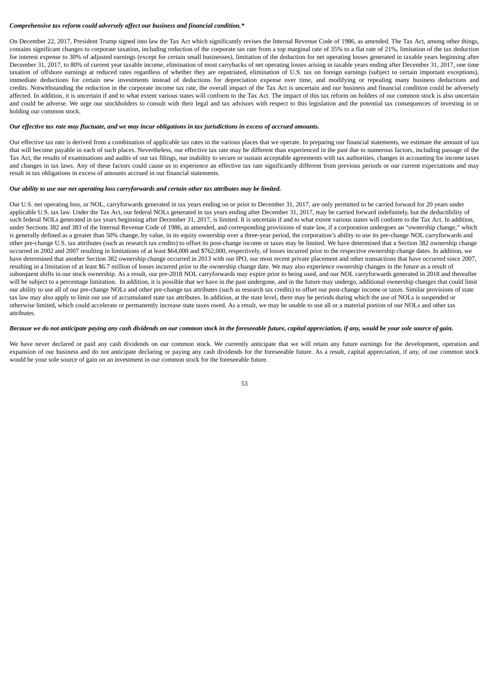# *Comprehensive tax reform could adversely affect our business and financial condition.\**

On December 22, 2017, President Trump signed into law the Tax Act which significantly revises the Internal Revenue Code of 1986, as amended. The Tax Act, among other things, contains significant changes to corporate taxation, including reduction of the corporate tax rate from a top marginal rate of 35% to a flat rate of 21%, limitation of the tax deduction for interest expense to 30% of adjusted earnings (except for certain small businesses), limitation of the deduction for net operating losses generated in taxable years beginning after December 31, 2017, to 80% of current year taxable income, elimination of most carrybacks of net operating losses arising in taxable years ending after December 31, 2017, one time taxation of offshore earnings at reduced rates regardless of whether they are repatriated, elimination of U.S. tax on foreign earnings (subject to certain important exceptions), immediate deductions for certain new investments instead of deductions for depreciation expense over time, and modifying or repealing many business deductions and credits. Notwithstanding the reduction in the corporate income tax rate, the overall impact of the Tax Act is uncertain and our business and financial condition could be adversely affected. In addition, it is uncertain if and to what extent various states will conform to the Tax Act. The impact of this tax reform on holders of our common stock is also uncertain and could be adverse. We urge our stockholders to consult with their legal and tax advisors with respect to this legislation and the potential tax consequences of investing in or holding our common stock.

#### Our effective tax rate may fluctuate, and we may incur obligations in tax jurisdictions in excess of accrued amounts.

Our effective tax rate is derived from a combination of applicable tax rates in the various places that we operate. In preparing our financial statements, we estimate the amount of tax that will become payable in each of such places. Nevertheless, our effective tax rate may be different than experienced in the past due to numerous factors, including passage of the Tax Act, the results of examinations and audits of our tax filings, our inability to secure or sustain acceptable agreements with tax authorities, changes in accounting for income taxes and changes in tax laws. Any of these factors could cause us to experience an effective tax rate significantly different from previous periods or our current expectations and may result in tax obligations in excess of amounts accrued in our financial statements.

## *Our ability to use our net operating loss carryforwards and certain other tax attributes may be limited.*

Our U.S. net operating loss, or NOL, carryforwards generated in tax years ending on or prior to December 31, 2017, are only permitted to be carried forward for 20 years under applicable U.S. tax law. Under the Tax Act, our federal NOLs generated in tax years ending after December 31, 2017, may be carried forward indefinitely, but the deductibility of such federal NOLs generated in tax years beginning after December 31, 2017, is limited. It is uncertain if and to what extent various states will conform to the Tax Act. In addition, under Sections 382 and 383 of the Internal Revenue Code of 1986, as amended, and corresponding provisions of state law, if a corporation undergoes an "ownership change," which is generally defined as a greater than 50% change, by value, in its equity ownership over a three-year period, the corporation's ability to use its pre-change NOL carryforwards and other pre-change U.S. tax attributes (such as research tax credits) to offset its post-change income or taxes may be limited. We have determined that a Section 382 ownership change occurred in 2002 and 2007 resulting in limitations of at least \$64,000 and \$762,000, respectively, of losses incurred prior to the respective ownership change dates. In addition, we have determined that another Section 382 ownership change occurred in 2013 with our IPO, our most recent private placement and other transactions that have occurred since 2007, resulting in a limitation of at least \$6.7 million of losses incurred prior to the ownership change date. We may also experience ownership changes in the future as a result of subsequent shifts in our stock ownership. As a result, our pre-2018 NOL carryforwards may expire prior to being used, and our NOL carryforwards generated in 2018 and thereafter will be subject to a percentage limitation. In addition, it is possible that we have in the past undergone, and in the future may undergo, additional ownership changes that could limit our ability to use all of our pre-change NOLs and other pre-change tax attributes (such as research tax credits) to offset our post-change income or taxes. Similar provisions of state tax law may also apply to limit our use of accumulated state tax attributes. In addition, at the state level, there may be periods during which the use of NOLs is suspended or otherwise limited, which could accelerate or permanently increase state taxes owed. As a result, we may be unable to use all or a material portion of our NOLs and other tax attributes.

## Because we do not anticipate paying any cash dividends on our common stock in the foreseeable future, capital appreciation, if any, would be your sole source of gain.

We have never declared or paid any cash dividends on our common stock. We currently anticipate that we will retain any future earnings for the development, operation and expansion of our business and do not anticipate declaring or paying any cash dividends for the foreseeable future. As a result, capital appreciation, if any, of our common stock would be your sole source of gain on an investment in our common stock for the foreseeable future.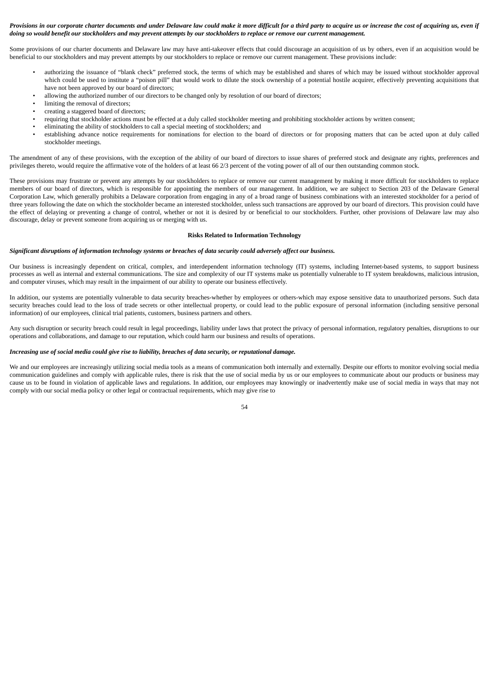## Provisions in our corporate charter documents and under Delaware law could make it more difficult for a third party to acquire us or increase the cost of acquiring us, even if doing so would benefit our stockholders and may prevent attempts by our stockholders to replace or remove our current management.

Some provisions of our charter documents and Delaware law may have anti-takeover effects that could discourage an acquisition of us by others, even if an acquisition would be beneficial to our stockholders and may prevent attempts by our stockholders to replace or remove our current management. These provisions include:

- authorizing the issuance of "blank check" preferred stock, the terms of which may be established and shares of which may be issued without stockholder approval which could be used to institute a "poison pill" that would work to dilute the stock ownership of a potential hostile acquirer, effectively preventing acquisitions that have not been approved by our board of directors;
- allowing the authorized number of our directors to be changed only by resolution of our board of directors;
- limiting the removal of directors;
- creating a staggered board of directors;
- requiring that stockholder actions must be effected at a duly called stockholder meeting and prohibiting stockholder actions by written consent;
- eliminating the ability of stockholders to call a special meeting of stockholders; and
- establishing advance notice requirements for nominations for election to the board of directors or for proposing matters that can be acted upon at duly called stockholder meetings.

The amendment of any of these provisions, with the exception of the ability of our board of directors to issue shares of preferred stock and designate any rights, preferences and privileges thereto, would require the affirmative vote of the holders of at least 66 2/3 percent of the voting power of all of our then outstanding common stock.

These provisions may frustrate or prevent any attempts by our stockholders to replace or remove our current management by making it more difficult for stockholders to replace members of our board of directors, which is responsible for appointing the members of our management. In addition, we are subject to Section 203 of the Delaware General Corporation Law, which generally prohibits a Delaware corporation from engaging in any of a broad range of business combinations with an interested stockholder for a period of three years following the date on which the stockholder became an interested stockholder, unless such transactions are approved by our board of directors. This provision could have the effect of delaying or preventing a change of control, whether or not it is desired by or beneficial to our stockholders. Further, other provisions of Delaware law may also discourage, delay or prevent someone from acquiring us or merging with us.

## **Risks Related to Information Technology**

### Significant disruptions of information technology systems or breaches of data security could adversely affect our business.

Our business is increasingly dependent on critical, complex, and interdependent information technology (IT) systems, including Internet-based systems, to support business processes as well as internal and external communications. The size and complexity of our IT systems make us potentially vulnerable to IT system breakdowns, malicious intrusion, and computer viruses, which may result in the impairment of our ability to operate our business effectively.

In addition, our systems are potentially vulnerable to data security breaches-whether by employees or others-which may expose sensitive data to unauthorized persons. Such data security breaches could lead to the loss of trade secrets or other intellectual property, or could lead to the public exposure of personal information (including sensitive personal information) of our employees, clinical trial patients, customers, business partners and others.

Any such disruption or security breach could result in legal proceedings, liability under laws that protect the privacy of personal information, regulatory penalties, disruptions to our operations and collaborations, and damage to our reputation, which could harm our business and results of operations.

#### Increasing use of social media could give rise to liability, breaches of data security, or reputational damage.

We and our employees are increasingly utilizing social media tools as a means of communication both internally and externally. Despite our efforts to monitor evolving social media communication guidelines and comply with applicable rules, there is risk that the use of social media by us or our employees to communicate about our products or business may cause us to be found in violation of applicable laws and regulations. In addition, our employees may knowingly or inadvertently make use of social media in ways that may not comply with our social media policy or other legal or contractual requirements, which may give rise to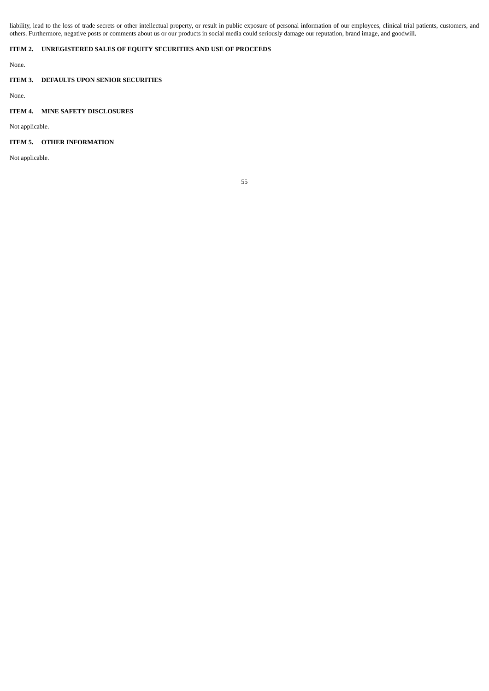liability, lead to the loss of trade secrets or other intellectual property, or result in public exposure of personal information of our employees, clinical trial patients, customers, and others. Furthermore, negative posts or comments about us or our products in social media could seriously damage our reputation, brand image, and goodwill.

## **ITEM 2. UNREGISTERED SALES OF EQUITY SECURITIES AND USE OF PROCEEDS**

None.

## **ITEM 3. DEFAULTS UPON SENIOR SECURITIES**

None.

## **ITEM 4. MINE SAFETY DISCLOSURES**

Not applicable.

## **ITEM 5. OTHER INFORMATION**

Not applicable.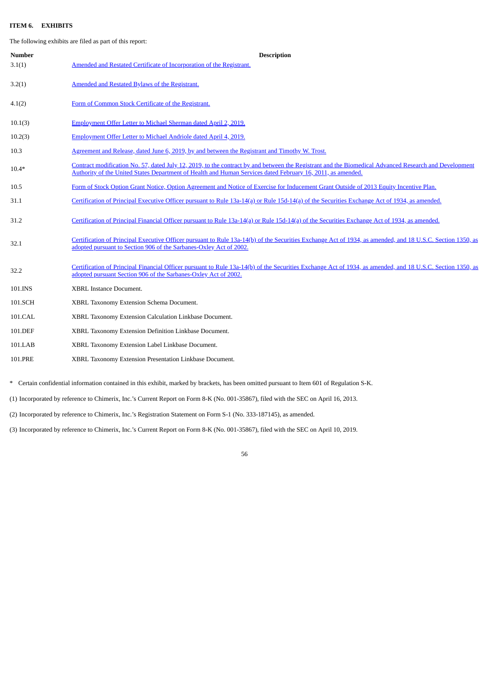## **ITEM 6. EXHIBITS**

The following exhibits are filed as part of this report:

| <b>Number</b> | <b>Description</b>                                                                                                                                                                                                                                                   |
|---------------|----------------------------------------------------------------------------------------------------------------------------------------------------------------------------------------------------------------------------------------------------------------------|
| 3.1(1)        | Amended and Restated Certificate of Incorporation of the Registrant.                                                                                                                                                                                                 |
| 3.2(1)        | Amended and Restated Bylaws of the Registrant.                                                                                                                                                                                                                       |
| 4.1(2)        | Form of Common Stock Certificate of the Registrant.                                                                                                                                                                                                                  |
| 10.1(3)       | Employment Offer Letter to Michael Sherman dated April 2, 2019.                                                                                                                                                                                                      |
| 10.2(3)       | Employment Offer Letter to Michael Andriole dated April 4, 2019.                                                                                                                                                                                                     |
| 10.3          | Agreement and Release, dated June 6, 2019, by and between the Registrant and Timothy W. Trost.                                                                                                                                                                       |
| $10.4*$       | Contract modification No. 57, dated July 12, 2019, to the contract by and between the Registrant and the Biomedical Advanced Research and Development<br>Authority of the United States Department of Health and Human Services dated February 16, 2011, as amended. |
| 10.5          | Form of Stock Option Grant Notice, Option Agreement and Notice of Exercise for Inducement Grant Outside of 2013 Equity Incentive Plan.                                                                                                                               |
| 31.1          | Certification of Principal Executive Officer pursuant to Rule 13a-14(a) or Rule 15d-14(a) of the Securities Exchange Act of 1934, as amended.                                                                                                                        |
| 31.2          | Certification of Principal Financial Officer pursuant to Rule 13a-14(a) or Rule 15d-14(a) of the Securities Exchange Act of 1934, as amended.                                                                                                                        |
| 32.1          | Certification of Principal Executive Officer pursuant to Rule 13a-14(b) of the Securities Exchange Act of 1934, as amended, and 18 U.S.C. Section 1350, as<br>adopted pursuant to Section 906 of the Sarbanes-Oxley Act of 2002.                                     |
| 32.2          | Certification of Principal Financial Officer pursuant to Rule 13a-14(b) of the Securities Exchange Act of 1934, as amended, and 18 U.S.C. Section 1350, as<br>adopted pursuant Section 906 of the Sarbanes-Oxley Act of 2002.                                        |
| 101.INS       | XBRL Instance Document.                                                                                                                                                                                                                                              |
| 101.SCH       | XBRL Taxonomy Extension Schema Document.                                                                                                                                                                                                                             |
| 101.CAL       | XBRL Taxonomy Extension Calculation Linkbase Document.                                                                                                                                                                                                               |
| 101.DEF       | XBRL Taxonomy Extension Definition Linkbase Document.                                                                                                                                                                                                                |
| 101.LAB       | XBRL Taxonomy Extension Label Linkbase Document.                                                                                                                                                                                                                     |
| 101.PRE       | XBRL Taxonomy Extension Presentation Linkbase Document.                                                                                                                                                                                                              |
|               |                                                                                                                                                                                                                                                                      |

\* Certain confidential information contained in this exhibit, marked by brackets, has been omitted pursuant to Item 601 of Regulation S-K.

(1) Incorporated by reference to Chimerix, Inc.'s Current Report on Form 8-K (No. 001-35867), filed with the SEC on April 16, 2013.

(2) Incorporated by reference to Chimerix, Inc.'s Registration Statement on Form S-1 (No. 333-187145), as amended.

(3) Incorporated by reference to Chimerix, Inc.'s Current Report on Form 8-K (No. 001-35867), filed with the SEC on April 10, 2019.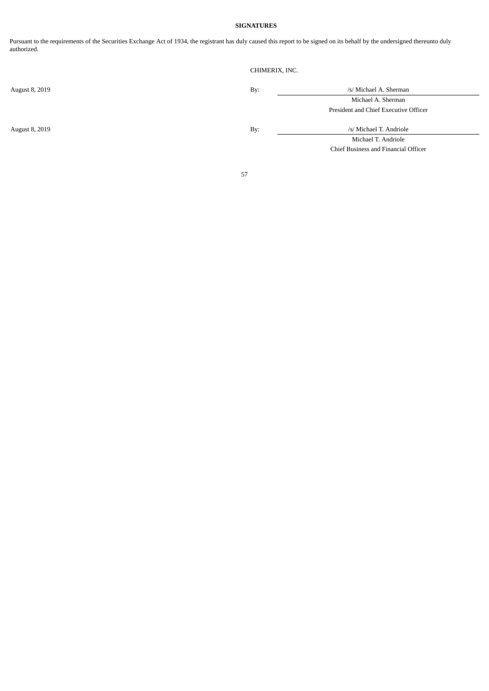## **SIGNATURES**

Pursuant to the requirements of the Securities Exchange Act of 1934, the registrant has duly caused this report to be signed on its behalf by the undersigned thereunto duly authorized.

CHIMERIX, INC.

August 8, 2019 **By:** /s/ Michael A. Sherman Michael A. Sherman President and Chief Executive Officer

August 8, 2019 **By:** /s/ Michael T. Andriole

Michael T. Andriole Chief Business and Financial Officer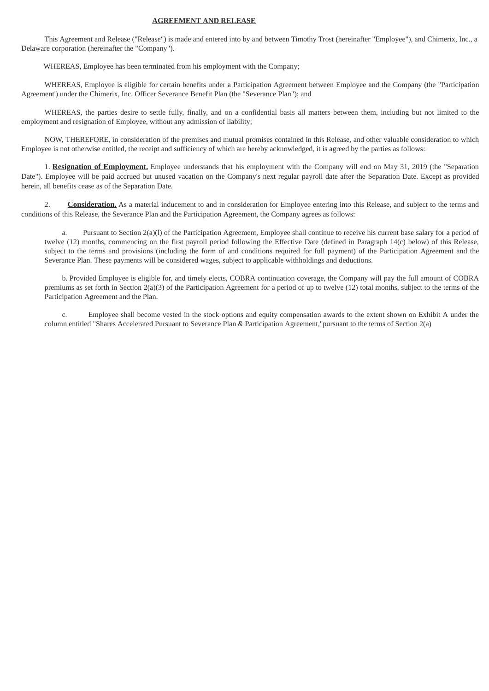## **AGREEMENT AND RELEASE**

<span id="page-58-0"></span>This Agreement and Release ("Release") is made and entered into by and between Timothy Trost (hereinafter "Employee"), and Chimerix, Inc., a Delaware corporation (hereinafter the "Company").

WHEREAS, Employee has been terminated from his employment with the Company;

WHEREAS, Employee is eligible for certain benefits under a Participation Agreement between Employee and the Company (the "Participation Agreement') under the Chimerix, Inc. Officer Severance Benefit Plan (the "Severance Plan"); and

WHEREAS, the parties desire to settle fully, finally, and on a confidential basis all matters between them, including but not limited to the employment and resignation of Employee, without any admission of liability;

NOW, THEREFORE, in consideration of the premises and mutual promises contained in this Release, and other valuable consideration to which Employee is not otherwise entitled, the receipt and sufficiency of which are hereby acknowledged, it is agreed by the parties as follows:

1. **Resignation of Employment.** Employee understands that his employment with the Company will end on May 31, 2019 (the "Separation Date"). Employee will be paid accrued but unused vacation on the Company's next regular payroll date after the Separation Date. Except as provided herein, all benefits cease as of the Separation Date.

2. **Consideration.** As a material inducement to and in consideration for Employee entering into this Release, and subject to the terms and conditions of this Release, the Severance Plan and the Participation Agreement, the Company agrees as follows:

a. Pursuant to Section 2(a)(l) of the Participation Agreement, Employee shall continue to receive his current base salary for a period of twelve (12) months, commencing on the first payroll period following the Effective Date (defined in Paragraph 14(c) below) of this Release, subject to the terms and provisions (including the form of and conditions required for full payment) of the Participation Agreement and the Severance Plan. These payments will be considered wages, subject to applicable withholdings and deductions.

b. Provided Employee is eligible for, and timely elects, COBRA continuation coverage, the Company will pay the full amount of COBRA premiums as set forth in Section 2(a)(3) of the Participation Agreement for a period of up to twelve (12) total months, subject to the terms of the Participation Agreement and the Plan.

c. Employee shall become vested in the stock options and equity compensation awards to the extent shown on Exhibit A under the column entitled "Shares Accelerated Pursuant to Severance Plan & Participation Agreement,"pursuant to the terms of Section 2(a)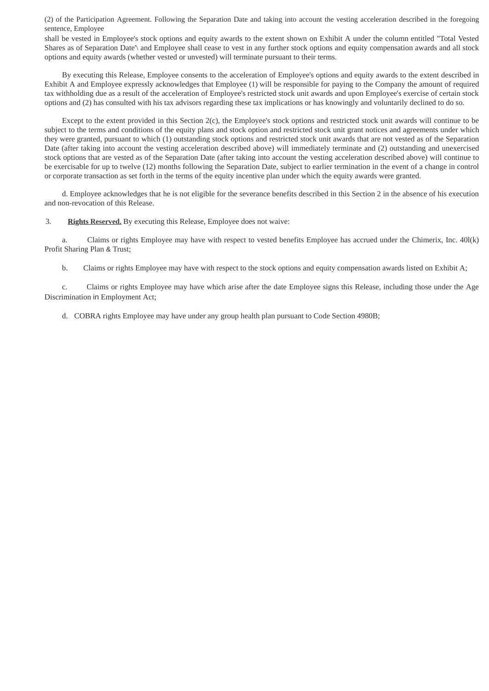(2) of the Participation Agreement. Following the Separation Date and taking into account the vesting acceleration described in the foregoing sentence, Employee

shall be vested in Employee's stock options and equity awards to the extent shown on Exhibit A under the column entitled "Total Vested Shares as of Separation Date'\ and Employee shall cease to vest in any further stock options and equity compensation awards and all stock options and equity awards (whether vested or unvested) will terminate pursuant to their terms.

By executing this Release, Employee consents to the acceleration of Employee's options and equity awards to the extent described in Exhibit A and Employee expressly acknowledges that Employee (1) will be responsible for paying to the Company the amount of required tax withholding due as a result of the acceleration of Employee's restricted stock unit awards and upon Employee's exercise of certain stock options and (2) has consulted with his tax advisors regarding these tax implications or has knowingly and voluntarily declined to do so.

Except to the extent provided in this Section 2(c), the Employee's stock options and restricted stock unit awards will continue to be subject to the terms and conditions of the equity plans and stock option and restricted stock unit grant notices and agreements under which they were granted, pursuant to which (1) outstanding stock options and restricted stock unit awards that are not vested as of the Separation Date (after taking into account the vesting acceleration described above) will immediately terminate and (2) outstanding and unexercised stock options that are vested as of the Separation Date (after taking into account the vesting acceleration described above) will continue to be exercisable for up to twelve (12) months following the Separation Date, subject to earlier termination in the event of a change in control or corporate transaction as set forth in the terms of the equity incentive plan under which the equity awards were granted.

d. Employee acknowledges that he is not eligible for the severance benefits described in this Section 2 in the absence of his execution and non-revocation of this Release.

3. **Rights Reserved.** By executing this Release, Employee does not waive:

a. Claims or rights Employee may have with respect to vested benefits Employee has accrued under the Chimerix, Inc. 40l(k) Profit Sharing Plan & Trust;

b. Claims or rights Employee may have with respect to the stock options and equity compensation awards listed on Exhibit A;

c. Claims or rights Employee may have which arise after the date Employee signs this Release, including those under the Age Discrimination in Employment Act;

d. COBRA rights Employee may have under any group health plan pursuant to Code Section 4980B;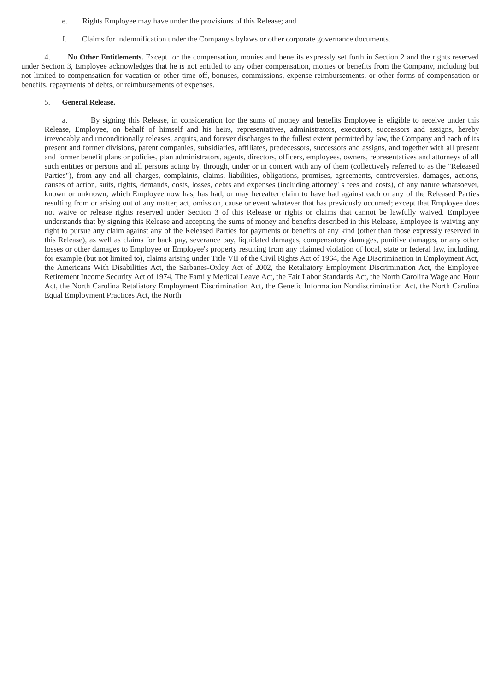- e. Rights Employee may have under the provisions of this Release; and
- f. Claims for indemnification under the Company's bylaws or other corporate governance documents.

4. **No Other Entitlements.** Except for the compensation, monies and benefits expressly set forth in Section 2 and the rights reserved under Section 3, Employee acknowledges that he is not entitled to any other compensation, monies or benefits from the Company, including but not limited to compensation for vacation or other time off, bonuses, commissions, expense reimbursements, or other forms of compensation or benefits, repayments of debts, or reimbursements of expenses.

## 5. **General Release.**

a. By signing this Release, in consideration for the sums of money and benefits Employee is eligible to receive under this Release, Employee, on behalf of himself and his heirs, representatives, administrators, executors, successors and assigns, hereby irrevocably and unconditionally releases, acquits, and forever discharges to the fullest extent permitted by law, the Company and each of its present and former divisions, parent companies, subsidiaries, affiliates, predecessors, successors and assigns, and together with all present and former benefit plans or policies, plan administrators, agents, directors, officers, employees, owners, representatives and attorneys of all such entities or persons and all persons acting by, through, under or in concert with any of them (collectively referred to as the "Released Parties"), from any and all charges, complaints, claims, liabilities, obligations, promises, agreements, controversies, damages, actions, causes of action, suits, rights, demands, costs, losses, debts and expenses (including attorney' s fees and costs), of any nature whatsoever, known or unknown, which Employee now has, has had, or may hereafter claim to have had against each or any of the Released Parties resulting from or arising out of any matter, act, omission, cause or event whatever that has previously occurred; except that Employee does not waive or release rights reserved under Section 3 of this Release or rights or claims that cannot be lawfully waived. Employee understands that by signing this Release and accepting the sums of money and benefits described in this Release, Employee is waiving any right to pursue any claim against any of the Released Parties for payments or benefits of any kind (other than those expressly reserved in this Release), as well as claims for back pay, severance pay, liquidated damages, compensatory damages, punitive damages, or any other losses or other damages to Employee or Employee's property resulting from any claimed violation of local, state or federal law, including, for example (but not limited to), claims arising under Title VII of the Civil Rights Act of 1964, the Age Discrimination in Employment Act, the Americans With Disabilities Act, the Sarbanes-Oxley Act of 2002, the Retaliatory Employment Discrimination Act, the Employee Retirement Income Security Act of 1974, The Family Medical Leave Act, the Fair Labor Standards Act, the North Carolina Wage and Hour Act, the North Carolina Retaliatory Employment Discrimination Act, the Genetic Information Nondiscrimination Act, the North Carolina Equal Employment Practices Act, the North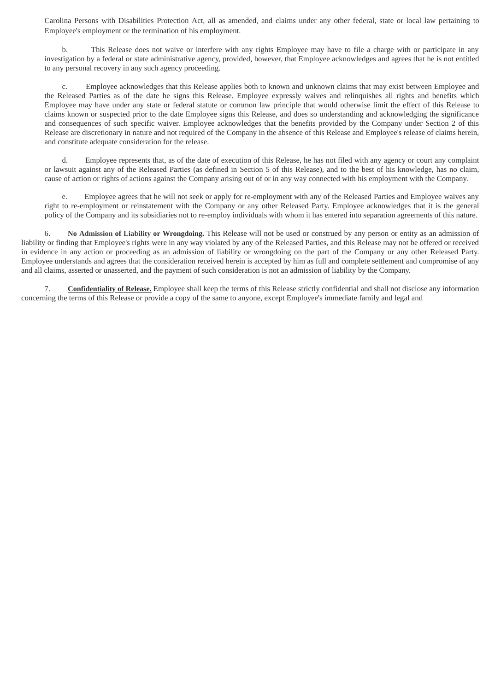Carolina Persons with Disabilities Protection Act, all as amended, and claims under any other federal, state or local law pertaining to Employee's employment or the termination of his employment.

b. This Release does not waive or interfere with any rights Employee may have to file a charge with or participate in any investigation by a federal or state administrative agency, provided, however, that Employee acknowledges and agrees that he is not entitled to any personal recovery in any such agency proceeding.

c. Employee acknowledges that this Release applies both to known and unknown claims that may exist between Employee and the Released Parties as of the date he signs this Release. Employee expressly waives and relinquishes all rights and benefits which Employee may have under any state or federal statute or common law principle that would otherwise limit the effect of this Release to claims known or suspected prior to the date Employee signs this Release, and does so understanding and acknowledging the significance and consequences of such specific waiver. Employee acknowledges that the benefits provided by the Company under Section 2 of this Release are discretionary in nature and not required of the Company in the absence of this Release and Employee's release of claims herein, and constitute adequate consideration for the release.

d. Employee represents that, as of the date of execution of this Release, he has not filed with any agency or court any complaint or lawsuit against any of the Released Parties (as defined in Section 5 of this Release), and to the best of his knowledge, has no claim, cause of action or rights of actions against the Company arising out of or in any way connected with his employment with the Company.

e. Employee agrees that he will not seek or apply for re-employment with any of the Released Parties and Employee waives any right to re-employment or reinstatement with the Company or any other Released Party. Employee acknowledges that it is the general policy of the Company and its subsidiaries not to re-employ individuals with whom it has entered into separation agreements of this nature.

6. **No Admission of Liability or Wrongdoing.** This Release will not be used or construed by any person or entity as an admission of liability or finding that Employee's rights were in any way violated by any of the Released Parties, and this Release may not be offered or received in evidence in any action or proceeding as an admission of liability or wrongdoing on the part of the Company or any other Released Party. Employee understands and agrees that the consideration received herein is accepted by him as full and complete settlement and compromise of any and all claims, asserted or unasserted, and the payment of such consideration is not an admission of liability by the Company.

7. **Confidentiality of Release.** Employee shall keep the terms of this Release strictly confidential and shall not disclose any information concerning the terms of this Release or provide a copy of the same to anyone, except Employee's immediate family and legal and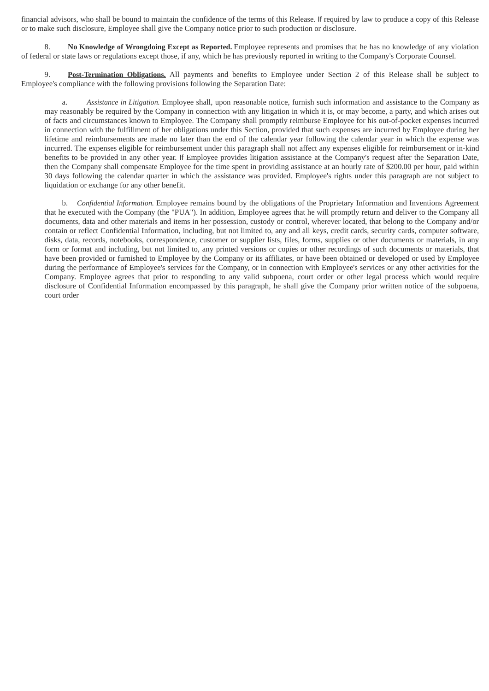financial advisors, who shall be bound to maintain the confidence of the terms of this Release. If required by law to produce a copy of this Release or to make such disclosure, Employee shall give the Company notice prior to such production or disclosure.

8. **No Knowledge of Wrongdoing Except as Reported.** Employee represents and promises that he has no knowledge of any violation of federal or state laws or regulations except those, if any, which he has previously reported in writing to the Company's Corporate Counsel.

9. **Post-Termination Obligations.** All payments and benefits to Employee under Section 2 of this Release shall be subject to Employee's compliance with the following provisions following the Separation Date:

a. *Assistance in Litigation.* Employee shall, upon reasonable notice, furnish such information and assistance to the Company as may reasonably be required by the Company in connection with any litigation in which it is, or may become, a party, and which arises out of facts and circumstances known to Employee. The Company shall promptly reimburse Employee for his out-of-pocket expenses incurred in connection with the fulfillment of her obligations under this Section, provided that such expenses are incurred by Employee during her lifetime and reimbursements are made no later than the end of the calendar year following the calendar year in which the expense was incurred. The expenses eligible for reimbursement under this paragraph shall not affect any expenses eligible for reimbursement or in-kind benefits to be provided in any other year. If Employee provides litigation assistance at the Company's request after the Separation Date, then the Company shall compensate Employee for the time spent in providing assistance at an hourly rate of \$200.00 per hour, paid within 30 days following the calendar quarter in which the assistance was provided. Employee's rights under this paragraph are not subject to liquidation or exchange for any other benefit.

b. *Confidential Information.* Employee remains bound by the obligations of the Proprietary Information and Inventions Agreement that he executed with the Company (the "PUA"). In addition, Employee agrees that he will promptly return and deliver to the Company all documents, data and other materials and items in her possession, custody or control, wherever located, that belong to the Company and/or contain or reflect Confidential Information, including, but not limited to, any and all keys, credit cards, security cards, computer software, disks, data, records, notebooks, correspondence, customer or supplier lists, files, forms, supplies or other documents or materials, in any form or format and including, but not limited to, any printed versions or copies or other recordings of such documents or materials, that have been provided or furnished to Employee by the Company or its affiliates, or have been obtained or developed or used by Employee during the performance of Employee's services for the Company, or in connection with Employee's services or any other activities for the Company. Employee agrees that prior to responding to any valid subpoena, court order or other legal process which would require disclosure of Confidential Information encompassed by this paragraph, he shall give the Company prior written notice of the subpoena, court order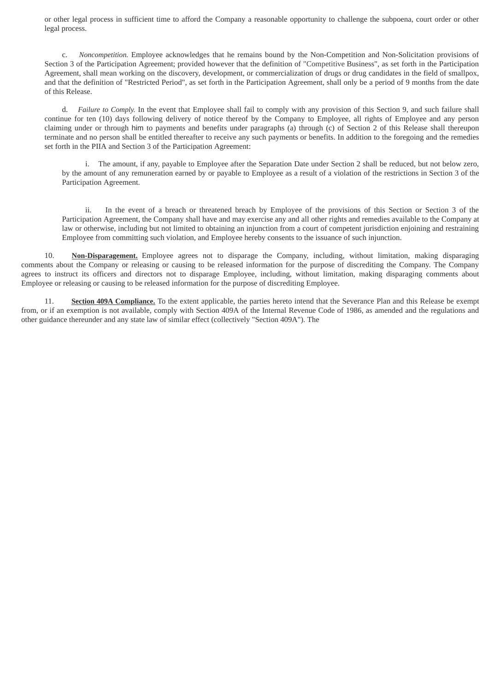or other legal process in sufficient time to afford the Company a reasonable opportunity to challenge the subpoena, court order or other legal process.

c. *Noncompetition.* Employee acknowledges that he remains bound by the Non-Competition and Non-Solicitation provisions of Section 3 of the Participation Agreement; provided however that the definition of "Competitive Business", as set forth in the Participation Agreement, shall mean working on the discovery, development, or commercialization of drugs or drug candidates in the field of smallpox, and that the definition of "Restricted Period", as set forth in the Participation Agreement, shall only be a period of 9 months from the date of this Release.

d. *Failure to Comply.* In the event that Employee shall fail to comply with any provision of this Section 9, and such failure shall continue for ten (10) days following delivery of notice thereof by the Company to Employee, all rights of Employee and any person claiming under or through him to payments and benefits under paragraphs (a) through (c) of Section 2 of this Release shall thereupon terminate and no person shall be entitled thereafter to receive any such payments or benefits. In addition to the foregoing and the remedies set forth in the PIIA and Section 3 of the Participation Agreement:

i. The amount, if any, payable to Employee after the Separation Date under Section 2 shall be reduced, but not below zero, by the amount of any remuneration earned by or payable to Employee as a result of a violation of the restrictions in Section 3 of the Participation Agreement.

ii. In the event of a breach or threatened breach by Employee of the provisions of this Section or Section 3 of the Participation Agreement, the Company shall have and may exercise any and all other rights and remedies available to the Company at law or otherwise, including but not limited to obtaining an injunction from a court of competent jurisdiction enjoining and restraining Employee from committing such violation, and Employee hereby consents to the issuance of such injunction.

10. **Non-Disparagement.** Employee agrees not to disparage the Company, including, without limitation, making disparaging comments about the Company or releasing or causing to be released information for the purpose of discrediting the Company. The Company agrees to instruct its officers and directors not to disparage Employee, including, without limitation, making disparaging comments about Employee or releasing or causing to be released information for the purpose of discrediting Employee.

11. **Section 409A Compliance.** To the extent applicable, the parties hereto intend that the Severance Plan and this Release be exempt from, or if an exemption is not available, comply with Section 409A of the Internal Revenue Code of 1986, as amended and the regulations and other guidance thereunder and any state law of similar effect (collectively "Section 409A"). The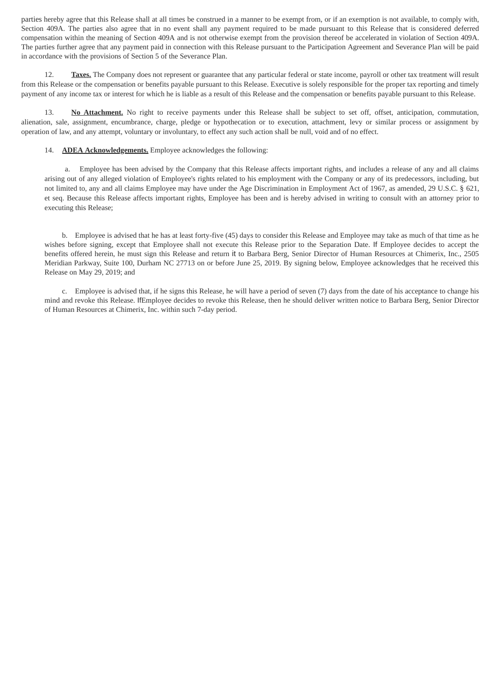parties hereby agree that this Release shall at all times be construed in a manner to be exempt from, or if an exemption is not available, to comply with, Section 409A. The parties also agree that in no event shall any payment required to be made pursuant to this Release that is considered deferred compensation within the meaning of Section 409A and is not otherwise exempt from the provision thereof be accelerated in violation of Section 409A. The parties further agree that any payment paid in connection with this Release pursuant to the Participation Agreement and Severance Plan will be paid in accordance with the provisions of Section 5 of the Severance Plan.

12. **Taxes.** The Company does not represent or guarantee that any particular federal or state income, payroll or other tax treatment will result from this Release or the compensation or benefits payable pursuant to this Release. Executive is solely responsible for the proper tax reporting and timely payment of any income tax or interest for which he is liable as a result of this Release and the compensation or benefits payable pursuant to this Release.

13. **No Attachment.** No right to receive payments under this Release shall be subject to set off, offset, anticipation, commutation, alienation, sale, assignment, encumbrance, charge, pledge or hypothecation or to execution, attachment, levy or similar process or assignment by operation of law, and any attempt, voluntary or involuntary, to effect any such action shall be null, void and of no effect.

## 14. **ADEA Acknowledgements.** Employee acknowledges the following:

a. Employee has been advised by the Company that this Release affects important rights, and includes a release of any and all claims arising out of any alleged violation of Employee's rights related to his employment with the Company or any of its predecessors, including, but not limited to, any and all claims Employee may have under the Age Discrimination in Employment Act of 1967, as amended, 29 U.S.C. § 621, et seq. Because this Release affects important rights, Employee has been and is hereby advised in writing to consult with an attorney prior to executing this Release;

b. Employee is advised that he has at least forty-five (45) days to consider this Release and Employee may take as much of that time as he wishes before signing, except that Employee shall not execute this Release prior to the Separation Date. If Employee decides to accept the benefits offered herein, he must sign this Release and return it to Barbara Berg, Senior Director of Human Resources at Chimerix, Inc., 2505 Meridian Parkway, Suite 100, Durham NC 27713 on or before June 25, 2019. By signing below, Employee acknowledges that he received this Release on May 29, 2019; and

c. Employee is advised that, if he signs this Release, he will have a period of seven (7) days from the date of his acceptance to change his mind and revoke this Release. IfEmployee decides to revoke this Release, then he should deliver written notice to Barbara Berg, Senior Director of Human Resources at Chimerix, Inc. within such 7-day period.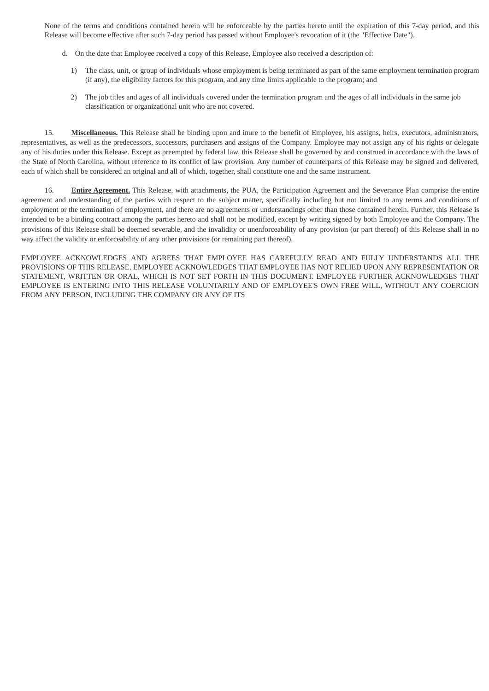None of the terms and conditions contained herein will be enforceable by the parties hereto until the expiration of this 7-day period, and this Release will become effective after such 7-day period has passed without Employee's revocation of it (the "Effective Date").

- d. On the date that Employee received a copy of this Release, Employee also received a description of:
	- 1) The class, unit, or group of individuals whose employment is being terminated as part of the same employment termination program (if any), the eligibility factors for this program, and any time limits applicable to the program; and
	- 2) The job titles and ages of all individuals covered under the termination program and the ages of all individuals in the same job classification or organizational unit who are not covered.

15. **Miscellaneous.** This Release shall be binding upon and inure to the benefit of Employee, his assigns, heirs, executors, administrators, representatives, as well as the predecessors, successors, purchasers and assigns of the Company. Employee may not assign any of his rights or delegate any of his duties under this Release. Except as preempted by federal law, this Release shall be governed by and construed in accordance with the laws of the State of North Carolina, without reference to its conflict of law provision. Any number of counterparts of this Release may be signed and delivered, each of which shall be considered an original and all of which, together, shall constitute one and the same instrument.

16. **Entire Agreement.** This Release, with attachments, the PUA, the Participation Agreement and the Severance Plan comprise the entire agreement and understanding of the parties with respect to the subject matter, specifically including but not limited to any terms and conditions of employment or the termination of employment, and there are no agreements or understandings other than those contained herein. Further, this Release is intended to be a binding contract among the parties hereto and shall not be modified, except by writing signed by both Employee and the Company. The provisions of this Release shall be deemed severable, and the invalidity or unenforceability of any provision (or part thereof) of this Release shall in no way affect the validity or enforceability of any other provisions (or remaining part thereof).

EMPLOYEE ACKNOWLEDGES AND AGREES THAT EMPLOYEE HAS CAREFULLY READ AND FULLY UNDERSTANDS ALL THE PROVISIONS OF THIS RELEASE. EMPLOYEE ACKNOWLEDGES THAT EMPLOYEE HAS NOT RELIED UPON ANY REPRESENTATION OR STATEMENT, WRITTEN OR ORAL, WHICH IS NOT SET FORTH IN THIS DOCUMENT. EMPLOYEE FURTHER ACKNOWLEDGES THAT EMPLOYEE IS ENTERING INTO THIS RELEASE VOLUNTARILY AND OF EMPLOYEE'S OWN FREE WILL, WITHOUT ANY COERCION FROM ANY PERSON, INCLUDING THE COMPANY OR ANY OF ITS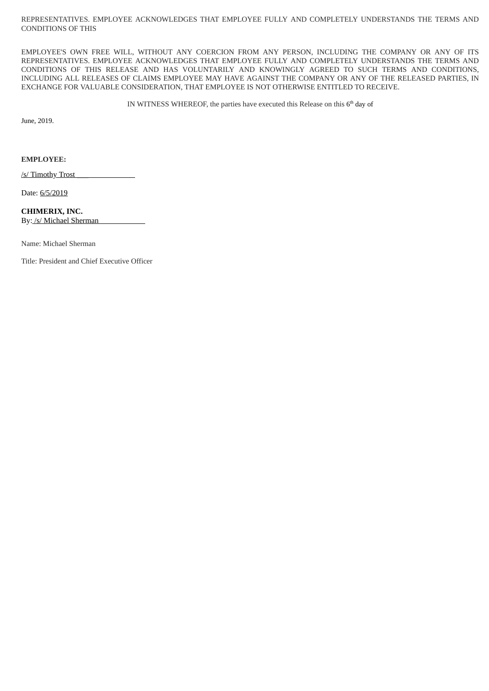REPRESENTATIVES. EMPLOYEE ACKNOWLEDGES THAT EMPLOYEE FULLY AND COMPLETELY UNDERSTANDS THE TERMS AND CONDITIONS OF THIS

EMPLOYEE'S OWN FREE WILL, WITHOUT ANY COERCION FROM ANY PERSON, INCLUDING THE COMPANY OR ANY OF ITS REPRESENTATIVES. EMPLOYEE ACKNOWLEDGES THAT EMPLOYEE FULLY AND COMPLETELY UNDERSTANDS THE TERMS AND CONDITIONS OF THIS RELEASE AND HAS VOLUNTARILY AND KNOWINGLY AGREED TO SUCH TERMS AND CONDITIONS, INCLUDING ALL RELEASES OF CLAIMS EMPLOYEE MAY HAVE AGAINST THE COMPANY OR ANY OF THE RELEASED PARTIES, IN EXCHANGE FOR VALUABLE CONSIDERATION, THAT EMPLOYEE IS NOT OTHERWISE ENTITLED TO RECEIVE.

IN WITNESS WHEREOF, the parties have executed this Release on this  $6<sup>th</sup>$  day of

June, 2019.

**EMPLOYEE:**

/s/ Timothy Trost

Date: 6/5/2019

**CHIMERIX, INC.** By: /s/ Michael Sherman

Name: Michael Sherman

Title: President and Chief Executive Officer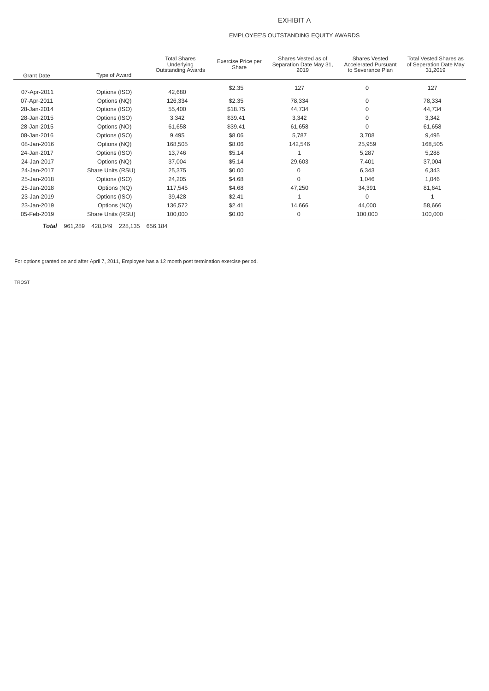## EXHIBIT A

## EMPLOYEE'S OUTSTANDING EQUITY AWARDS

|                   |                   | <b>Total Shares</b><br>Underlying<br><b>Outstanding Awards</b> | Exercise Price per<br>Share | Shares Vested as of<br>Separation Date May 31,<br>2019 | <b>Shares Vested</b><br><b>Accelerated Pursuant</b><br>to Severance Plan | <b>Total Vested Shares as</b><br>of Seperation Date May<br>31,2019 |
|-------------------|-------------------|----------------------------------------------------------------|-----------------------------|--------------------------------------------------------|--------------------------------------------------------------------------|--------------------------------------------------------------------|
| <b>Grant Date</b> | Type of Award     |                                                                |                             |                                                        |                                                                          |                                                                    |
| 07-Apr-2011       | Options (ISO)     | 42,680                                                         | \$2.35                      | 127                                                    | 0                                                                        | 127                                                                |
| 07-Apr-2011       | Options (NO)      | 126,334                                                        | \$2.35                      | 78,334                                                 | 0                                                                        | 78,334                                                             |
| 28-Jan-2014       | Options (ISO)     | 55,400                                                         | \$18.75                     | 44,734                                                 | 0                                                                        | 44,734                                                             |
| 28-Jan-2015       | Options (ISO)     | 3,342                                                          | \$39.41                     | 3,342                                                  | 0                                                                        | 3,342                                                              |
| 28-Jan-2015       | Options {NO)      | 61,658                                                         | \$39.41                     | 61,658                                                 | 0                                                                        | 61,658                                                             |
| 08-Jan-2016       | Options (ISO)     | 9,495                                                          | \$8.06                      | 5,787                                                  | 3,708                                                                    | 9,495                                                              |
| 08-Jan-2016       | Options (NO)      | 168,505                                                        | \$8.06                      | 142,546                                                | 25,959                                                                   | 168,505                                                            |
| 24-Jan-2017       | Options (ISO)     | 13,746                                                         | \$5.14                      |                                                        | 5,287                                                                    | 5,288                                                              |
| 24-Jan-2017       | Options (NO)      | 37,004                                                         | \$5.14                      | 29,603                                                 | 7,401                                                                    | 37,004                                                             |
| 24-Jan-2017       | Share Units (RSU) | 25,375                                                         | \$0.00                      | $\Omega$                                               | 6,343                                                                    | 6,343                                                              |
| 25-Jan-2018       | Options (ISO)     | 24,205                                                         | \$4.68                      | $\Omega$                                               | 1,046                                                                    | 1,046                                                              |
| 25-Jan-2018       | Options (NO)      | 117,545                                                        | \$4.68                      | 47,250                                                 | 34,391                                                                   | 81,641                                                             |
| 23-Jan-2019       | Options (ISO)     | 39,428                                                         | \$2.41                      |                                                        | $\mathbf 0$                                                              |                                                                    |
| 23-Jan-2019       | Options (NQ)      | 136,572                                                        | \$2.41                      | 14,666                                                 | 44,000                                                                   | 58,666                                                             |
| 05-Feb-2019       | Share Units (RSU) | 100,000                                                        | \$0.00                      | 0                                                      | 100,000                                                                  | 100,000                                                            |

*Total* 961,289 428,049 228,135 656,184

For options granted on and after April 7, 2011, Employee has a 12 month post termination exercise period.

TROST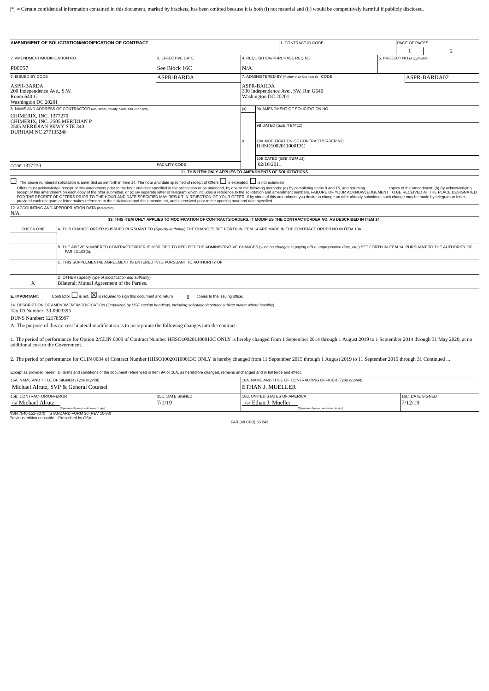<span id="page-68-0"></span>[\*] = Certain confidential information contained in this document, marked by brackets, has been omitted because it is both (i) not material and (ii) would be competitively harmful if publicly disclosed.

| 4. REQUISITION/PURCHASE REO NO<br>$N/A$ .                                                                                                              | 5. PROJECT NO (if applicable)                                                                                                                                                                                                                                                                                                                                                                                                                                                                                         |                                                                                                                                                                                                            |                                                                                                                                                                                                                                                                                                                                                                                                                                                                  |
|--------------------------------------------------------------------------------------------------------------------------------------------------------|-----------------------------------------------------------------------------------------------------------------------------------------------------------------------------------------------------------------------------------------------------------------------------------------------------------------------------------------------------------------------------------------------------------------------------------------------------------------------------------------------------------------------|------------------------------------------------------------------------------------------------------------------------------------------------------------------------------------------------------------|------------------------------------------------------------------------------------------------------------------------------------------------------------------------------------------------------------------------------------------------------------------------------------------------------------------------------------------------------------------------------------------------------------------------------------------------------------------|
|                                                                                                                                                        |                                                                                                                                                                                                                                                                                                                                                                                                                                                                                                                       |                                                                                                                                                                                                            |                                                                                                                                                                                                                                                                                                                                                                                                                                                                  |
|                                                                                                                                                        |                                                                                                                                                                                                                                                                                                                                                                                                                                                                                                                       |                                                                                                                                                                                                            |                                                                                                                                                                                                                                                                                                                                                                                                                                                                  |
|                                                                                                                                                        |                                                                                                                                                                                                                                                                                                                                                                                                                                                                                                                       |                                                                                                                                                                                                            |                                                                                                                                                                                                                                                                                                                                                                                                                                                                  |
|                                                                                                                                                        |                                                                                                                                                                                                                                                                                                                                                                                                                                                                                                                       | ASPR-BARDA02                                                                                                                                                                                               |                                                                                                                                                                                                                                                                                                                                                                                                                                                                  |
| ASPR-BARDA                                                                                                                                             |                                                                                                                                                                                                                                                                                                                                                                                                                                                                                                                       |                                                                                                                                                                                                            |                                                                                                                                                                                                                                                                                                                                                                                                                                                                  |
| (x)                                                                                                                                                    |                                                                                                                                                                                                                                                                                                                                                                                                                                                                                                                       |                                                                                                                                                                                                            |                                                                                                                                                                                                                                                                                                                                                                                                                                                                  |
|                                                                                                                                                        |                                                                                                                                                                                                                                                                                                                                                                                                                                                                                                                       |                                                                                                                                                                                                            |                                                                                                                                                                                                                                                                                                                                                                                                                                                                  |
|                                                                                                                                                        |                                                                                                                                                                                                                                                                                                                                                                                                                                                                                                                       |                                                                                                                                                                                                            |                                                                                                                                                                                                                                                                                                                                                                                                                                                                  |
|                                                                                                                                                        |                                                                                                                                                                                                                                                                                                                                                                                                                                                                                                                       |                                                                                                                                                                                                            |                                                                                                                                                                                                                                                                                                                                                                                                                                                                  |
|                                                                                                                                                        |                                                                                                                                                                                                                                                                                                                                                                                                                                                                                                                       |                                                                                                                                                                                                            |                                                                                                                                                                                                                                                                                                                                                                                                                                                                  |
|                                                                                                                                                        |                                                                                                                                                                                                                                                                                                                                                                                                                                                                                                                       |                                                                                                                                                                                                            |                                                                                                                                                                                                                                                                                                                                                                                                                                                                  |
| provided each telegram or letter makes reference to the solicitation and this amendment, and is received prior to the opening hour and date specified. |                                                                                                                                                                                                                                                                                                                                                                                                                                                                                                                       |                                                                                                                                                                                                            | copies of the amendment; (b) By acknowledging                                                                                                                                                                                                                                                                                                                                                                                                                    |
|                                                                                                                                                        | 7. ADMINISTERED BY (if other than line item 6) CODE<br>330 Independence Ave., SW, Rm G640<br>Washington DC 20201<br>9A AMENDMENT OF SOLICITATION NO.<br>9B DATED (SEE ITEM 11)<br>10A MODIFICATION OF CONTRACT/ORDER NO<br>HHSO100201100013C<br>10B DATED (SEE ITEM 13)<br>02/16/2011<br>11. THIS ITEM ONLY APPLIES TO AMENDMENTS OF SOLICITATIONS<br>The above numbered solicitation is amended as set forth in Item 14. The hour and date specified of receipt of Offers $\Box$ is extended. $\Box$ is not extended | Offers must acknowledge receipt of this amendment prior to the hour end dale specified in the solicitation or as amended, by one or the following methods: (a) By completing Items 8 and 15, and returning | receipt of this amendment on each copy of the offer submitted; or (c) By separate letter or telegram which includes a reference to the solicitation and amendment numbers. FAILURE OF YOUR ACKNOWLEDGEMENT TO BE RECEIVED AT T<br>FOR THE RECEIPT OF OFFERS PRIOR TO THE HOUR AND DATE SPECIFIED MAY RESULT IN REJECTION OF YOUR OFFER. If by virtue of this amendment you desire to change an offer already submitted, such change may be made by telegram or l |

|         | 12. ACCOUNTING AND APPROPRIATION DATA (IF ROUTED) |  |
|---------|---------------------------------------------------|--|
| $N/A$ . |                                                   |  |

#### **13. THIS ITEM ONLY APPLIES TO MODIFICATION OF CONTRACTS/ORDERS. IT MODIFIES THE CONTRACT/ORDER NO. AS DESCRIBED IN ITEM 14.**

| CHECK ONE | A. THIS CHANGE ORDER IS ISSUED PURSUANT TO (Specify authority) THE CHANGES SET FORTH IN ITEM 14 ARE MADE IN THE CONTRACT ORDER NO IN ITEM 10A                                                                            |
|-----------|--------------------------------------------------------------------------------------------------------------------------------------------------------------------------------------------------------------------------|
|           |                                                                                                                                                                                                                          |
|           | B. THE ABOVE NUMBERED CONTRACT/ORDER IS MODIFIED TO REFLECT THE ADMINISTRATIVE CHANGES (such as changes in paying office, appropriation date, etc.) SET FORTH IN ITEM 14, PURSUANT TO THE AUTHORITY OF<br>FAR 43.103(b). |
|           | C. THIS SUPPLEMENTAL AGREEMENT IS ENTERED INTO PURSUANT TO AUTHORITY OF                                                                                                                                                  |
|           | D. OTHER (Specify type of modification and authority)<br>Bilateral: Mutual Agreement of the Parties.                                                                                                                     |
|           |                                                                                                                                                                                                                          |

**E. IMPORTANT:** Contractor □ is not. ⊠ is required to sign this document and return 0 copies to the issuing office.

14. DESCRIPTION OF AMENDMENT/MODIFICATION (*Organized by UCF section headings, including solicitation/contract subject matter where feasible*)

Tax ID Number: 33-0903395

DUNS Number: 121785997

A. The purpose of this no cost bilateral modification is to incorporate the following changes into the contract:

1. The period of performance for Option 2/CLIN 0003 of Contract Number HHSO100201100013C ONLY is hereby changed from 1 September 2014 through 1 August 2019 to 1 September 2014 through 31 May 2020, at no<br>additional cost to

2. The period of performance for CLIN 0004 of Contract Number HHSO100201100013C ONLY is hereby changed from 11 September 2015 through 1 August 2019 to 11 September 2015 through 31 Continued ...

Except as provided herein, all terms and conditions of the document referenced in Item 9A or 10A, as heretofore changed, remains unchanged and in full force and effect.

| 15A. NAME AND TITLE OF SIGNER (Type or print)<br>Michael Alrutz, SVP & General Counsel |                  | 16A. NAME AND TITLE OF CONTRACTING OFFICER (Type or print)<br><b>IETHAN J. MUELLER</b> |                  |  |  |
|----------------------------------------------------------------------------------------|------------------|----------------------------------------------------------------------------------------|------------------|--|--|
| 15B. CONTRACTOR/OFFEROR                                                                | 15C. DATE SIGNED | 16B, UNITED STATES OF AMERICA                                                          | 16C. DATE SIGNED |  |  |
| /s/ Michael Alrutz                                                                     | 7/1/19           | /s/ Ethan J. Mueller                                                                   | 7/12/19          |  |  |
| (Signature of person authorized to sign)                                               |                  | (Signature of person authorized to sign)                                               |                  |  |  |

NSN 7540-152-8070 STANDARD FORM 30 (REV 10-83) Previous edition unusable Prescribed by GSA

FAR (48 CFR) 53.243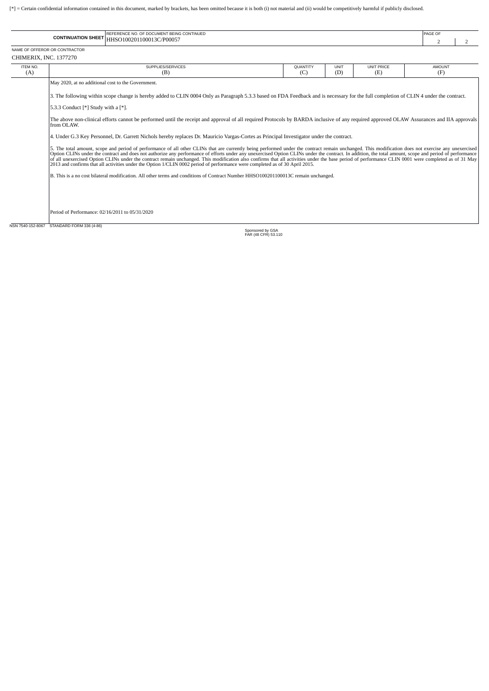[\*] = Certain confidential information contained in this document, marked by brackets, has been omitted because it is both (i) not material and (ii) would be competitively harmful if publicly disclosed.

|                               | REFERENCE NO. OF DOCUMENT BEING CONTINUED   | PAGE OF |  |  |
|-------------------------------|---------------------------------------------|---------|--|--|
|                               | CONTINUATION SHEET HHSO100201100013C/P00057 |         |  |  |
| NAME OF OFFEROR OR CONTRACTOR |                                             |         |  |  |
| CHIMERIX, INC. 1377270        |                                             |         |  |  |

| ITEM NO. | SUPPLIES/SERVICES                                                                                                                                                                                                                                                                                                                                                                                                                                                                                                                                                                                                                                                                                                                                     | QUANTITY | UNIT | <b>UNIT PRICE</b> | <b>AMOUNT</b> |  |  |  |
|----------|-------------------------------------------------------------------------------------------------------------------------------------------------------------------------------------------------------------------------------------------------------------------------------------------------------------------------------------------------------------------------------------------------------------------------------------------------------------------------------------------------------------------------------------------------------------------------------------------------------------------------------------------------------------------------------------------------------------------------------------------------------|----------|------|-------------------|---------------|--|--|--|
| (A)      | (B)                                                                                                                                                                                                                                                                                                                                                                                                                                                                                                                                                                                                                                                                                                                                                   | (C)      | (D)  | (E)               | (F)           |  |  |  |
|          | May 2020, at no additional cost to the Government.                                                                                                                                                                                                                                                                                                                                                                                                                                                                                                                                                                                                                                                                                                    |          |      |                   |               |  |  |  |
|          | 3. The following within scope change is hereby added to CLIN 0004 Only as Paragraph 5.3.3 based on FDA Feedback and is necessary for the full completion of CLIN 4 under the contract.                                                                                                                                                                                                                                                                                                                                                                                                                                                                                                                                                                |          |      |                   |               |  |  |  |
|          | 5.3.3 Conduct $[*]$ Study with a $[*]$ .                                                                                                                                                                                                                                                                                                                                                                                                                                                                                                                                                                                                                                                                                                              |          |      |                   |               |  |  |  |
|          | The above non-clinical efforts cannot be performed until the receipt and approval of all required Protocols by BARDA inclusive of any required approved OLAW Assurances and IIA approvals<br>from OLAW.                                                                                                                                                                                                                                                                                                                                                                                                                                                                                                                                               |          |      |                   |               |  |  |  |
|          | 4. Under G.3 Key Personnel, Dr. Garrett Nichols hereby replaces Dr. Mauricio Vargas-Cortes as Principal Investigator under the contract.                                                                                                                                                                                                                                                                                                                                                                                                                                                                                                                                                                                                              |          |      |                   |               |  |  |  |
|          | 5. The total amount, scope and period of performance of all other CLINs that are currently being performed under the contract remain unchanged. This modification does not exercise any unexercised<br>Option CLINs under the contract and does not authorize any performance of efforts under any unexercised Option CLINs under the contract. In addition, the total amount, scope and period of performance<br>of all unexercised Option CLINs under the contract remain unchanged. This modification also confirms that all activities under the base period of performance CLIN 0001 were completed as of 31 May<br>2013 and confirms that all activities under the Option 1/CLIN 0002 period of performance were completed as of 30 April 2015. |          |      |                   |               |  |  |  |
|          | B. This is a no cost bilateral modification. All other terms and conditions of Contract Number HHSO100201100013C remain unchanged.                                                                                                                                                                                                                                                                                                                                                                                                                                                                                                                                                                                                                    |          |      |                   |               |  |  |  |
|          |                                                                                                                                                                                                                                                                                                                                                                                                                                                                                                                                                                                                                                                                                                                                                       |          |      |                   |               |  |  |  |
|          | Period of Performance: 02/16/2011 to 05/31/2020                                                                                                                                                                                                                                                                                                                                                                                                                                                                                                                                                                                                                                                                                                       |          |      |                   |               |  |  |  |
|          | NSN 7540-152-8067 STANDARD FORM 336 (4-86)<br>Snonsored by GSA                                                                                                                                                                                                                                                                                                                                                                                                                                                                                                                                                                                                                                                                                        |          |      |                   |               |  |  |  |

Sponsored by GSA FAR (48 CFR) 53.110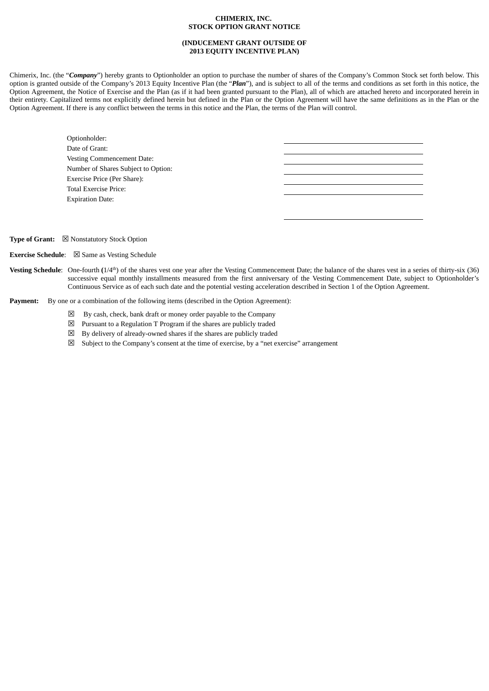## **CHIMERIX, INC. STOCK OPTION GRANT NOTICE**

## **(INDUCEMENT GRANT OUTSIDE OF 2013 EQUITY INCENTIVE PLAN)**

<span id="page-70-0"></span>Chimerix, Inc. (the "*Company*") hereby grants to Optionholder an option to purchase the number of shares of the Company's Common Stock set forth below. This option is granted outside of the Company's 2013 Equity Incentive Plan (the "*Plan*"), and is subject to all of the terms and conditions as set forth in this notice, the Option Agreement, the Notice of Exercise and the Plan (as if it had been granted pursuant to the Plan), all of which are attached hereto and incorporated herein in their entirety. Capitalized terms not explicitly defined herein but defined in the Plan or the Option Agreement will have the same definitions as in the Plan or the Option Agreement. If there is any conflict between the terms in this notice and the Plan, the terms of the Plan will control.

| Optionholder:                       |  |
|-------------------------------------|--|
| Date of Grant:                      |  |
| <b>Vesting Commencement Date:</b>   |  |
| Number of Shares Subject to Option: |  |
| Exercise Price (Per Share):         |  |
| Total Exercise Price:               |  |
| <b>Expiration Date:</b>             |  |
|                                     |  |
|                                     |  |

**Type of Grant:** ☒ Nonstatutory Stock Option

**Exercise Schedule**: ☒ Same as Vesting Schedule

Vesting Schedule: One-fourth  $(1/4<sup>th</sup>)$  of the shares vest one year after the Vesting Commencement Date; the balance of the shares vest in a series of thirty-six (36) successive equal monthly installments measured from the first anniversary of the Vesting Commencement Date, subject to Optionholder's Continuous Service as of each such date and the potential vesting acceleration described in Section 1 of the Option Agreement.

**Payment:** By one or a combination of the following items (described in the Option Agreement):

- $\boxtimes$  By cash, check, bank draft or money order payable to the Company
- $\boxtimes$  Pursuant to a Regulation T Program if the shares are publicly traded
- $\boxtimes$  By delivery of already-owned shares if the shares are publicly traded
- $\boxtimes$  Subject to the Company's consent at the time of exercise, by a "net exercise" arrangement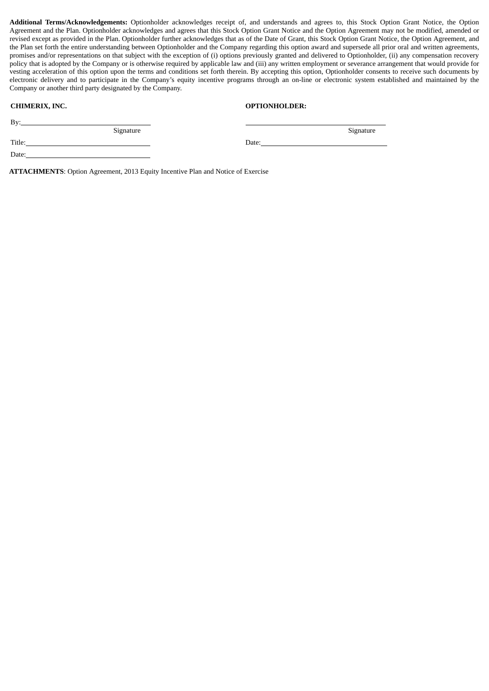**Additional Terms/Acknowledgements:** Optionholder acknowledges receipt of, and understands and agrees to, this Stock Option Grant Notice, the Option Agreement and the Plan. Optionholder acknowledges and agrees that this Stock Option Grant Notice and the Option Agreement may not be modified, amended or revised except as provided in the Plan. Optionholder further acknowledges that as of the Date of Grant, this Stock Option Grant Notice, the Option Agreement, and the Plan set forth the entire understanding between Optionholder and the Company regarding this option award and supersede all prior oral and written agreements, promises and/or representations on that subject with the exception of (i) options previously granted and delivered to Optionholder, (ii) any compensation recovery policy that is adopted by the Company or is otherwise required by applicable law and (iii) any written employment or severance arrangement that would provide for vesting acceleration of this option upon the terms and conditions set forth therein. By accepting this option, Optionholder consents to receive such documents by electronic delivery and to participate in the Company's equity incentive programs through an on-line or electronic system established and maintained by the Company or another third party designated by the Company.

Date:

| <b>CHIMERIX, INC.</b> |  |
|-----------------------|--|
|-----------------------|--|

## **OPTIONHOLDER:**

|    | M. |  |
|----|----|--|
| ۰. | ×  |  |

Title: Date:

Signature

**ATTACHMENTS**: Option Agreement, 2013 Equity Incentive Plan and Notice of Exercise

Signature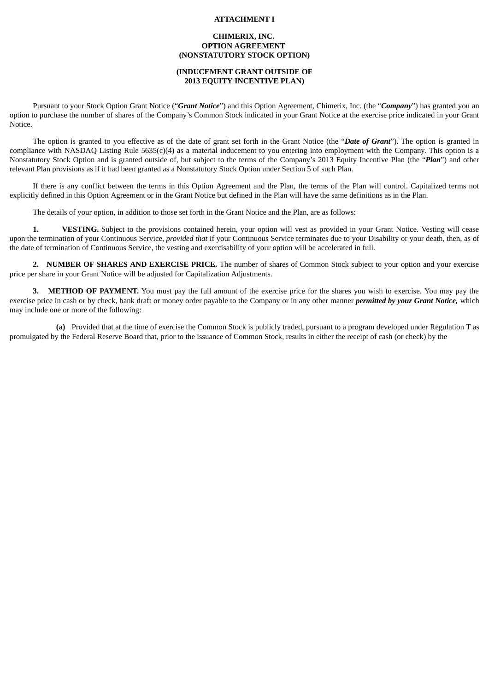#### **ATTACHMENT I**

## **CHIMERIX, INC. OPTION AGREEMENT (NONSTATUTORY STOCK OPTION)**

## **(INDUCEMENT GRANT OUTSIDE OF 2013 EQUITY INCENTIVE PLAN)**

Pursuant to your Stock Option Grant Notice ("*Grant Notice*") and this Option Agreement, Chimerix, Inc. (the "*Company*") has granted you an option to purchase the number of shares of the Company's Common Stock indicated in your Grant Notice at the exercise price indicated in your Grant Notice.

The option is granted to you effective as of the date of grant set forth in the Grant Notice (the "*Date of Grant*"). The option is granted in compliance with NASDAQ Listing Rule 5635(c)(4) as a material inducement to you entering into employment with the Company. This option is a Nonstatutory Stock Option and is granted outside of, but subject to the terms of the Company's 2013 Equity Incentive Plan (the "*Plan*") and other relevant Plan provisions as if it had been granted as a Nonstatutory Stock Option under Section 5 of such Plan.

If there is any conflict between the terms in this Option Agreement and the Plan, the terms of the Plan will control. Capitalized terms not explicitly defined in this Option Agreement or in the Grant Notice but defined in the Plan will have the same definitions as in the Plan.

The details of your option, in addition to those set forth in the Grant Notice and the Plan, are as follows:

**1. VESTING.** Subject to the provisions contained herein, your option will vest as provided in your Grant Notice. Vesting will cease upon the termination of your Continuous Service, *provided that* if your Continuous Service terminates due to your Disability or your death, then, as of the date of termination of Continuous Service, the vesting and exercisability of your option will be accelerated in full.

**2. NUMBER OF SHARES AND EXERCISE PRICE.** The number of shares of Common Stock subject to your option and your exercise price per share in your Grant Notice will be adjusted for Capitalization Adjustments.

**3. METHOD OF PAYMENT.** You must pay the full amount of the exercise price for the shares you wish to exercise. You may pay the exercise price in cash or by check, bank draft or money order payable to the Company or in any other manner *permitted by your Grant Notice,* which may include one or more of the following:

**(a)** Provided that at the time of exercise the Common Stock is publicly traded, pursuant to a program developed under Regulation T as promulgated by the Federal Reserve Board that, prior to the issuance of Common Stock, results in either the receipt of cash (or check) by the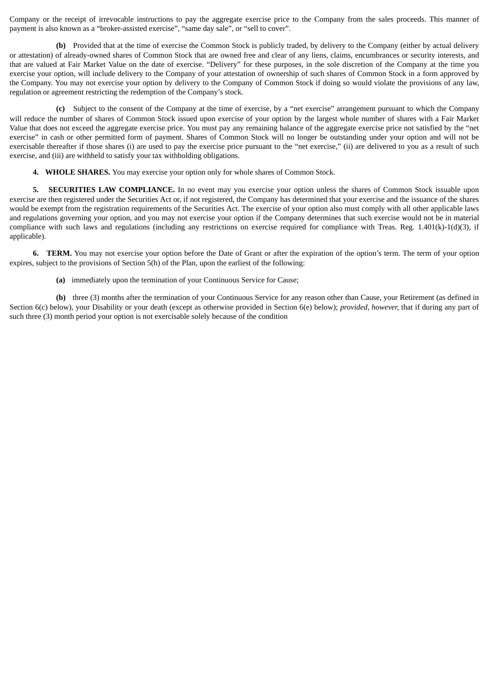Company or the receipt of irrevocable instructions to pay the aggregate exercise price to the Company from the sales proceeds. This manner of payment is also known as a "broker-assisted exercise", "same day sale", or "sell to cover".

**(b)** Provided that at the time of exercise the Common Stock is publicly traded, by delivery to the Company (either by actual delivery or attestation) of already-owned shares of Common Stock that are owned free and clear of any liens, claims, encumbrances or security interests, and that are valued at Fair Market Value on the date of exercise. "Delivery" for these purposes, in the sole discretion of the Company at the time you exercise your option, will include delivery to the Company of your attestation of ownership of such shares of Common Stock in a form approved by the Company. You may not exercise your option by delivery to the Company of Common Stock if doing so would violate the provisions of any law, regulation or agreement restricting the redemption of the Company's stock.

**(c)** Subject to the consent of the Company at the time of exercise, by a "net exercise" arrangement pursuant to which the Company will reduce the number of shares of Common Stock issued upon exercise of your option by the largest whole number of shares with a Fair Market Value that does not exceed the aggregate exercise price. You must pay any remaining balance of the aggregate exercise price not satisfied by the "net exercise" in cash or other permitted form of payment. Shares of Common Stock will no longer be outstanding under your option and will not be exercisable thereafter if those shares (i) are used to pay the exercise price pursuant to the "net exercise," (ii) are delivered to you as a result of such exercise, and (iii) are withheld to satisfy your tax withholding obligations.

**4. WHOLE SHARES.** You may exercise your option only for whole shares of Common Stock.

**5. SECURITIES LAW COMPLIANCE.** In no event may you exercise your option unless the shares of Common Stock issuable upon exercise are then registered under the Securities Act or, if not registered, the Company has determined that your exercise and the issuance of the shares would be exempt from the registration requirements of the Securities Act. The exercise of your option also must comply with all other applicable laws and regulations governing your option, and you may not exercise your option if the Company determines that such exercise would not be in material compliance with such laws and regulations (including any restrictions on exercise required for compliance with Treas. Reg. 1.401(k)-1(d)(3), if applicable).

**6. TERM.** You may not exercise your option before the Date of Grant or after the expiration of the option's term. The term of your option expires, subject to the provisions of Section 5(h) of the Plan, upon the earliest of the following:

**(a)** immediately upon the termination of your Continuous Service for Cause;

**(b)** three (3) months after the termination of your Continuous Service for any reason other than Cause, your Retirement (as defined in Section 6(c) below), your Disability or your death (except as otherwise provided in Section 6(e) below); *provided, however,* that if during any part of such three (3) month period your option is not exercisable solely because of the condition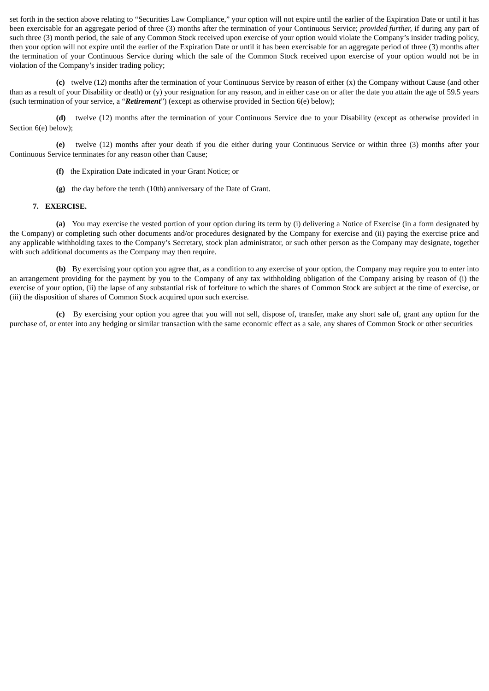set forth in the section above relating to "Securities Law Compliance," your option will not expire until the earlier of the Expiration Date or until it has been exercisable for an aggregate period of three (3) months after the termination of your Continuous Service; *provided further,* if during any part of such three (3) month period, the sale of any Common Stock received upon exercise of your option would violate the Company's insider trading policy, then your option will not expire until the earlier of the Expiration Date or until it has been exercisable for an aggregate period of three (3) months after the termination of your Continuous Service during which the sale of the Common Stock received upon exercise of your option would not be in violation of the Company's insider trading policy;

**(c)** twelve (12) months after the termination of your Continuous Service by reason of either (x) the Company without Cause (and other than as a result of your Disability or death) or (y) your resignation for any reason, and in either case on or after the date you attain the age of 59.5 years (such termination of your service, a "*Retirement*") (except as otherwise provided in Section 6(e) below);

**(d)** twelve (12) months after the termination of your Continuous Service due to your Disability (except as otherwise provided in Section 6(e) below);

**(e)** twelve (12) months after your death if you die either during your Continuous Service or within three (3) months after your Continuous Service terminates for any reason other than Cause;

- **(f)** the Expiration Date indicated in your Grant Notice; or
- **(g)** the day before the tenth (10th) anniversary of the Date of Grant.

## **7. EXERCISE.**

**(a)** You may exercise the vested portion of your option during its term by (i) delivering a Notice of Exercise (in a form designated by the Company) or completing such other documents and/or procedures designated by the Company for exercise and (ii) paying the exercise price and any applicable withholding taxes to the Company's Secretary, stock plan administrator, or such other person as the Company may designate, together with such additional documents as the Company may then require.

**(b)** By exercising your option you agree that, as a condition to any exercise of your option, the Company may require you to enter into an arrangement providing for the payment by you to the Company of any tax withholding obligation of the Company arising by reason of (i) the exercise of your option, (ii) the lapse of any substantial risk of forfeiture to which the shares of Common Stock are subject at the time of exercise, or (iii) the disposition of shares of Common Stock acquired upon such exercise.

**(c)** By exercising your option you agree that you will not sell, dispose of, transfer, make any short sale of, grant any option for the purchase of, or enter into any hedging or similar transaction with the same economic effect as a sale, any shares of Common Stock or other securities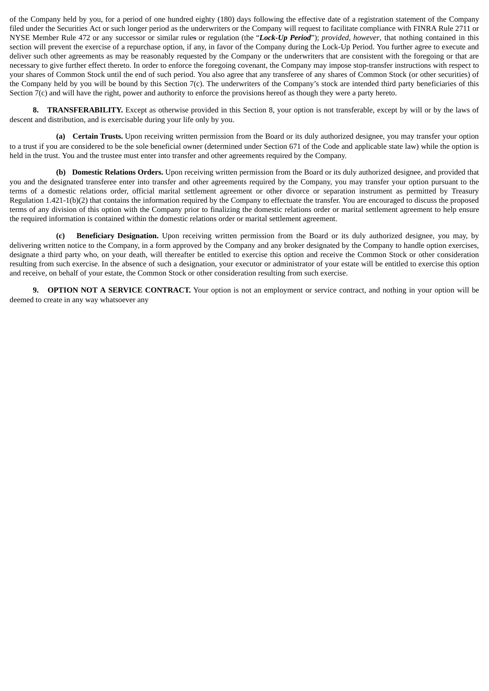of the Company held by you, for a period of one hundred eighty (180) days following the effective date of a registration statement of the Company filed under the Securities Act or such longer period as the underwriters or the Company will request to facilitate compliance with FINRA Rule 2711 or NYSE Member Rule 472 or any successor or similar rules or regulation (the "*Lock-Up Period*"); *provided, however*, that nothing contained in this section will prevent the exercise of a repurchase option, if any, in favor of the Company during the Lock-Up Period. You further agree to execute and deliver such other agreements as may be reasonably requested by the Company or the underwriters that are consistent with the foregoing or that are necessary to give further effect thereto. In order to enforce the foregoing covenant, the Company may impose stop-transfer instructions with respect to your shares of Common Stock until the end of such period. You also agree that any transferee of any shares of Common Stock (or other securities) of the Company held by you will be bound by this Section 7(c). The underwriters of the Company's stock are intended third party beneficiaries of this Section 7(c) and will have the right, power and authority to enforce the provisions hereof as though they were a party hereto.

**8. TRANSFERABILITY.** Except as otherwise provided in this Section 8, your option is not transferable, except by will or by the laws of descent and distribution, and is exercisable during your life only by you.

**(a) Certain Trusts.** Upon receiving written permission from the Board or its duly authorized designee, you may transfer your option to a trust if you are considered to be the sole beneficial owner (determined under Section 671 of the Code and applicable state law) while the option is held in the trust. You and the trustee must enter into transfer and other agreements required by the Company.

**(b) Domestic Relations Orders.** Upon receiving written permission from the Board or its duly authorized designee, and provided that you and the designated transferee enter into transfer and other agreements required by the Company, you may transfer your option pursuant to the terms of a domestic relations order, official marital settlement agreement or other divorce or separation instrument as permitted by Treasury Regulation 1.421-1(b)(2) that contains the information required by the Company to effectuate the transfer. You are encouraged to discuss the proposed terms of any division of this option with the Company prior to finalizing the domestic relations order or marital settlement agreement to help ensure the required information is contained within the domestic relations order or marital settlement agreement.

**(c) Beneficiary Designation.** Upon receiving written permission from the Board or its duly authorized designee, you may, by delivering written notice to the Company, in a form approved by the Company and any broker designated by the Company to handle option exercises, designate a third party who, on your death, will thereafter be entitled to exercise this option and receive the Common Stock or other consideration resulting from such exercise. In the absence of such a designation, your executor or administrator of your estate will be entitled to exercise this option and receive, on behalf of your estate, the Common Stock or other consideration resulting from such exercise.

**9. OPTION NOT A SERVICE CONTRACT.** Your option is not an employment or service contract, and nothing in your option will be deemed to create in any way whatsoever any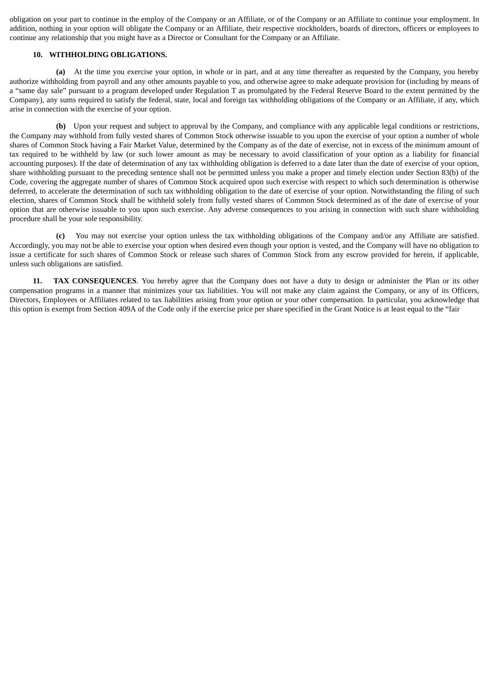obligation on your part to continue in the employ of the Company or an Affiliate, or of the Company or an Affiliate to continue your employment. In addition, nothing in your option will obligate the Company or an Affiliate, their respective stockholders, boards of directors, officers or employees to continue any relationship that you might have as a Director or Consultant for the Company or an Affiliate.

## **10. WITHHOLDING OBLIGATIONS.**

**(a)** At the time you exercise your option, in whole or in part, and at any time thereafter as requested by the Company, you hereby authorize withholding from payroll and any other amounts payable to you, and otherwise agree to make adequate provision for (including by means of a "same day sale" pursuant to a program developed under Regulation T as promulgated by the Federal Reserve Board to the extent permitted by the Company), any sums required to satisfy the federal, state, local and foreign tax withholding obligations of the Company or an Affiliate, if any, which arise in connection with the exercise of your option.

**(b)** Upon your request and subject to approval by the Company, and compliance with any applicable legal conditions or restrictions, the Company may withhold from fully vested shares of Common Stock otherwise issuable to you upon the exercise of your option a number of whole shares of Common Stock having a Fair Market Value, determined by the Company as of the date of exercise, not in excess of the minimum amount of tax required to be withheld by law (or such lower amount as may be necessary to avoid classification of your option as a liability for financial accounting purposes). If the date of determination of any tax withholding obligation is deferred to a date later than the date of exercise of your option, share withholding pursuant to the preceding sentence shall not be permitted unless you make a proper and timely election under Section 83(b) of the Code, covering the aggregate number of shares of Common Stock acquired upon such exercise with respect to which such determination is otherwise deferred, to accelerate the determination of such tax withholding obligation to the date of exercise of your option. Notwithstanding the filing of such election, shares of Common Stock shall be withheld solely from fully vested shares of Common Stock determined as of the date of exercise of your option that are otherwise issuable to you upon such exercise. Any adverse consequences to you arising in connection with such share withholding procedure shall be your sole responsibility.

**(c)** You may not exercise your option unless the tax withholding obligations of the Company and/or any Affiliate are satisfied. Accordingly, you may not be able to exercise your option when desired even though your option is vested, and the Company will have no obligation to issue a certificate for such shares of Common Stock or release such shares of Common Stock from any escrow provided for herein, if applicable, unless such obligations are satisfied.

**11. TAX CONSEQUENCES**. You hereby agree that the Company does not have a duty to design or administer the Plan or its other compensation programs in a manner that minimizes your tax liabilities. You will not make any claim against the Company, or any of its Officers, Directors, Employees or Affiliates related to tax liabilities arising from your option or your other compensation. In particular, you acknowledge that this option is exempt from Section 409A of the Code only if the exercise price per share specified in the Grant Notice is at least equal to the "fair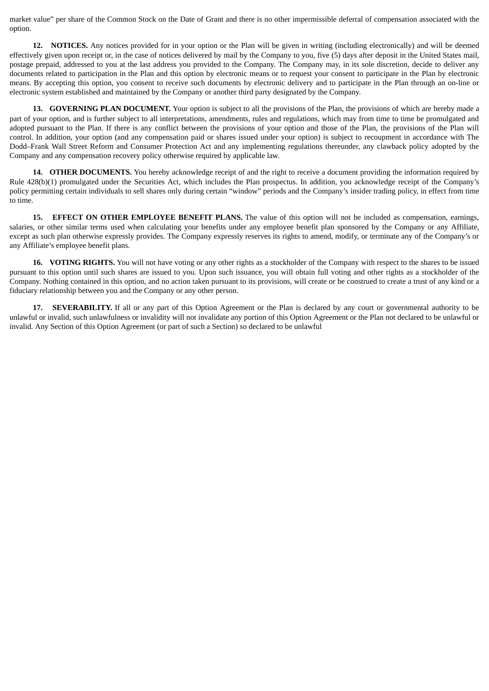market value" per share of the Common Stock on the Date of Grant and there is no other impermissible deferral of compensation associated with the option.

**12. NOTICES.** Any notices provided for in your option or the Plan will be given in writing (including electronically) and will be deemed effectively given upon receipt or, in the case of notices delivered by mail by the Company to you, five (5) days after deposit in the United States mail, postage prepaid, addressed to you at the last address you provided to the Company. The Company may, in its sole discretion, decide to deliver any documents related to participation in the Plan and this option by electronic means or to request your consent to participate in the Plan by electronic means. By accepting this option, you consent to receive such documents by electronic delivery and to participate in the Plan through an on-line or electronic system established and maintained by the Company or another third party designated by the Company.

**13. GOVERNING PLAN DOCUMENT.** Your option is subject to all the provisions of the Plan, the provisions of which are hereby made a part of your option, and is further subject to all interpretations, amendments, rules and regulations, which may from time to time be promulgated and adopted pursuant to the Plan. If there is any conflict between the provisions of your option and those of the Plan, the provisions of the Plan will control. In addition, your option (and any compensation paid or shares issued under your option) is subject to recoupment in accordance with The Dodd–Frank Wall Street Reform and Consumer Protection Act and any implementing regulations thereunder, any clawback policy adopted by the Company and any compensation recovery policy otherwise required by applicable law.

**14. OTHER DOCUMENTS.** You hereby acknowledge receipt of and the right to receive a document providing the information required by Rule 428(b)(1) promulgated under the Securities Act, which includes the Plan prospectus. In addition, you acknowledge receipt of the Company's policy permitting certain individuals to sell shares only during certain "window" periods and the Company's insider trading policy, in effect from time to time.

**15. EFFECT ON OTHER EMPLOYEE BENEFIT PLANS.** The value of this option will not be included as compensation, earnings, salaries, or other similar terms used when calculating your benefits under any employee benefit plan sponsored by the Company or any Affiliate, except as such plan otherwise expressly provides. The Company expressly reserves its rights to amend, modify, or terminate any of the Company's or any Affiliate's employee benefit plans.

**16. VOTING RIGHTS.** You will not have voting or any other rights as a stockholder of the Company with respect to the shares to be issued pursuant to this option until such shares are issued to you. Upon such issuance, you will obtain full voting and other rights as a stockholder of the Company. Nothing contained in this option, and no action taken pursuant to its provisions, will create or be construed to create a trust of any kind or a fiduciary relationship between you and the Company or any other person.

**17. SEVERABILITY.** If all or any part of this Option Agreement or the Plan is declared by any court or governmental authority to be unlawful or invalid, such unlawfulness or invalidity will not invalidate any portion of this Option Agreement or the Plan not declared to be unlawful or invalid. Any Section of this Option Agreement (or part of such a Section) so declared to be unlawful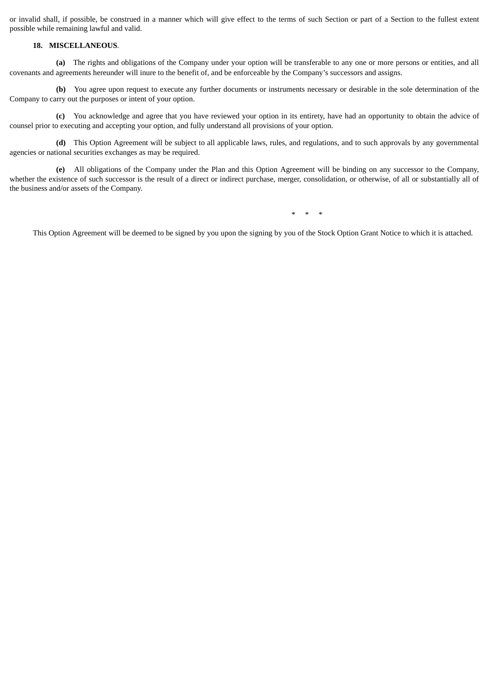or invalid shall, if possible, be construed in a manner which will give effect to the terms of such Section or part of a Section to the fullest extent possible while remaining lawful and valid.

## **18. MISCELLANEOUS**.

**(a)** The rights and obligations of the Company under your option will be transferable to any one or more persons or entities, and all covenants and agreements hereunder will inure to the benefit of, and be enforceable by the Company's successors and assigns.

**(b)** You agree upon request to execute any further documents or instruments necessary or desirable in the sole determination of the Company to carry out the purposes or intent of your option.

**(c)** You acknowledge and agree that you have reviewed your option in its entirety, have had an opportunity to obtain the advice of counsel prior to executing and accepting your option, and fully understand all provisions of your option.

**(d)** This Option Agreement will be subject to all applicable laws, rules, and regulations, and to such approvals by any governmental agencies or national securities exchanges as may be required.

**(e)** All obligations of the Company under the Plan and this Option Agreement will be binding on any successor to the Company, whether the existence of such successor is the result of a direct or indirect purchase, merger, consolidation, or otherwise, of all or substantially all of the business and/or assets of the Company.

\* \* \*

This Option Agreement will be deemed to be signed by you upon the signing by you of the Stock Option Grant Notice to which it is attached.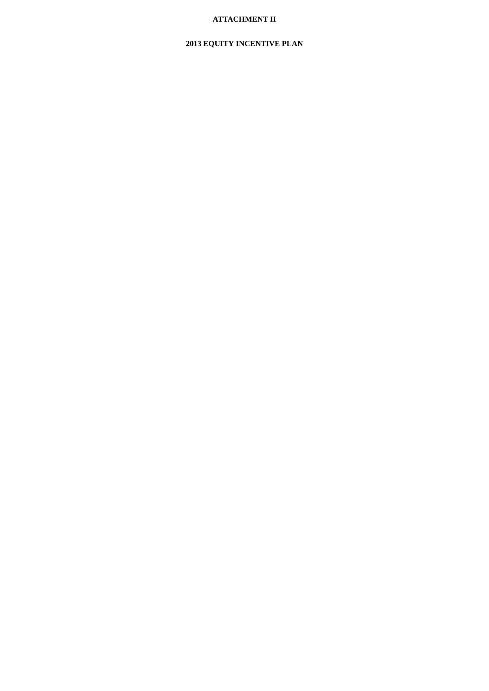# **ATTACHMENT II**

# **2013 EQUITY INCENTIVE PLAN**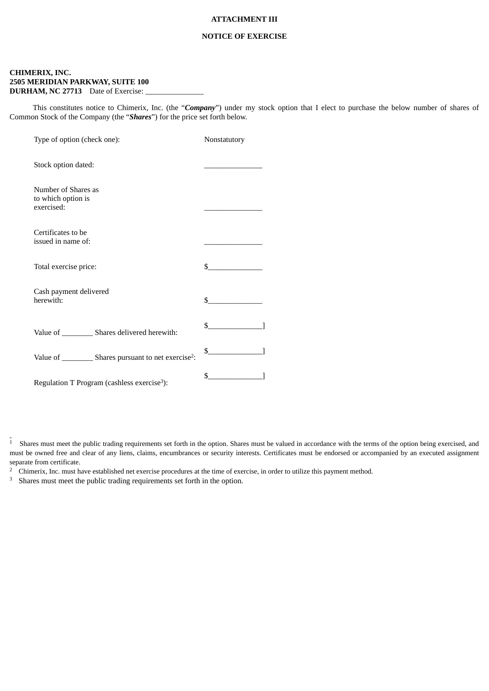## **ATTACHMENT III**

#### **NOTICE OF EXERCISE**

# **CHIMERIX, INC. 2505 MERIDIAN PARKWAY, SUITE 100 DURHAM, NC 27713** Date of Exercise:

This constitutes notice to Chimerix, Inc. (the "*Company*") under my stock option that I elect to purchase the below number of shares of Common Stock of the Company (the "*Shares*") for the price set forth below.

| Type of option (check one):                                         | Nonstatutory |
|---------------------------------------------------------------------|--------------|
| Stock option dated:                                                 |              |
| Number of Shares as<br>to which option is<br>exercised:             |              |
| Certificates to be<br>issued in name of:                            |              |
| Total exercise price:                                               | \$           |
| Cash payment delivered<br>herewith:                                 | \$           |
| Value of ___________ Shares delivered herewith:                     | \$           |
| Value of ___________ Shares pursuant to net exercise <sup>2</sup> : | $\mathbb{S}$ |
| Regulation T Program (cashless exercise <sup>3</sup> ):             | \$           |

<sup>1</sup> Shares must meet the public trading requirements set forth in the option. Shares must be valued in accordance with the terms of the option being exercised, and must be owned free and clear of any liens, claims, encumbrances or security interests. Certificates must be endorsed or accompanied by an executed assignment separate from certificate.

<sup>2</sup> Chimerix, Inc. must have established net exercise procedures at the time of exercise, in order to utilize this payment method.

 $^3$  Shares must meet the public trading requirements set forth in the option.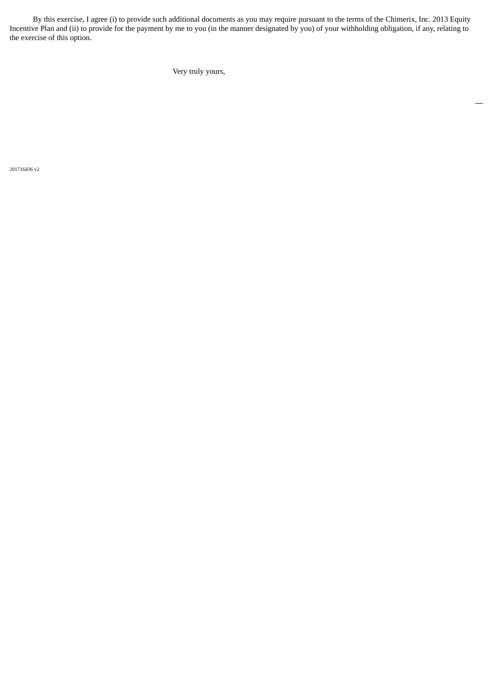By this exercise, I agree (i) to provide such additional documents as you may require pursuant to the terms of the Chimerix, Inc. 2013 Equity Incentive Plan and (ii) to provide for the payment by me to you (in the manner designated by you) of your withholding obligation, if any, relating to the exercise of this option.

 $\overline{\phantom{0}}$ 

Very truly yours,

201716436 v2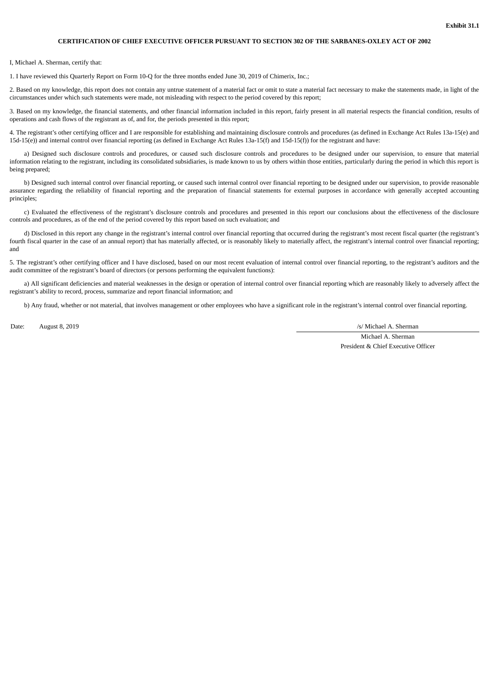#### **CERTIFICATION OF CHIEF EXECUTIVE OFFICER PURSUANT TO SECTION 302 OF THE SARBANES-OXLEY ACT OF 2002**

#### I, Michael A. Sherman, certify that:

1. I have reviewed this Quarterly Report on Form 10-Q for the three months ended June 30, 2019 of Chimerix, Inc.;

2. Based on my knowledge, this report does not contain any untrue statement of a material fact or omit to state a material fact necessary to make the statements made, in light of the circumstances under which such statements were made, not misleading with respect to the period covered by this report;

3. Based on my knowledge, the financial statements, and other financial information included in this report, fairly present in all material respects the financial condition, results of operations and cash flows of the registrant as of, and for, the periods presented in this report;

4. The registrant's other certifying officer and I are responsible for establishing and maintaining disclosure controls and procedures (as defined in Exchange Act Rules 13a-15(e) and 15d-15(e)) and internal control over financial reporting (as defined in Exchange Act Rules 13a-15(f) and 15d-15(f)) for the registrant and have:

a) Designed such disclosure controls and procedures, or caused such disclosure controls and procedures to be designed under our supervision, to ensure that material information relating to the registrant, including its consolidated subsidiaries, is made known to us by others within those entities, particularly during the period in which this report is being prepared;

b) Designed such internal control over financial reporting, or caused such internal control over financial reporting to be designed under our supervision, to provide reasonable assurance regarding the reliability of financial reporting and the preparation of financial statements for external purposes in accordance with generally accepted accounting principles;

c) Evaluated the effectiveness of the registrant's disclosure controls and procedures and presented in this report our conclusions about the effectiveness of the disclosure controls and procedures, as of the end of the period covered by this report based on such evaluation; and

d) Disclosed in this report any change in the registrant's internal control over financial reporting that occurred during the registrant's most recent fiscal quarter (the registrant's fourth fiscal quarter in the case of an annual report) that has materially affected, or is reasonably likely to materially affect, the registrant's internal control over financial reporting; and

5. The registrant's other certifying officer and I have disclosed, based on our most recent evaluation of internal control over financial reporting, to the registrant's auditors and the audit committee of the registrant's board of directors (or persons performing the equivalent functions):

a) All significant deficiencies and material weaknesses in the design or operation of internal control over financial reporting which are reasonably likely to adversely affect the registrant's ability to record, process, summarize and report financial information; and

b) Any fraud, whether or not material, that involves management or other employees who have a significant role in the registrant's internal control over financial reporting.

Date: August 8, 2019 */s/ Michael A. Sherman* 

Michael A. Sherman President & Chief Executive Officer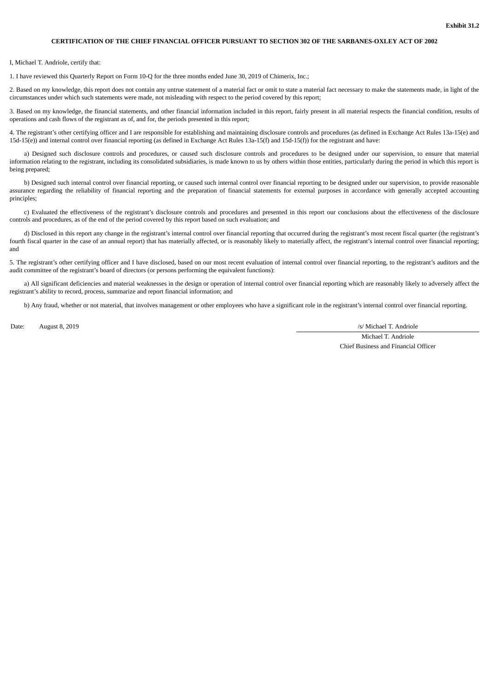#### **CERTIFICATION OF THE CHIEF FINANCIAL OFFICER PURSUANT TO SECTION 302 OF THE SARBANES-OXLEY ACT OF 2002**

#### I, Michael T. Andriole, certify that:

1. I have reviewed this Quarterly Report on Form 10-Q for the three months ended June 30, 2019 of Chimerix, Inc.;

2. Based on my knowledge, this report does not contain any untrue statement of a material fact or omit to state a material fact necessary to make the statements made, in light of the circumstances under which such statements were made, not misleading with respect to the period covered by this report;

3. Based on my knowledge, the financial statements, and other financial information included in this report, fairly present in all material respects the financial condition, results of operations and cash flows of the registrant as of, and for, the periods presented in this report;

4. The registrant's other certifying officer and I are responsible for establishing and maintaining disclosure controls and procedures (as defined in Exchange Act Rules 13a-15(e) and 15d-15(e)) and internal control over financial reporting (as defined in Exchange Act Rules 13a-15(f) and 15d-15(f)) for the registrant and have:

a) Designed such disclosure controls and procedures, or caused such disclosure controls and procedures to be designed under our supervision, to ensure that material information relating to the registrant, including its consolidated subsidiaries, is made known to us by others within those entities, particularly during the period in which this report is being prepared;

b) Designed such internal control over financial reporting, or caused such internal control over financial reporting to be designed under our supervision, to provide reasonable assurance regarding the reliability of financial reporting and the preparation of financial statements for external purposes in accordance with generally accepted accounting principles;

c) Evaluated the effectiveness of the registrant's disclosure controls and procedures and presented in this report our conclusions about the effectiveness of the disclosure controls and procedures, as of the end of the period covered by this report based on such evaluation; and

d) Disclosed in this report any change in the registrant's internal control over financial reporting that occurred during the registrant's most recent fiscal quarter (the registrant's fourth fiscal quarter in the case of an annual report) that has materially affected, or is reasonably likely to materially affect, the registrant's internal control over financial reporting; and

5. The registrant's other certifying officer and I have disclosed, based on our most recent evaluation of internal control over financial reporting, to the registrant's auditors and the audit committee of the registrant's board of directors (or persons performing the equivalent functions):

a) All significant deficiencies and material weaknesses in the design or operation of internal control over financial reporting which are reasonably likely to adversely affect the registrant's ability to record, process, summarize and report financial information; and

b) Any fraud, whether or not material, that involves management or other employees who have a significant role in the registrant's internal control over financial reporting.

Date: August 8, 2019  $\sqrt{S}$  August 8, 2019

Michael T. Andriole Chief Business and Financial Officer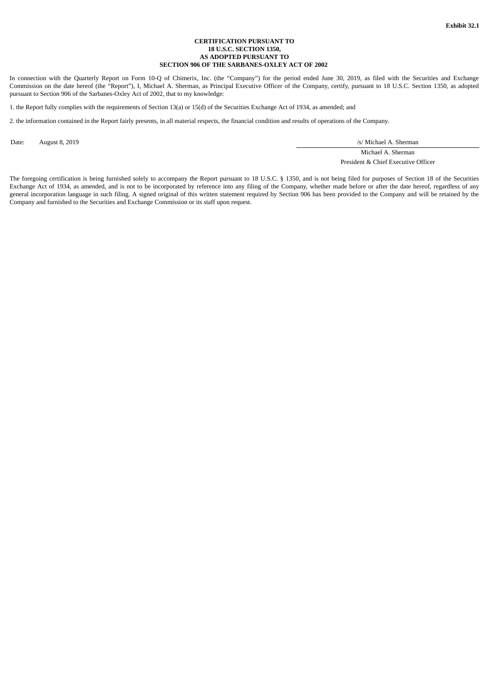#### **CERTIFICATION PURSUANT TO 18 U.S.C. SECTION 1350, AS ADOPTED PURSUANT TO SECTION 906 OF THE SARBANES-OXLEY ACT OF 2002**

In connection with the Quarterly Report on Form 10-Q of Chimerix, Inc. (the "Company") for the period ended June 30, 2019, as filed with the Securities and Exchange Commission on the date hereof (the "Report"), I, Michael A. Sherman, as Principal Executive Officer of the Company, certify, pursuant to 18 U.S.C. Section 1350, as adopted pursuant to Section 906 of the Sarbanes-Oxley Act of 2002, that to my knowledge:

1. the Report fully complies with the requirements of Section 13(a) or 15(d) of the Securities Exchange Act of 1934, as amended; and

2. the information contained in the Report fairly presents, in all material respects, the financial condition and results of operations of the Company.

Date: August 8, 2019 */s/ Michael A. Sherman* 

Michael A. Sherman President & Chief Executive Officer

The foregoing certification is being furnished solely to accompany the Report pursuant to 18 U.S.C. § 1350, and is not being filed for purposes of Section 18 of the Securities Exchange Act of 1934, as amended, and is not to be incorporated by reference into any filing of the Company, whether made before or after the date hereof, regardless of any general incorporation language in such filing. A signed original of this written statement required by Section 906 has been provided to the Company and will be retained by the Company and furnished to the Securities and Exchange Commission or its staff upon request.